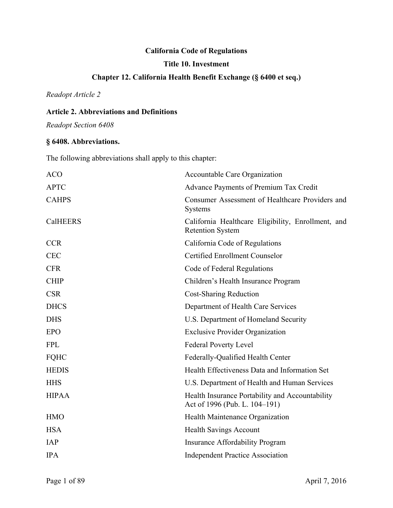# **California Code of Regulations**

# **Title 10. Investment**

# **Chapter 12. California Health Benefit Exchange (§ 6400 et seq.)**

*Readopt Article 2* 

# **Article 2. Abbreviations and Definitions**

*Readopt Section 6408* 

# **§ 6408. Abbreviations.**

The following abbreviations shall apply to this chapter:

| <b>ACO</b>      | Accountable Care Organization                                                    |
|-----------------|----------------------------------------------------------------------------------|
| <b>APTC</b>     | Advance Payments of Premium Tax Credit                                           |
| <b>CAHPS</b>    | Consumer Assessment of Healthcare Providers and<br><b>Systems</b>                |
| <b>CalHEERS</b> | California Healthcare Eligibility, Enrollment, and<br><b>Retention System</b>    |
| <b>CCR</b>      | California Code of Regulations                                                   |
| <b>CEC</b>      | Certified Enrollment Counselor                                                   |
| <b>CFR</b>      | Code of Federal Regulations                                                      |
| <b>CHIP</b>     | Children's Health Insurance Program                                              |
| <b>CSR</b>      | <b>Cost-Sharing Reduction</b>                                                    |
| <b>DHCS</b>     | Department of Health Care Services                                               |
| <b>DHS</b>      | U.S. Department of Homeland Security                                             |
| <b>EPO</b>      | <b>Exclusive Provider Organization</b>                                           |
| <b>FPL</b>      | <b>Federal Poverty Level</b>                                                     |
| <b>FQHC</b>     | Federally-Qualified Health Center                                                |
| <b>HEDIS</b>    | Health Effectiveness Data and Information Set                                    |
| <b>HHS</b>      | U.S. Department of Health and Human Services                                     |
| <b>HIPAA</b>    | Health Insurance Portability and Accountability<br>Act of 1996 (Pub. L. 104-191) |
| <b>HMO</b>      | Health Maintenance Organization                                                  |
| <b>HSA</b>      | <b>Health Savings Account</b>                                                    |
| <b>IAP</b>      | <b>Insurance Affordability Program</b>                                           |
| <b>IPA</b>      | <b>Independent Practice Association</b>                                          |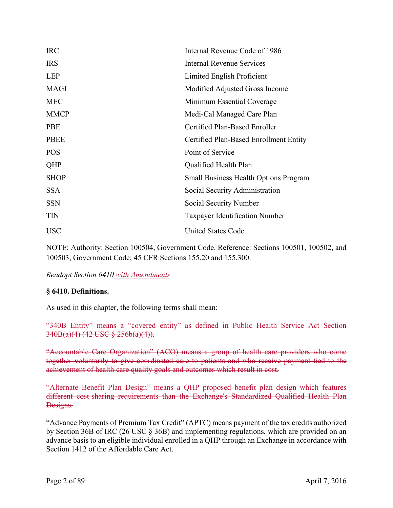| <b>IRC</b>  | Internal Revenue Code of 1986                |
|-------------|----------------------------------------------|
| <b>IRS</b>  | <b>Internal Revenue Services</b>             |
| <b>LEP</b>  | Limited English Proficient                   |
| <b>MAGI</b> | Modified Adjusted Gross Income               |
| <b>MEC</b>  | Minimum Essential Coverage                   |
| <b>MMCP</b> | Medi-Cal Managed Care Plan                   |
| <b>PBE</b>  | Certified Plan-Based Enroller                |
| <b>PBEE</b> | Certified Plan-Based Enrollment Entity       |
| <b>POS</b>  | Point of Service                             |
| QHP         | Qualified Health Plan                        |
| <b>SHOP</b> | <b>Small Business Health Options Program</b> |
| <b>SSA</b>  | Social Security Administration               |
| <b>SSN</b>  | Social Security Number                       |
| <b>TIN</b>  | <b>Taxpayer Identification Number</b>        |
| <b>USC</b>  | <b>United States Code</b>                    |

NOTE: Authority: Section 100504, Government Code. Reference: Sections 100501, 100502, and 100503, Government Code; 45 CFR Sections 155.20 and 155.300.

 *Readopt Section 6410 with Amendments* 

# **§ 6410. Definitions.**

As used in this chapter, the following terms shall mean:

"340B Entity" means a "covered entity" as defined in Public Health Service Act Section  $340B(a)(4)$  (42 USC  $\frac{8}{5}$  256b(a)(4)).

"Accountable Care Organization" (ACO) means a group of health care providers who come together voluntarily to give coordinated care to patients and who receive payment tied to the achievement of health care quality goals and outcomes which result in cost.

"Alternate Benefit Plan Design" means a QHP proposed benefit plan design which features different cost-sharing requirements than the Exchange's Standardized Qualified Health Plan Designs.

"Advance Payments of Premium Tax Credit" (APTC) means payment of the tax credits authorized by Section 36B of IRC (26 USC § 36B) and implementing regulations, which are provided on an advance basis to an eligible individual enrolled in a QHP through an Exchange in accordance with Section 1412 of the Affordable Care Act.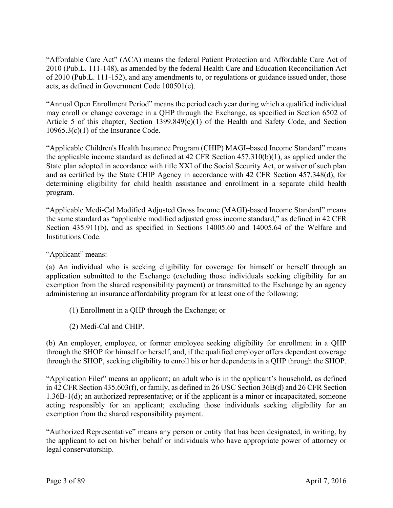"Affordable Care Act" (ACA) means the federal Patient Protection and Affordable Care Act of 2010 (Pub.L. 111-148), as amended by the federal Health Care and Education Reconciliation Act of 2010 (Pub.L. 111-152), and any amendments to, or regulations or guidance issued under, those acts, as defined in Government Code 100501(e).

"Annual Open Enrollment Period" means the period each year during which a qualified individual may enroll or change coverage in a QHP through the Exchange, as specified in Section 6502 of Article 5 of this chapter, Section 1399.849(c)(1) of the Health and Safety Code, and Section  $10965.3(c)(1)$  of the Insurance Code.

"Applicable Children's Health Insurance Program (CHIP) MAGI–based Income Standard" means the applicable income standard as defined at 42 CFR Section 457.310(b)(1), as applied under the State plan adopted in accordance with title XXI of the Social Security Act, or waiver of such plan and as certified by the State CHIP Agency in accordance with 42 CFR Section 457.348(d), for determining eligibility for child health assistance and enrollment in a separate child health program.

"Applicable Medi-Cal Modified Adjusted Gross Income (MAGI)-based Income Standard" means the same standard as "applicable modified adjusted gross income standard," as defined in 42 CFR Section 435.911(b), and as specified in Sections 14005.60 and 14005.64 of the Welfare and Institutions Code.

"Applicant" means:

(a) An individual who is seeking eligibility for coverage for himself or herself through an application submitted to the Exchange (excluding those individuals seeking eligibility for an exemption from the shared responsibility payment) or transmitted to the Exchange by an agency administering an insurance affordability program for at least one of the following:

- (1) Enrollment in a QHP through the Exchange; or
- (2) Medi-Cal and CHIP.

(b) An employer, employee, or former employee seeking eligibility for enrollment in a QHP through the SHOP for himself or herself, and, if the qualified employer offers dependent coverage through the SHOP, seeking eligibility to enroll his or her dependents in a QHP through the SHOP.

"Application Filer" means an applicant; an adult who is in the applicant's household, as defined in 42 CFR Section 435.603(f), or family, as defined in 26 USC Section 36B(d) and 26 CFR Section 1.36B-1(d); an authorized representative; or if the applicant is a minor or incapacitated, someone acting responsibly for an applicant; excluding those individuals seeking eligibility for an exemption from the shared responsibility payment.

"Authorized Representative" means any person or entity that has been designated, in writing, by the applicant to act on his/her behalf or individuals who have appropriate power of attorney or legal conservatorship.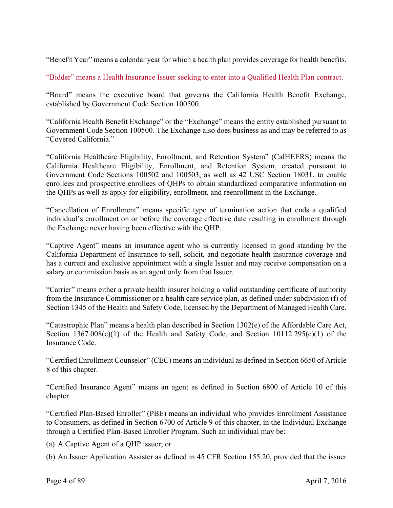"Benefit Year" means a calendar year for which a health plan provides coverage for health benefits.

"Bidder" means a Health Insurance Issuer seeking to enter into a Qualified Health Plan contract.

"Board" means the executive board that governs the California Health Benefit Exchange, established by Government Code Section 100500.

"California Health Benefit Exchange" or the "Exchange" means the entity established pursuant to Government Code Section 100500. The Exchange also does business as and may be referred to as "Covered California."

"California Healthcare Eligibility, Enrollment, and Retention System" (CalHEERS) means the California Healthcare Eligibility, Enrollment, and Retention System, created pursuant to Government Code Sections 100502 and 100503, as well as 42 USC Section 18031, to enable enrollees and prospective enrollees of QHPs to obtain standardized comparative information on the QHPs as well as apply for eligibility, enrollment, and reenrollment in the Exchange.

"Cancellation of Enrollment" means specific type of termination action that ends a qualified individual's enrollment on or before the coverage effective date resulting in enrollment through the Exchange never having been effective with the QHP.

"Captive Agent" means an insurance agent who is currently licensed in good standing by the California Department of Insurance to sell, solicit, and negotiate health insurance coverage and has a current and exclusive appointment with a single Issuer and may receive compensation on a salary or commission basis as an agent only from that Issuer.

"Carrier" means either a private health insurer holding a valid outstanding certificate of authority from the Insurance Commissioner or a health care service plan, as defined under subdivision (f) of Section 1345 of the Health and Safety Code, licensed by the Department of Managed Health Care.

"Catastrophic Plan" means a health plan described in Section 1302(e) of the Affordable Care Act, Section  $1367.008(c)(1)$  of the Health and Safety Code, and Section  $10112.295(c)(1)$  of the Insurance Code.

"Certified Enrollment Counselor" (CEC) means an individual as defined in Section 6650 of Article 8 of this chapter.

"Certified Insurance Agent" means an agent as defined in Section 6800 of Article 10 of this chapter.

"Certified Plan-Based Enroller" (PBE) means an individual who provides Enrollment Assistance to Consumers, as defined in Section 6700 of Article 9 of this chapter, in the Individual Exchange through a Certified Plan-Based Enroller Program. Such an individual may be:

(a) A Captive Agent of a QHP issuer; or

(b) An Issuer Application Assister as defined in  $45$  CFR Section 155.20, provided that the issuer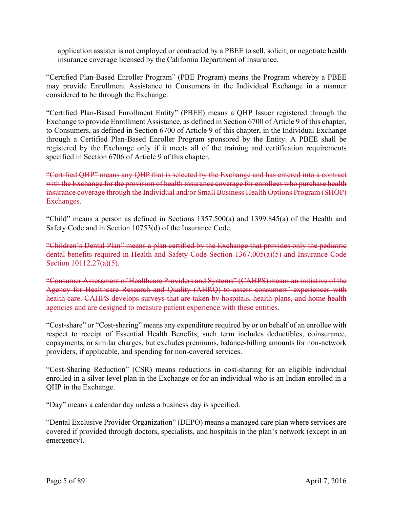application assister is not employed or contracted by a PBEE to sell, solicit, or negotiate health insurance coverage licensed by the California Department of Insurance.

"Certified Plan-Based Enroller Program" (PBE Program) means the Program whereby a PBEE may provide Enrollment Assistance to Consumers in the Individual Exchange in a manner considered to be through the Exchange.

"Certified Plan-Based Enrollment Entity" (PBEE) means a QHP Issuer registered through the Exchange to provide Enrollment Assistance, as defined in Section 6700 of Article 9 of this chapter, to Consumers, as defined in Section 6700 of Article 9 of this chapter, in the Individual Exchange through a Certified Plan-Based Enroller Program sponsored by the Entity. A PBEE shall be registered by the Exchange only if it meets all of the training and certification requirements specified in Section 6706 of Article 9 of this chapter.

"Certified QHP" means any QHP that is selected by the Exchange and has entered into a contract with the Exchange for the provision of health insurance coverage for enrollees who purchase health insurance coverage through the Individual and/or Small Business Health Options Program (SHOP) Exchanges.

"Child" means a person as defined in Sections 1357.500(a) and 1399.845(a) of the Health and Safety Code and in Section 10753(d) of the Insurance Code.

"Children's Dental Plan" means a plan certified by the Exchange that provides only the pediatric dental benefits required in Health and Safety Code Section 1367.005(a)(5) and Insurance Code Section 10112.27(a)(5).

"Consumer Assessment of Healthcare Providers and Systems" (CAHPS) means an initiative of the Agency for Healthcare Research and Quality (AHRQ) to assess consumers' experiences with health care. CAHPS develops surveys that are taken by hospitals, health plans, and home health agencies and are designed to measure patient experience with these entities.

"Cost-share" or "Cost-sharing" means any expenditure required by or on behalf of an enrollee with respect to receipt of Essential Health Benefits; such term includes deductibles, coinsurance, copayments, or similar charges, but excludes premiums, balance-billing amounts for non-network providers, if applicable, and spending for non-covered services.

"Cost-Sharing Reduction" (CSR) means reductions in cost-sharing for an eligible individual enrolled in a silver level plan in the Exchange or for an individual who is an Indian enrolled in a QHP in the Exchange.

"Day" means a calendar day unless a business day is specified.

"Dental Exclusive Provider Organization" (DEPO) means a managed care plan where services are covered if provided through doctors, specialists, and hospitals in the plan's network (except in an emergency).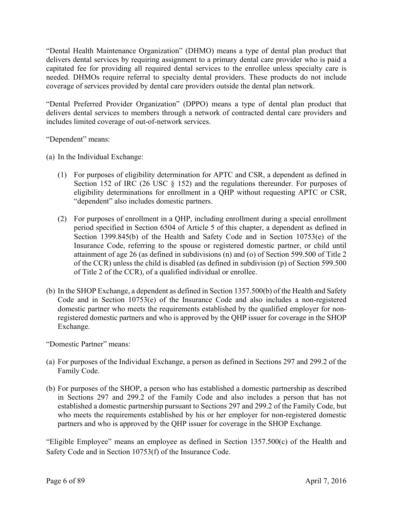"Dental Health Maintenance Organization" (DHMO) means a type of dental plan product that delivers dental services by requiring assignment to a primary dental care provider who is paid a capitated fee for providing all required dental services to the enrollee unless specialty care is needed. DHMOs require referral to specialty dental providers. These products do not include coverage of services provided by dental care providers outside the dental plan network.

"Dental Preferred Provider Organization" (DPPO) means a type of dental plan product that delivers dental services to members through a network of contracted dental care providers and includes limited coverage of out-of-network services.

"Dependent" means:

(a) In the Individual Exchange:

- (1) For purposes of eligibility determination for APTC and CSR, a dependent as defined in Section 152 of IRC (26 USC § 152) and the regulations thereunder. For purposes of eligibility determinations for enrollment in a QHP without requesting APTC or CSR, "dependent" also includes domestic partners.
- (2) For purposes of enrollment in a QHP, including enrollment during a special enrollment period specified in Section 6504 of Article 5 of this chapter, a dependent as defined in Section 1399.845(b) of the Health and Safety Code and in Section 10753(e) of the Insurance Code, referring to the spouse or registered domestic partner, or child until attainment of age 26 (as defined in subdivisions (n) and (o) of Section 599.500 of Title 2 of the CCR) unless the child is disabled (as defined in subdivision (p) of Section 599.500 of Title 2 of the CCR), of a qualified individual or enrollee.
- (b) In the SHOP Exchange, a dependent as defined in Section 1357.500(b) of the Health and Safety Code and in Section 10753(e) of the Insurance Code and also includes a non-registered domestic partner who meets the requirements established by the qualified employer for nonregistered domestic partners and who is approved by the QHP issuer for coverage in the SHOP Exchange.

"Domestic Partner" means:

- (a) For purposes of the Individual Exchange, a person as defined in Sections 297 and 299.2 of the Family Code.
- (b) For purposes of the SHOP, a person who has established a domestic partnership as described in Sections 297 and 299.2 of the Family Code and also includes a person that has not established a domestic partnership pursuant to Sections 297 and 299.2 of the Family Code, but who meets the requirements established by his or her employer for non-registered domestic partners and who is approved by the QHP issuer for coverage in the SHOP Exchange.

"Eligible Employee" means an employee as defined in Section 1357.500(c) of the Health and Safety Code and in Section 10753(f) of the Insurance Code.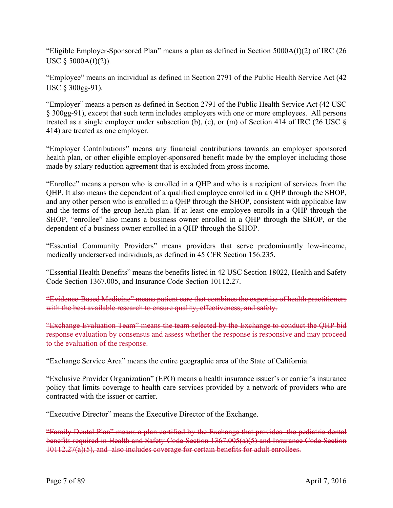"Eligible Employer-Sponsored Plan" means a plan as defined in Section 5000A(f)(2) of IRC (26 USC  $§$  5000A(f)(2)).

"Employee" means an individual as defined in Section 2791 of the Public Health Service Act (42 USC § 300gg-91).

"Employer" means a person as defined in Section 2791 of the Public Health Service Act (42 USC § 300gg-91), except that such term includes employers with one or more employees. All persons treated as a single employer under subsection (b), (c), or (m) of Section 414 of IRC (26 USC § 414) are treated as one employer.

"Employer Contributions" means any financial contributions towards an employer sponsored health plan, or other eligible employer-sponsored benefit made by the employer including those made by salary reduction agreement that is excluded from gross income.

"Enrollee" means a person who is enrolled in a QHP and who is a recipient of services from the QHP. It also means the dependent of a qualified employee enrolled in a QHP through the SHOP, and any other person who is enrolled in a QHP through the SHOP, consistent with applicable law and the terms of the group health plan. If at least one employee enrolls in a QHP through the SHOP, "enrollee" also means a business owner enrolled in a QHP through the SHOP, or the dependent of a business owner enrolled in a QHP through the SHOP.

"Essential Community Providers" means providers that serve predominantly low-income, medically underserved individuals, as defined in 45 CFR Section 156.235.

"Essential Health Benefits" means the benefits listed in 42 USC Section 18022, Health and Safety Code Section 1367.005, and Insurance Code Section 10112.27.

"Evidence-Based Medicine" means patient care that combines the expertise of health practitioners with the best available research to ensure quality, effectiveness, and safety.

"Exchange Evaluation Team" means the team selected by the Exchange to conduct the QHP bid response evaluation by consensus and assess whether the response is responsive and may proceed to the evaluation of the response.

"Exchange Service Area" means the entire geographic area of the State of California.

"Exclusive Provider Organization" (EPO) means a health insurance issuer's or carrier's insurance policy that limits coverage to health care services provided by a network of providers who are contracted with the issuer or carrier.

"Executive Director" means the Executive Director of the Exchange.

"Family Dental Plan" means a plan certified by the Exchange that provides the pediatric dental benefits required in Health and Safety Code Section 1367.005(a)(5) and Insurance Code Section 10112.27(a)(5), and also includes coverage for certain benefits for adult enrollees.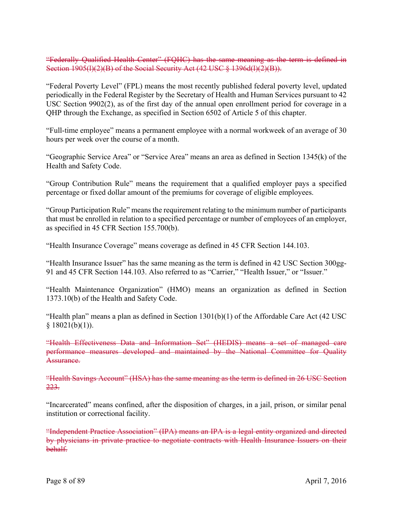"Federally Qualified Health Center" (FQHC) has the same meaning as the term is defined in Section 1905(l)(2)(B) of the Social Security Act (42 USC § 1396d(l)(2)(B)).

"Federal Poverty Level" (FPL) means the most recently published federal poverty level, updated periodically in the Federal Register by the Secretary of Health and Human Services pursuant to 42 USC Section 9902(2), as of the first day of the annual open enrollment period for coverage in a QHP through the Exchange, as specified in Section 6502 of Article 5 of this chapter.

"Full-time employee" means a permanent employee with a normal workweek of an average of 30 hours per week over the course of a month.

"Geographic Service Area" or "Service Area" means an area as defined in Section 1345(k) of the Health and Safety Code.

"Group Contribution Rule" means the requirement that a qualified employer pays a specified percentage or fixed dollar amount of the premiums for coverage of eligible employees.

"Group Participation Rule" means the requirement relating to the minimum number of participants that must be enrolled in relation to a specified percentage or number of employees of an employer, as specified in 45 CFR Section 155.700(b).

"Health Insurance Coverage" means coverage as defined in 45 CFR Section 144.103.

"Health Insurance Issuer" has the same meaning as the term is defined in 42 USC Section 300gg-91 and 45 CFR Section 144.103. Also referred to as "Carrier," "Health Issuer," or "Issuer."

"Health Maintenance Organization" (HMO) means an organization as defined in Section 1373.10(b) of the Health and Safety Code.

"Health plan" means a plan as defined in Section 1301(b)(1) of the Affordable Care Act (42 USC  $§ 18021(b)(1)).$ 

"Health Effectiveness Data and Information Set" (HEDIS) means a set of managed care performance measures developed and maintained by the National Committee for Quality Assurance.

"Health Savings Account" (HSA) has the same meaning as the term is defined in 26 USC Section 223.

"Incarcerated" means confined, after the disposition of charges, in a jail, prison, or similar penal institution or correctional facility.

"Independent Practice Association" (IPA) means an IPA is a legal entity organized and directed by physicians in private practice to negotiate contracts with Health Insurance Issuers on their behalf.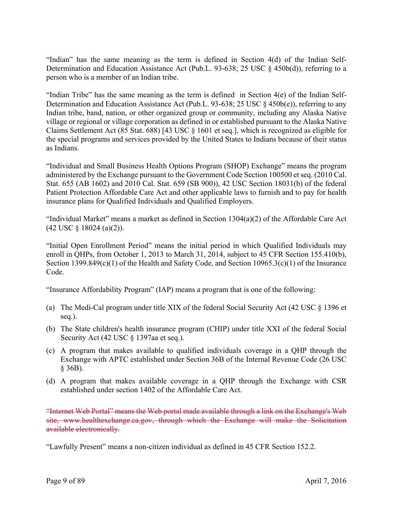"Indian" has the same meaning as the term is defined in Section 4(d) of the Indian Self-Determination and Education Assistance Act (Pub.L. 93-638; 25 USC § 450b(d)), referring to a person who is a member of an Indian tribe.

"Indian Tribe" has the same meaning as the term is defined in Section 4(e) of the Indian Self-Determination and Education Assistance Act (Pub.L. 93-638; 25 USC § 450b(e)), referring to any Indian tribe, band, nation, or other organized group or community, including any Alaska Native village or regional or village corporation as defined in or established pursuant to the Alaska Native Claims Settlement Act (85 Stat. 688) [43 USC § 1601 et seq.], which is recognized as eligible for the special programs and services provided by the United States to Indians because of their status as Indians.

"Individual and Small Business Health Options Program (SHOP) Exchange" means the program administered by the Exchange pursuant to the Government Code Section 100500 et seq. (2010 Cal. Stat. 655 (AB 1602) and 2010 Cal. Stat. 659 (SB 900)), 42 USC Section 18031(b) of the federal Patient Protection Affordable Care Act and other applicable laws to furnish and to pay for health insurance plans for Qualified Individuals and Qualified Employers.

"Individual Market" means a market as defined in Section 1304(a)(2) of the Affordable Care Act (42 USC § 18024 (a)(2)).

"Initial Open Enrollment Period" means the initial period in which Qualified Individuals may enroll in QHPs, from October 1, 2013 to March 31, 2014, subject to 45 CFR Section 155.410(b), Section 1399.849(c)(1) of the Health and Safety Code, and Section 10965.3(c)(1) of the Insurance Code.

"Insurance Affordability Program" (IAP) means a program that is one of the following:

- (a) The Medi-Cal program under title XIX of the federal Social Security Act (42 USC § 1396 et seq.).
- (b) The State children's health insurance program (CHIP) under title XXI of the federal Social Security Act (42 USC § 1397aa et seq.).
- (c) A program that makes available to qualified individuals coverage in a QHP through the Exchange with APTC established under Section 36B of the Internal Revenue Code (26 USC § 36B).
- (d) A program that makes available coverage in a QHP through the Exchange with CSR established under section 1402 of the Affordable Care Act.

"Internet Web Portal" means the Web portal made available through a link on the Exchange's Web site, www.healthexchange.ca.gov, through which the Exchange will make the Solicitation available electronically.

"Lawfully Present" means a non-citizen individual as defined in 45 CFR Section 152.2.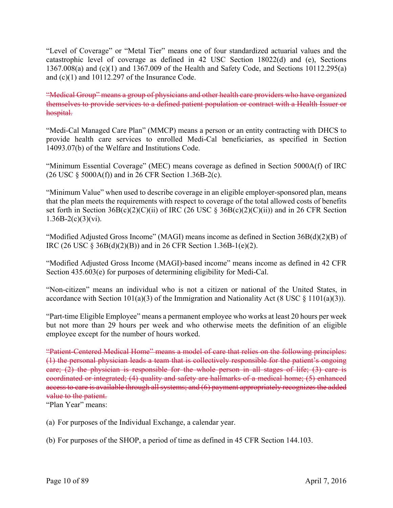"Level of Coverage" or "Metal Tier" means one of four standardized actuarial values and the catastrophic level of coverage as defined in 42 USC Section 18022(d) and (e), Sections 1367.008(a) and (c)(1) and 1367.009 of the Health and Safety Code, and Sections 10112.295(a) and (c)(1) and 10112.297 of the Insurance Code.

"Medical Group" means a group of physicians and other health care providers who have organized themselves to provide services to a defined patient population or contract with a Health Issuer or hospital.

"Medi-Cal Managed Care Plan" (MMCP) means a person or an entity contracting with DHCS to provide health care services to enrolled Medi-Cal beneficiaries, as specified in Section 14093.07(b) of the Welfare and Institutions Code.

"Minimum Essential Coverage" (MEC) means coverage as defined in Section 5000A(f) of IRC (26 USC § 5000A(f)) and in 26 CFR Section 1.36B-2(c).

"Minimum Value" when used to describe coverage in an eligible employer-sponsored plan, means that the plan meets the requirements with respect to coverage of the total allowed costs of benefits set forth in Section  $36B(c)(2)(C)(ii)$  of IRC (26 USC §  $36B(c)(2)(C)(ii)$ ) and in 26 CFR Section  $1.36B-2(c)(3)(vi)$ .

"Modified Adjusted Gross Income" (MAGI) means income as defined in Section 36B(d)(2)(B) of IRC (26 USC § 36B(d)(2)(B)) and in 26 CFR Section 1.36B-1(e)(2).

"Modified Adjusted Gross Income (MAGI)-based income" means income as defined in 42 CFR Section 435.603(e) for purposes of determining eligibility for Medi-Cal.

"Non-citizen" means an individual who is not a citizen or national of the United States, in accordance with Section 101(a)(3) of the Immigration and Nationality Act (8 USC  $\S$  1101(a)(3)).

"Part-time Eligible Employee" means a permanent employee who works at least 20 hours per week but not more than 29 hours per week and who otherwise meets the definition of an eligible employee except for the number of hours worked.

"Patient-Centered Medical Home" means a model of care that relies on the following principles: (1) the personal physician leads a team that is collectively responsible for the patient's ongoing care; (2) the physician is responsible for the whole person in all stages of life; (3) care is coordinated or integrated; (4) quality and safety are hallmarks of a medical home; (5) enhanced access to care is available through all systems; and (6) payment appropriately recognizes the added value to the patient.

"Plan Year" means:

(a) For purposes of the Individual Exchange, a calendar year.

(b) For purposes of the SHOP, a period of time as defined in 45 CFR Section 144.103.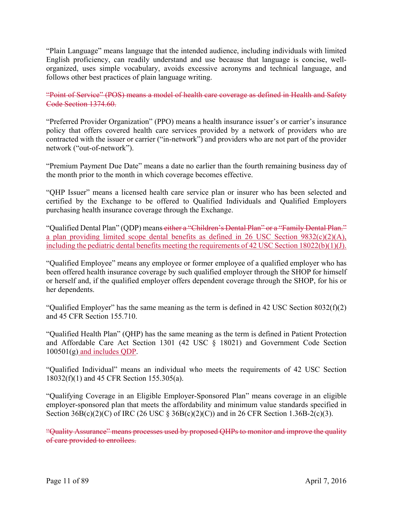"Plain Language" means language that the intended audience, including individuals with limited English proficiency, can readily understand and use because that language is concise, wellorganized, uses simple vocabulary, avoids excessive acronyms and technical language, and follows other best practices of plain language writing.

"Point of Service" (POS) means a model of health care coverage as defined in Health and Safety Code Section 1374.60.

"Preferred Provider Organization" (PPO) means a health insurance issuer's or carrier's insurance policy that offers covered health care services provided by a network of providers who are contracted with the issuer or carrier ("in-network") and providers who are not part of the provider network ("out-of-network").

"Premium Payment Due Date" means a date no earlier than the fourth remaining business day of the month prior to the month in which coverage becomes effective.

"QHP Issuer" means a licensed health care service plan or insurer who has been selected and certified by the Exchange to be offered to Qualified Individuals and Qualified Employers purchasing health insurance coverage through the Exchange.

"Qualified Dental Plan" (QDP) means either a "Children's Dental Plan" or a "Family Dental Plan." a plan providing limited scope dental benefits as defined in 26 USC Section 9832(c)(2)(A), including the pediatric dental benefits meeting the requirements of 42 USC Section 18022(b)(1)(J).

"Qualified Employee" means any employee or former employee of a qualified employer who has been offered health insurance coverage by such qualified employer through the SHOP for himself or herself and, if the qualified employer offers dependent coverage through the SHOP, for his or her dependents.

"Qualified Employer" has the same meaning as the term is defined in 42 USC Section 8032(f)(2) and 45 CFR Section 155.710.

"Qualified Health Plan" (QHP) has the same meaning as the term is defined in Patient Protection and Affordable Care Act Section 1301 (42 USC § 18021) and Government Code Section 100501(g) and includes QDP.

"Qualified Individual" means an individual who meets the requirements of 42 USC Section 18032(f)(1) and 45 CFR Section 155.305(a).

"Qualifying Coverage in an Eligible Employer-Sponsored Plan" means coverage in an eligible employer-sponsored plan that meets the affordability and minimum value standards specified in Section  $36B(c)(2)(C)$  of IRC (26 USC §  $36B(c)(2)(C)$ ) and in 26 CFR Section 1.36B-2(c)(3).

"Quality Assurance" means processes used by proposed QHPs to monitor and improve the quality of care provided to enrollees.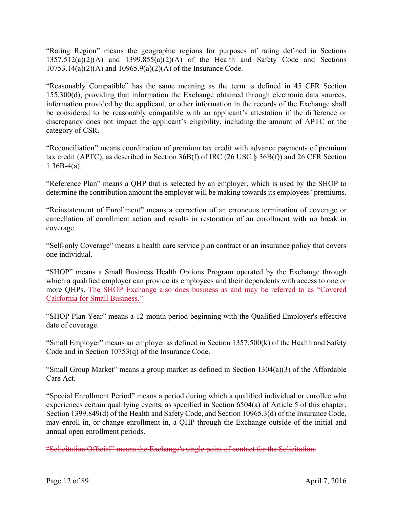"Rating Region" means the geographic regions for purposes of rating defined in Sections  $1357.512(a)(2)(A)$  and  $1399.855(a)(2)(A)$  of the Health and Safety Code and Sections 10753.14(a)(2)(A) and 10965.9(a)(2)(A) of the Insurance Code.

"Reasonably Compatible" has the same meaning as the term is defined in 45 CFR Section 155.300(d), providing that information the Exchange obtained through electronic data sources, information provided by the applicant, or other information in the records of the Exchange shall be considered to be reasonably compatible with an applicant's attestation if the difference or discrepancy does not impact the applicant's eligibility, including the amount of APTC or the category of CSR.

"Reconciliation" means coordination of premium tax credit with advance payments of premium tax credit (APTC), as described in Section 36B(f) of IRC (26 USC § 36B(f)) and 26 CFR Section  $1.36B-4(a)$ .

"Reference Plan" means a QHP that is selected by an employer, which is used by the SHOP to determine the contribution amount the employer will be making towards its employees' premiums.

"Reinstatement of Enrollment" means a correction of an erroneous termination of coverage or cancellation of enrollment action and results in restoration of an enrollment with no break in coverage.

"Self-only Coverage" means a health care service plan contract or an insurance policy that covers one individual.

"SHOP" means a Small Business Health Options Program operated by the Exchange through which a qualified employer can provide its employees and their dependents with access to one or more QHPs. The SHOP Exchange also does business as and may be referred to as "Covered California for Small Business."

"SHOP Plan Year" means a 12-month period beginning with the Qualified Employer's effective date of coverage.

"Small Employer" means an employer as defined in Section 1357.500(k) of the Health and Safety Code and in Section 10753(q) of the Insurance Code.

"Small Group Market" means a group market as defined in Section 1304(a)(3) of the Affordable Care Act.

"Special Enrollment Period" means a period during which a qualified individual or enrollee who experiences certain qualifying events, as specified in Section 6504(a) of Article 5 of this chapter, Section 1399.849(d) of the Health and Safety Code, and Section 10965.3(d) of the Insurance Code, may enroll in, or change enrollment in, a QHP through the Exchange outside of the initial and annual open enrollment periods.

"Solicitation Official" means the Exchange's single point of contact for the Solicitation.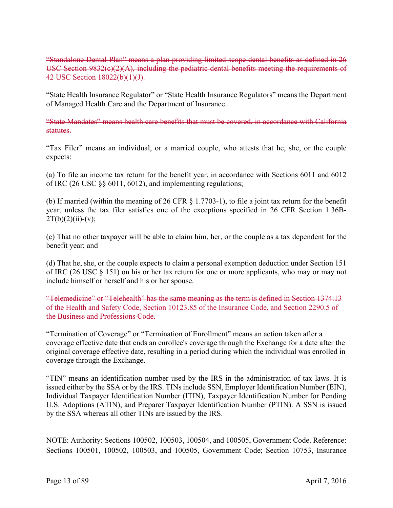"Standalone Dental Plan" means a plan providing limited scope dental benefits as defined in 26 USC Section 9832(c)(2)(A), including the pediatric dental benefits meeting the requirements of 42 USC Section 18022(b)(1)(J).

"State Health Insurance Regulator" or "State Health Insurance Regulators" means the Department of Managed Health Care and the Department of Insurance.

"State Mandates" means health care benefits that must be covered, in accordance with California statutes.

"Tax Filer" means an individual, or a married couple, who attests that he, she, or the couple expects:

(a) To file an income tax return for the benefit year, in accordance with Sections 6011 and 6012 of IRC (26 USC §§ 6011, 6012), and implementing regulations;

(b) If married (within the meaning of 26 CFR § 1.7703-1), to file a joint tax return for the benefit year, unless the tax filer satisfies one of the exceptions specified in 26 CFR Section 1.36B- $2T(b)(2)(ii)-(v);$ 

(c) That no other taxpayer will be able to claim him, her, or the couple as a tax dependent for the benefit year; and

(d) That he, she, or the couple expects to claim a personal exemption deduction under Section 151 of IRC (26 USC § 151) on his or her tax return for one or more applicants, who may or may not include himself or herself and his or her spouse.

"Telemedicine" or "Telehealth" has the same meaning as the term is defined in Section 1374.13 of the Health and Safety Code, Section 10123.85 of the Insurance Code, and Section 2290.5 of the Business and Professions Code.

"Termination of Coverage" or "Termination of Enrollment" means an action taken after a coverage effective date that ends an enrollee's coverage through the Exchange for a date after the original coverage effective date, resulting in a period during which the individual was enrolled in coverage through the Exchange.

"TIN" means an identification number used by the IRS in the administration of tax laws. It is issued either by the SSA or by the IRS. TINs include SSN, Employer Identification Number (EIN), Individual Taxpayer Identification Number (ITIN), Taxpayer Identification Number for Pending U.S. Adoptions (ATIN), and Preparer Taxpayer Identification Number (PTIN). A SSN is issued by the SSA whereas all other TINs are issued by the IRS.

NOTE: Authority: Sections 100502, 100503, 100504, and 100505, Government Code. Reference: Sections 100501, 100502, 100503, and 100505, Government Code; Section 10753, Insurance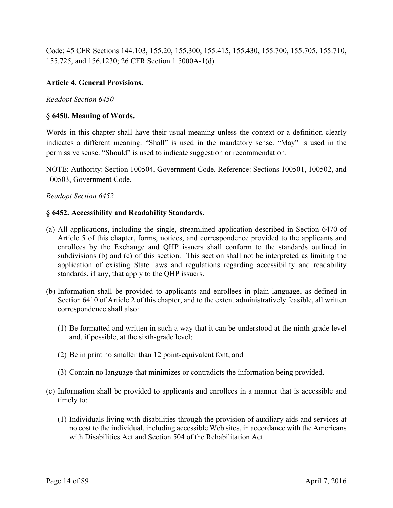Code; 45 CFR Sections 144.103, 155.20, 155.300, 155.415, 155.430, 155.700, 155.705, 155.710, 155.725, and 156.1230; 26 CFR Section 1.5000A-1(d).

# **Article 4. General Provisions.**

#### *Readopt Section 6450*

#### **§ 6450. Meaning of Words.**

Words in this chapter shall have their usual meaning unless the context or a definition clearly indicates a different meaning. "Shall" is used in the mandatory sense. "May" is used in the permissive sense. "Should" is used to indicate suggestion or recommendation.

NOTE: Authority: Section 100504, Government Code. Reference: Sections 100501, 100502, and 100503, Government Code.

#### *Readopt Section 6452*

#### **§ 6452. Accessibility and Readability Standards.**

- (a) All applications, including the single, streamlined application described in Section 6470 of Article 5 of this chapter, forms, notices, and correspondence provided to the applicants and enrollees by the Exchange and QHP issuers shall conform to the standards outlined in subdivisions (b) and (c) of this section. This section shall not be interpreted as limiting the application of existing State laws and regulations regarding accessibility and readability standards, if any, that apply to the QHP issuers.
- (b) Information shall be provided to applicants and enrollees in plain language, as defined in Section 6410 of Article 2 of this chapter, and to the extent administratively feasible, all written correspondence shall also:
	- (1) Be formatted and written in such a way that it can be understood at the ninth-grade level and, if possible, at the sixth-grade level;
	- (2) Be in print no smaller than 12 point-equivalent font; and
	- (3) Contain no language that minimizes or contradicts the information being provided.
- (c) Information shall be provided to applicants and enrollees in a manner that is accessible and timely to:
	- (1) Individuals living with disabilities through the provision of auxiliary aids and services at no cost to the individual, including accessible Web sites, in accordance with the Americans with Disabilities Act and Section 504 of the Rehabilitation Act.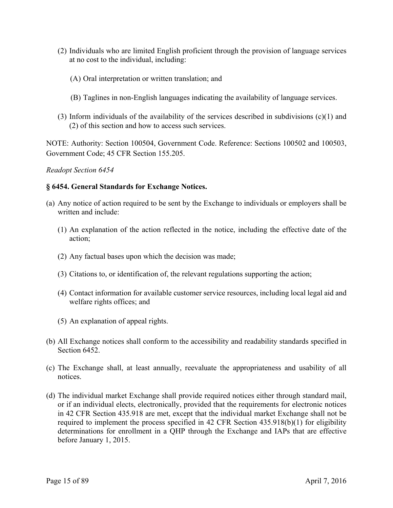- (2) Individuals who are limited English proficient through the provision of language services at no cost to the individual, including:
	- (A) Oral interpretation or written translation; and
	- (B) Taglines in non-English languages indicating the availability of language services.
- (3) Inform individuals of the availability of the services described in subdivisions (c)(1) and (2) of this section and how to access such services.

NOTE: Authority: Section 100504, Government Code. Reference: Sections 100502 and 100503, Government Code; 45 CFR Section 155.205.

#### *Readopt Section 6454*

### **§ 6454. General Standards for Exchange Notices.**

- (a) Any notice of action required to be sent by the Exchange to individuals or employers shall be written and include:
	- (1) An explanation of the action reflected in the notice, including the effective date of the action;
	- (2) Any factual bases upon which the decision was made;
	- (3) Citations to, or identification of, the relevant regulations supporting the action;
	- (4) Contact information for available customer service resources, including local legal aid and welfare rights offices; and
	- (5) An explanation of appeal rights.
- (b) All Exchange notices shall conform to the accessibility and readability standards specified in Section 6452.
- (c) The Exchange shall, at least annually, reevaluate the appropriateness and usability of all notices.
- (d) The individual market Exchange shall provide required notices either through standard mail, or if an individual elects, electronically, provided that the requirements for electronic notices in 42 CFR Section 435.918 are met, except that the individual market Exchange shall not be required to implement the process specified in 42 CFR Section 435.918(b)(1) for eligibility determinations for enrollment in a QHP through the Exchange and IAPs that are effective before January 1, 2015.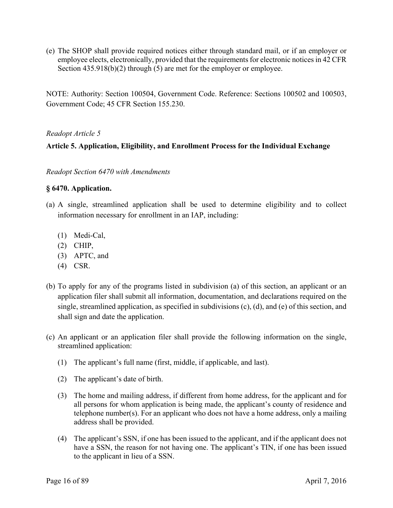(e) The SHOP shall provide required notices either through standard mail, or if an employer or employee elects, electronically, provided that the requirements for electronic notices in 42 CFR Section 435.918(b)(2) through (5) are met for the employer or employee.

NOTE: Authority: Section 100504, Government Code. Reference: Sections 100502 and 100503, Government Code; 45 CFR Section 155.230.

# *Readopt Article 5*

# **Article 5. Application, Eligibility, and Enrollment Process for the Individual Exchange**

*Readopt Section 6470 with Amendments* 

#### **§ 6470. Application.**

- (a) A single, streamlined application shall be used to determine eligibility and to collect information necessary for enrollment in an IAP, including:
	- (1) Medi-Cal,
	- $(2)$  CHIP,
	- (3) APTC, and
	- (4) CSR.
- (b) To apply for any of the programs listed in subdivision (a) of this section, an applicant or an application filer shall submit all information, documentation, and declarations required on the single, streamlined application, as specified in subdivisions (c), (d), and (e) of this section, and shall sign and date the application.
- streamlined application: (c) An applicant or an application filer shall provide the following information on the single,
	- $(1)$  The applicant's full name (first, middle, if applicable, and last).
	- (2) The applicant's date of birth.
	- (3) The home and mailing address, if different from home address, for the applicant and for all persons for whom application is being made, the applicant's county of residence and telephone number(s). For an applicant who does not have a home address, only a mailing address shall be provided.
	- (4) The applicant's SSN, if one has been issued to the applicant, and if the applicant does not have a SSN, the reason for not having one. The applicant's TIN, if one has been issued to the applicant in lieu of a SSN.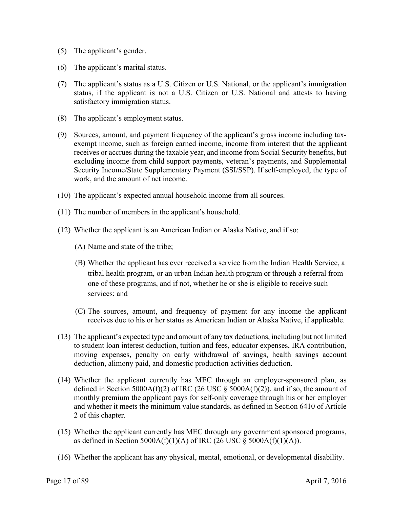- (5) The applicant's gender.
- (6) The applicant's marital status.
- (7) The applicant's status as a U.S. Citizen or U.S. National, or the applicant's immigration status, if the applicant is not a U.S. Citizen or U.S. National and attests to having satisfactory immigration status.
- (8) The applicant's employment status.
- (9) Sources, amount, and payment frequency of the applicant's gross income including taxexempt income, such as foreign earned income, income from interest that the applicant receives or accrues during the taxable year, and income from Social Security benefits, but excluding income from child support payments, veteran's payments, and Supplemental Security Income/State Supplementary Payment (SSI/SSP). If self-employed, the type of work, and the amount of net income.
- (10) The applicant's expected annual household income from all sources.
- (11) The number of members in the applicant's household.
- (12) Whether the applicant is an American Indian or Alaska Native, and if so:
	- (A) Name and state of the tribe;
	- (B) Whether the applicant has ever received a service from the Indian Health Service, a tribal health program, or an urban Indian health program or through a referral from one of these programs, and if not, whether he or she is eligible to receive such services; and
	- (C) The sources, amount, and frequency of payment for any income the applicant receives due to his or her status as American Indian or Alaska Native, if applicable.
- (13) The applicant's expected type and amount of any tax deductions, including but not limited to student loan interest deduction, tuition and fees, educator expenses, IRA contribution, moving expenses, penalty on early withdrawal of savings, health savings account deduction, alimony paid, and domestic production activities deduction.
- (14) Whether the applicant currently has MEC through an employer-sponsored plan, as defined in Section 5000A(f)(2) of IRC (26 USC  $\frac{1}{5}$  5000A(f)(2)), and if so, the amount of monthly premium the applicant pays for self-only coverage through his or her employer and whether it meets the minimum value standards, as defined in Section 6410 of Article 2 of this chapter.
- (15) Whether the applicant currently has MEC through any government sponsored programs, as defined in Section 5000A(f)(1)(A) of IRC (26 USC  $\S$  5000A(f)(1)(A)).
- (16) Whether the applicant has any physical, mental, emotional, or developmental disability.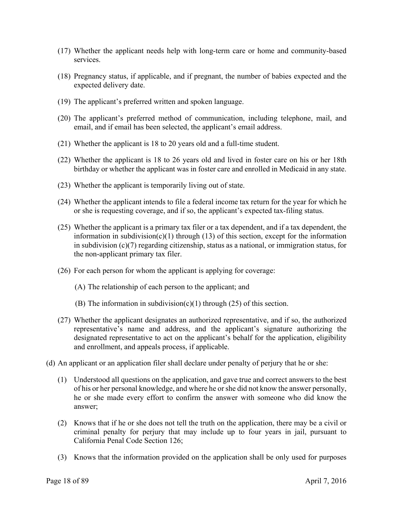- (17) Whether the applicant needs help with long-term care or home and community-based services.
- (18) Pregnancy status, if applicable, and if pregnant, the number of babies expected and the expected delivery date.
- (19) The applicant's preferred written and spoken language.
- (20) The applicant's preferred method of communication, including telephone, mail, and email, and if email has been selected, the applicant's email address.
- (21) Whether the applicant is 18 to 20 years old and a full-time student.
- (22) Whether the applicant is 18 to 26 years old and lived in foster care on his or her 18th birthday or whether the applicant was in foster care and enrolled in Medicaid in any state.
- (23) Whether the applicant is temporarily living out of state.
- (24) Whether the applicant intends to file a federal income tax return for the year for which he or she is requesting coverage, and if so, the applicant's expected tax-filing status.
- (25) Whether the applicant is a primary tax filer or a tax dependent, and if a tax dependent, the information in subdivision(c)(1) through (13) of this section, except for the information in subdivision (c)(7) regarding citizenship, status as a national, or immigration status, for the non-applicant primary tax filer.
- (26) For each person for whom the applicant is applying for coverage:
	- (A) The relationship of each person to the applicant; and
	- (B) The information in subdivision(c)(1) through (25) of this section.
- (27) Whether the applicant designates an authorized representative, and if so, the authorized representative's name and address, and the applicant's signature authorizing the designated representative to act on the applicant's behalf for the application, eligibility and enrollment, and appeals process, if applicable.
- (d) An applicant or an application filer shall declare under penalty of perjury that he or she:
	- (1) Understood all questions on the application, and gave true and correct answers to the best of his or her personal knowledge, and where he or she did not know the answer personally, he or she made every effort to confirm the answer with someone who did know the answer;
	- (2) Knows that if he or she does not tell the truth on the application, there may be a civil or criminal penalty for perjury that may include up to four years in jail, pursuant to California Penal Code Section 126;
	- (3) Knows that the information provided on the application shall be only used for purposes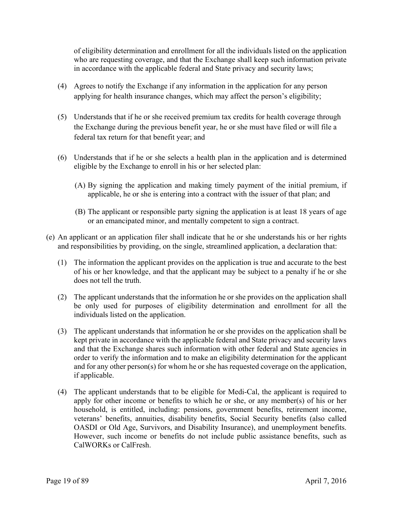of eligibility determination and enrollment for all the individuals listed on the application who are requesting coverage, and that the Exchange shall keep such information private in accordance with the applicable federal and State privacy and security laws;

- (4) Agrees to notify the Exchange if any information in the application for any person applying for health insurance changes, which may affect the person's eligibility;
- (5) Understands that if he or she received premium tax credits for health coverage through the Exchange during the previous benefit year, he or she must have filed or will file a federal tax return for that benefit year; and
- (6) Understands that if he or she selects a health plan in the application and is determined eligible by the Exchange to enroll in his or her selected plan:
	- (A) By signing the application and making timely payment of the initial premium, if applicable, he or she is entering into a contract with the issuer of that plan; and
	- (B) The applicant or responsible party signing the application is at least 18 years of age or an emancipated minor, and mentally competent to sign a contract.
- (e) An applicant or an application filer shall indicate that he or she understands his or her rights and responsibilities by providing, on the single, streamlined application, a declaration that:
	- (1) The information the applicant provides on the application is true and accurate to the best of his or her knowledge, and that the applicant may be subject to a penalty if he or she does not tell the truth.
	- (2) The applicant understands that the information he or she provides on the application shall be only used for purposes of eligibility determination and enrollment for all the individuals listed on the application.
	- (3) The applicant understands that information he or she provides on the application shall be kept private in accordance with the applicable federal and State privacy and security laws and that the Exchange shares such information with other federal and State agencies in order to verify the information and to make an eligibility determination for the applicant and for any other person(s) for whom he or she has requested coverage on the application, if applicable.
	- (4) The applicant understands that to be eligible for Medi-Cal, the applicant is required to apply for other income or benefits to which he or she, or any member(s) of his or her household, is entitled, including: pensions, government benefits, retirement income, veterans' benefits, annuities, disability benefits, Social Security benefits (also called OASDI or Old Age, Survivors, and Disability Insurance), and unemployment benefits. However, such income or benefits do not include public assistance benefits, such as CalWORKs or CalFresh.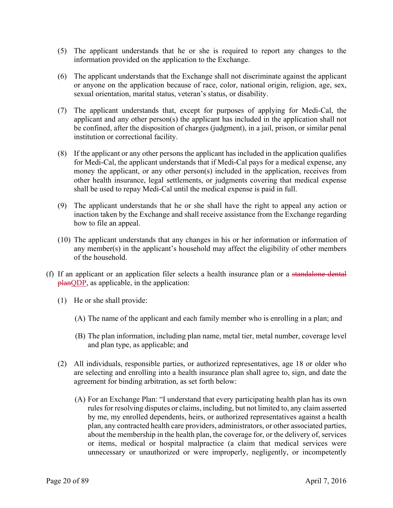- (5) The applicant understands that he or she is required to report any changes to the information provided on the application to the Exchange.
- (6) The applicant understands that the Exchange shall not discriminate against the applicant or anyone on the application because of race, color, national origin, religion, age, sex, sexual orientation, marital status, veteran's status, or disability.
- (7) The applicant understands that, except for purposes of applying for Medi-Cal, the applicant and any other person(s) the applicant has included in the application shall not be confined, after the disposition of charges (judgment), in a jail, prison, or similar penal institution or correctional facility.
- shall be used to repay Medi-Cal until the medical expense is paid in full. (8) If the applicant or any other persons the applicant has included in the application qualifies for Medi-Cal, the applicant understands that if Medi-Cal pays for a medical expense, any money the applicant, or any other person(s) included in the application, receives from other health insurance, legal settlements, or judgments covering that medical expense
- $\theta$ ) The applicant understands that he or she shall have the right to appeal any action or inaction taken by the Exchange and shall receive assistance from the Exchange regarding how to file an appeal.
- (10) The applicant understands that any changes in his or her information or information of any member(s) in the applicant's household may affect the eligibility of other members of the household.
- **planQDP**, as applicable, in the application:<br>(1) He or she shall provide: (f) If an applicant or an application filer selects a health insurance plan or a standalone dental
	- - (A) The name of the applicant and each family member who is enrolling in a plan; and
		- (B) The plan information, including plan name, metal tier, metal number, coverage level and plan type, as applicable; and
	- (2) All individuals, responsible parties, or authorized representatives, age 18 or older who are selecting and enrolling into a health insurance plan shall agree to, sign, and date the agreement for binding arbitration, as set forth below:
		- (A) For an Exchange Plan: "I understand that every participating health plan has its own rules for resolving disputes or claims, including, but not limited to, any claim asserted by me, my enrolled dependents, heirs, or authorized representatives against a health plan, any contracted health care providers, administrators, or other associated parties, about the membership in the health plan, the coverage for, or the delivery of, services or items, medical or hospital malpractice (a claim that medical services were unnecessary or unauthorized or were improperly, negligently, or incompetently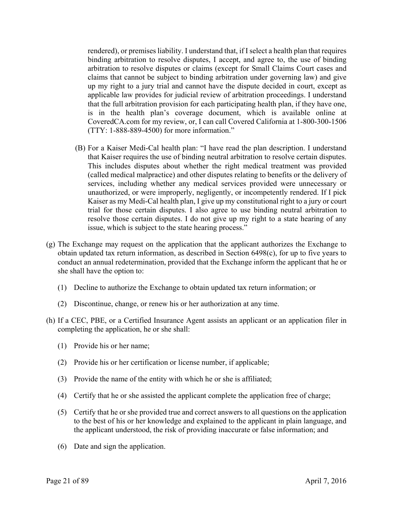rendered), or premises liability. I understand that, if I select a health plan that requires binding arbitration to resolve disputes, I accept, and agree to, the use of binding arbitration to resolve disputes or claims (except for Small Claims Court cases and claims that cannot be subject to binding arbitration under governing law) and give up my right to a jury trial and cannot have the dispute decided in court, except as applicable law provides for judicial review of arbitration proceedings. I understand that the full arbitration provision for each participating health plan, if they have one, is in the health plan's coverage document, which is available online at CoveredCA.com for my review, or, I can call Covered California at 1-800-300-1506 (TTY: 1-888-889-4500) for more information."

- (B) For a Kaiser Medi-Cal health plan: "I have read the plan description. I understand that Kaiser requires the use of binding neutral arbitration to resolve certain disputes. This includes disputes about whether the right medical treatment was provided (called medical malpractice) and other disputes relating to benefits or the delivery of services, including whether any medical services provided were unnecessary or unauthorized, or were improperly, negligently, or incompetently rendered. If I pick Kaiser as my Medi-Cal health plan, I give up my constitutional right to a jury or court trial for those certain disputes. I also agree to use binding neutral arbitration to resolve those certain disputes. I do not give up my right to a state hearing of any issue, which is subject to the state hearing process."
- (g) The Exchange may request on the application that the applicant authorizes the Exchange to obtain updated tax return information, as described in Section 6498(c), for up to five years to conduct an annual redetermination, provided that the Exchange inform the applicant that he or she shall have the option to:
	- (1) Decline to authorize the Exchange to obtain updated tax return information; or
	- (2) Discontinue, change, or renew his or her authorization at any time.
- (h) If a CEC, PBE, or a Certified Insurance Agent assists an applicant or an application filer in completing the application, he or she shall:
	- (1) Provide his or her name;
	- (2) Provide his or her certification or license number, if applicable;
	- (3) Provide the name of the entity with which he or she is affiliated;
	- (4) Certify that he or she assisted the applicant complete the application free of charge;
	- (5) Certify that he or she provided true and correct answers to all questions on the application to the best of his or her knowledge and explained to the applicant in plain language, and the applicant understood, the risk of providing inaccurate or false information; and
	- (6) Date and sign the application.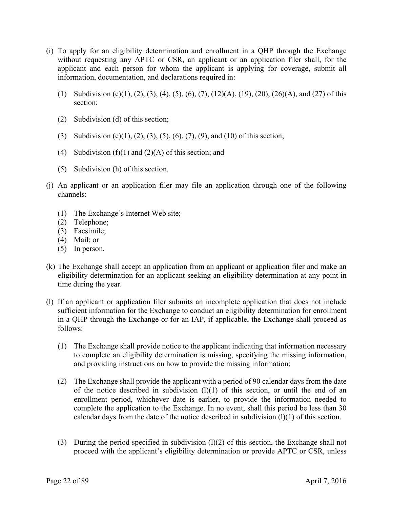- (i) To apply for an eligibility determination and enrollment in a QHP through the Exchange without requesting any APTC or CSR, an applicant or an application filer shall, for the applicant and each person for whom the applicant is applying for coverage, submit all information, documentation, and declarations required in:
	- (1) Subdivision (c)(1), (2), (3), (4), (5), (6), (7), (12)(A), (19), (20), (26)(A), and (27) of this section;
	- (2) Subdivision (d) of this section;
	- (3) Subdivision (e)(1), (2), (3), (5), (6), (7), (9), and (10) of this section;
	- (4) Subdivision (f)(1) and (2)(A) of this section; and
	- (5) Subdivision (h) of this section.
- (j) An applicant or an application filer may file an application through one of the following channels:
	- (1) The Exchange's Internet Web site;
	- (2) Telephone;
	- (3) Facsimile;
	- $(4)$  Mail; or
	- $(5)$  In person.
- (k) The Exchange shall accept an application from an applicant or application filer and make an eligibility determination for an applicant seeking an eligibility determination at any point in time during the year.
- (l) If an applicant or application filer submits an incomplete application that does not include sufficient information for the Exchange to conduct an eligibility determination for enrollment in a QHP through the Exchange or for an IAP, if applicable, the Exchange shall proceed as follows:
	- (1) The Exchange shall provide notice to the applicant indicating that information necessary to complete an eligibility determination is missing, specifying the missing information, and providing instructions on how to provide the missing information;
	- (2) The Exchange shall provide the applicant with a period of 90 calendar days from the date of the notice described in subdivision  $(1)(1)$  of this section, or until the end of an enrollment period, whichever date is earlier, to provide the information needed to complete the application to the Exchange. In no event, shall this period be less than 30 calendar days from the date of the notice described in subdivision (l)(1) of this section.
	- (3) During the period specified in subdivision  $(1)(2)$  of this section, the Exchange shall not proceed with the applicant's eligibility determination or provide APTC or CSR, unless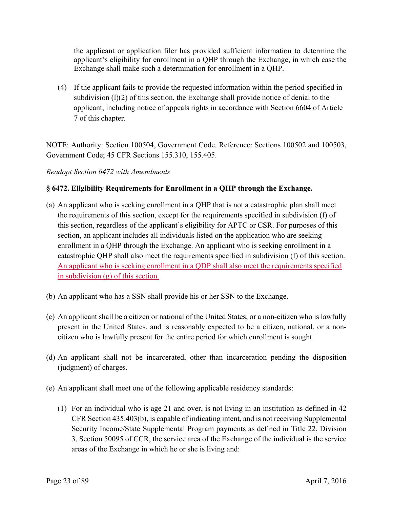the applicant or application filer has provided sufficient information to determine the applicant's eligibility for enrollment in a QHP through the Exchange, in which case the Exchange shall make such a determination for enrollment in a QHP.

(4) If the applicant fails to provide the requested information within the period specified in subdivision  $(1)(2)$  of this section, the Exchange shall provide notice of denial to the applicant, including notice of appeals rights in accordance with Section 6604 of Article 7 of this chapter.

NOTE: Authority: Section 100504, Government Code. Reference: Sections 100502 and 100503, Government Code; 45 CFR Sections 155.310, 155.405.

# *Readopt Section 6472 with Amendments*

# **§ 6472. Eligibility Requirements for Enrollment in a QHP through the Exchange.**

- (a) An applicant who is seeking enrollment in a QHP that is not a catastrophic plan shall meet the requirements of this section, except for the requirements specified in subdivision (f) of this section, regardless of the applicant's eligibility for APTC or CSR. For purposes of this section, an applicant includes all individuals listed on the application who are seeking enrollment in a QHP through the Exchange. An applicant who is seeking enrollment in a catastrophic QHP shall also meet the requirements specified in subdivision (f) of this section. An applicant who is seeking enrollment in a QDP shall also meet the requirements specified in subdivision (g) of this section.
- (b) An applicant who has a SSN shall provide his or her SSN to the Exchange.
- (c) An applicant shall be a citizen or national of the United States, or a non-citizen who is lawfully present in the United States, and is reasonably expected to be a citizen, national, or a noncitizen who is lawfully present for the entire period for which enrollment is sought.
- (d) An applicant shall not be incarcerated, other than incarceration pending the disposition (judgment) of charges.
- (e) An applicant shall meet one of the following applicable residency standards:
	- (1) For an individual who is age 21 and over, is not living in an institution as defined in 42 CFR Section 435.403(b), is capable of indicating intent, and is not receiving Supplemental Security Income/State Supplemental Program payments as defined in Title 22, Division 3, Section 50095 of CCR, the service area of the Exchange of the individual is the service areas of the Exchange in which he or she is living and: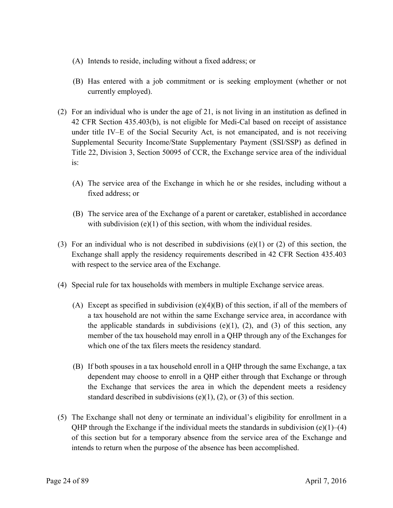- (A) Intends to reside, including without a fixed address; or
- (B) Has entered with a job commitment or is seeking employment (whether or not currently employed).
- (2) For an individual who is under the age of 21, is not living in an institution as defined in 42 CFR Section 435.403(b), is not eligible for Medi-Cal based on receipt of assistance under title IV–E of the Social Security Act, is not emancipated, and is not receiving Supplemental Security Income/State Supplementary Payment (SSI/SSP) as defined in Title 22, Division 3, Section 50095 of CCR, the Exchange service area of the individual is:
	- (A) The service area of the Exchange in which he or she resides, including without a fixed address; or
	- (B) The service area of the Exchange of a parent or caretaker, established in accordance with subdivision  $(e)(1)$  of this section, with whom the individual resides.
- (3) For an individual who is not described in subdivisions  $(e)(1)$  or (2) of this section, the Exchange shall apply the residency requirements described in 42 CFR Section 435.403 with respect to the service area of the Exchange.
- (4) Special rule for tax households with members in multiple Exchange service areas.
	- (A) Except as specified in subdivision  $(e)(4)(B)$  of this section, if all of the members of a tax household are not within the same Exchange service area, in accordance with the applicable standards in subdivisions  $(e)(1)$ ,  $(2)$ , and  $(3)$  of this section, any member of the tax household may enroll in a QHP through any of the Exchanges for which one of the tax filers meets the residency standard.
	- (B) If both spouses in a tax household enroll in a QHP through the same Exchange, a tax dependent may choose to enroll in a QHP either through that Exchange or through the Exchange that services the area in which the dependent meets a residency standard described in subdivisions (e)(1), (2), or (3) of this section.
- (5) The Exchange shall not deny or terminate an individual's eligibility for enrollment in a QHP through the Exchange if the individual meets the standards in subdivision (e)(1)–(4) of this section but for a temporary absence from the service area of the Exchange and intends to return when the purpose of the absence has been accomplished.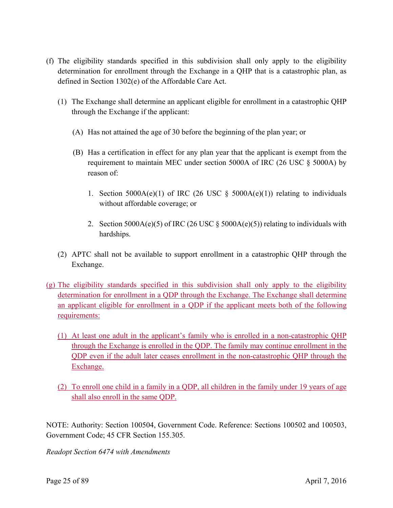- (f) The eligibility standards specified in this subdivision shall only apply to the eligibility determination for enrollment through the Exchange in a QHP that is a catastrophic plan, as defined in Section 1302(e) of the Affordable Care Act.
	- (1) The Exchange shall determine an applicant eligible for enrollment in a catastrophic QHP through the Exchange if the applicant:
		- (A) Has not attained the age of 30 before the beginning of the plan year; or
		- (B) Has a certification in effect for any plan year that the applicant is exempt from the requirement to maintain MEC under section 5000A of IRC (26 USC § 5000A) by reason of:
			- 1. Section 5000A(e)(1) of IRC (26 USC  $\S$  5000A(e)(1)) relating to individuals without affordable coverage; or
			- 2. Section 5000A(e)(5) of IRC (26 USC  $\S$  5000A(e)(5)) relating to individuals with hardships.
	- (2) APTC shall not be available to support enrollment in a catastrophic QHP through the Exchange.
- (g) The eligibility standards specified in this subdivision shall only apply to the eligibility determination for enrollment in a QDP through the Exchange. The Exchange shall determine an applicant eligible for enrollment in a QDP if the applicant meets both of the following requirements:
	- (1) At least one adult in the applicant's family who is enrolled in a non-catastrophic QHP through the Exchange is enrolled in the QDP. The family may continue enrollment in the QDP even if the adult later ceases enrollment in the non-catastrophic QHP through the Exchange.
	- (2) To enroll one child in a family in a QDP, all children in the family under 19 years of age shall also enroll in the same QDP.

NOTE: Authority: Section 100504, Government Code. Reference: Sections 100502 and 100503, Government Code; 45 CFR Section 155.305.

*Readopt Section 6474 with Amendments*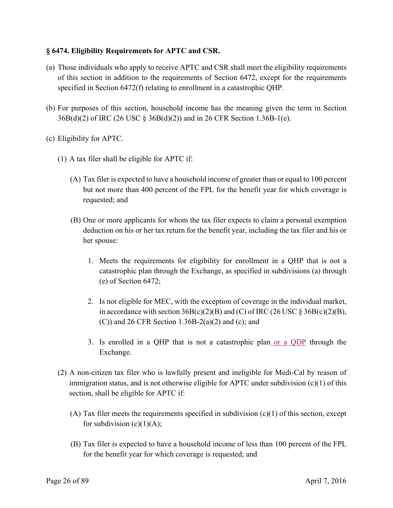# **§ 6474. Eligibility Requirements for APTC and CSR.**

- (a) Those individuals who apply to receive APTC and CSR shall meet the eligibility requirements of this section in addition to the requirements of Section 6472, except for the requirements specified in Section 6472(f) relating to enrollment in a catastrophic QHP.
- (b) For purposes of this section, household income has the meaning given the term in Section 36B(d)(2) of IRC (26 USC § 36B(d)(2)) and in 26 CFR Section 1.36B-1(e).
- (c) Eligibility for APTC.
	- (1) A tax filer shall be eligible for APTC if:
		- (A) Tax filer is expected to have a household income of greater than or equal to 100 percent but not more than 400 percent of the FPL for the benefit year for which coverage is requested; and
		- (B) One or more applicants for whom the tax filer expects to claim a personal exemption deduction on his or her tax return for the benefit year, including the tax filer and his or her spouse:
			- 1. Meets the requirements for eligibility for enrollment in a QHP that is not a catastrophic plan through the Exchange, as specified in subdivisions (a) through (e) of Section 6472;
			- 2. Is not eligible for MEC, with the exception of coverage in the individual market, in accordance with section  $36B(c)(2)(B)$  and (C) of IRC (26 USC § 36B(c)(2)(B),  $(C)$ ) and 26 CFR Section 1.36B-2(a)(2) and (c); and
			- 3. Is enrolled in a QHP that is not a catastrophic plan or a QDP through the Exchange.
	- (2) A non-citizen tax filer who is lawfully present and ineligible for Medi-Cal by reason of immigration status, and is not otherwise eligible for APTC under subdivision (c)(1) of this section, shall be eligible for APTC if:
		- (A) Tax filer meets the requirements specified in subdivision  $(c)(1)$  of this section, except for subdivision  $(c)(1)(A)$ ;
		- (B) Tax filer is expected to have a household income of less than 100 percent of the FPL for the benefit year for which coverage is requested; and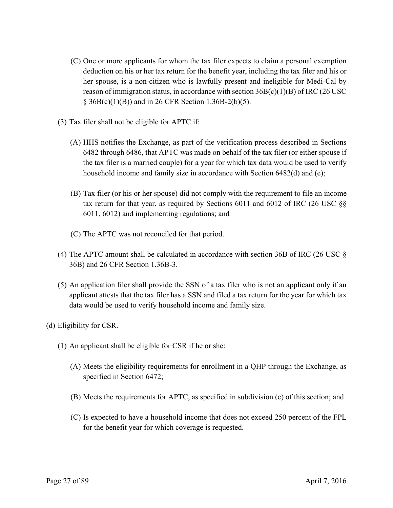- (C) One or more applicants for whom the tax filer expects to claim a personal exemption deduction on his or her tax return for the benefit year, including the tax filer and his or her spouse, is a non-citizen who is lawfully present and ineligible for Medi-Cal by reason of immigration status, in accordance with section  $36B(c)(1)(B)$  of IRC (26 USC)  $§ 36B(c)(1)(B))$  and in 26 CFR Section 1.36B-2(b)(5).
- (3) Tax filer shall not be eligible for APTC if:
	- (A) HHS notifies the Exchange, as part of the verification process described in Sections 6482 through 6486, that APTC was made on behalf of the tax filer (or either spouse if the tax filer is a married couple) for a year for which tax data would be used to verify household income and family size in accordance with Section 6482(d) and (e);
	- (B) Tax filer (or his or her spouse) did not comply with the requirement to file an income tax return for that year, as required by Sections 6011 and 6012 of IRC (26 USC §§ 6011, 6012) and implementing regulations; and
	- (C) The APTC was not reconciled for that period.
- (4) The APTC amount shall be calculated in accordance with section 36B of IRC (26 USC  $\S$ ) 36B) and 26 CFR Section 1.36B-3.
- (5) An application filer shall provide the SSN of a tax filer who is not an applicant only if an applicant attests that the tax filer has a SSN and filed a tax return for the year for which tax data would be used to verify household income and family size.
- (d) Eligibility for CSR.
	- (1) An applicant shall be eligible for CSR if he or she:
		- (A) Meets the eligibility requirements for enrollment in a QHP through the Exchange, as specified in Section 6472;
		- (B) Meets the requirements for APTC, as specified in subdivision (c) of this section; and
		- (C) Is expected to have a household income that does not exceed 250 percent of the FPL for the benefit year for which coverage is requested.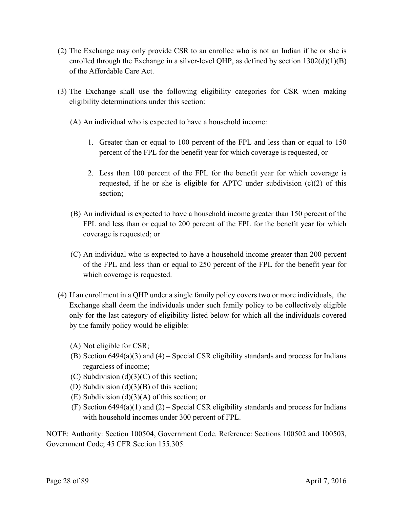- (2) The Exchange may only provide CSR to an enrollee who is not an Indian if he or she is enrolled through the Exchange in a silver-level QHP, as defined by section  $1302(d)(1)(B)$ of the Affordable Care Act.
- (3) The Exchange shall use the following eligibility categories for CSR when making eligibility determinations under this section:
	- (A) An individual who is expected to have a household income:
		- 1. Greater than or equal to 100 percent of the FPL and less than or equal to 150 percent of the FPL for the benefit year for which coverage is requested, or
		- 2. Less than 100 percent of the FPL for the benefit year for which coverage is requested, if he or she is eligible for APTC under subdivision  $(c)(2)$  of this section;
	- (B) An individual is expected to have a household income greater than 150 percent of the FPL and less than or equal to 200 percent of the FPL for the benefit year for which coverage is requested; or
	- (C) An individual who is expected to have a household income greater than 200 percent of the FPL and less than or equal to 250 percent of the FPL for the benefit year for which coverage is requested.
- (4) If an enrollment in a QHP under a single family policy covers two or more individuals, the Exchange shall deem the individuals under such family policy to be collectively eligible only for the last category of eligibility listed below for which all the individuals covered by the family policy would be eligible:
	- (A) Not eligible for CSR;
	- (B) Section 6494(a)(3) and (4) Special CSR eligibility standards and process for Indians regardless of income;
	- (C) Subdivision  $(d)(3)(C)$  of this section;
	- (D) Subdivision (d)(3)(B) of this section;
	- (E) Subdivision (d)(3)(A) of this section; or
	- (F) Section  $6494(a)(1)$  and  $(2)$  Special CSR eligibility standards and process for Indians with household incomes under 300 percent of FPL.

NOTE: Authority: Section 100504, Government Code. Reference: Sections 100502 and 100503, Government Code; 45 CFR Section 155.305.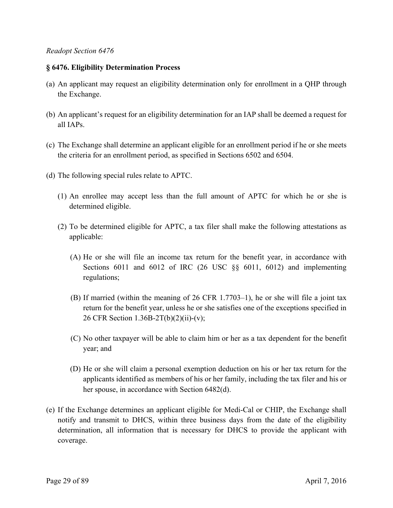### *Readopt Section 6476*

## **§ 6476. Eligibility Determination Process**

- (a) An applicant may request an eligibility determination only for enrollment in a QHP through the Exchange.
- (b) An applicant's request for an eligibility determination for an IAP shall be deemed a request for all IAPs.
- (c) The Exchange shall determine an applicant eligible for an enrollment period if he or she meets the criteria for an enrollment period, as specified in Sections 6502 and 6504.
- (d) The following special rules relate to APTC.
	- (1) An enrollee may accept less than the full amount of APTC for which he or she is determined eligible.
	- (2) To be determined eligible for APTC, a tax filer shall make the following attestations as applicable:
		- (A) He or she will file an income tax return for the benefit year, in accordance with Sections 6011 and 6012 of IRC (26 USC §§ 6011, 6012) and implementing regulations;
		- (B) If married (within the meaning of 26 CFR 1.7703–1), he or she will file a joint tax return for the benefit year, unless he or she satisfies one of the exceptions specified in 26 CFR Section 1.36B-2T(b)(2)(ii)-(v);
		- (C) No other taxpayer will be able to claim him or her as a tax dependent for the benefit year; and
		- (D) He or she will claim a personal exemption deduction on his or her tax return for the applicants identified as members of his or her family, including the tax filer and his or her spouse, in accordance with Section 6482(d).
- (e) If the Exchange determines an applicant eligible for Medi-Cal or CHIP, the Exchange shall notify and transmit to DHCS, within three business days from the date of the eligibility determination, all information that is necessary for DHCS to provide the applicant with coverage.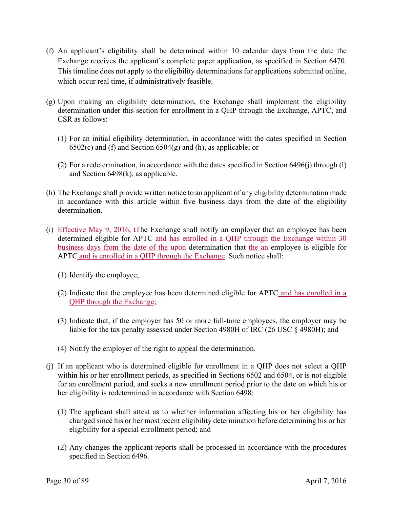- (f) An applicant's eligibility shall be determined within 10 calendar days from the date the Exchange receives the applicant's complete paper application, as specified in Section 6470. This timeline does not apply to the eligibility determinations for applications submitted online, which occur real time, if administratively feasible.
- (g) Upon making an eligibility determination, the Exchange shall implement the eligibility determination under this section for enrollment in a QHP through the Exchange, APTC, and CSR as follows:
	- (1) For an initial eligibility determination, in accordance with the dates specified in Section  $6502(c)$  and (f) and Section  $6504(g)$  and (h), as applicable; or
	- (2) For a redetermination, in accordance with the dates specified in Section 6496(j) through (l) and Section 6498(k), as applicable.
- (h) The Exchange shall provide written notice to an applicant of any eligibility determination made in accordance with this article within five business days from the date of the eligibility determination.
- (i) Effective May 9, 2016, t<sub>The Exchange shall notify an employer that an employee has been</sub> determined eligible for APTC and has enrolled in a QHP through the Exchange within 30 business days from the date of the upon determination that the an-employee is eligible for APTC and is enrolled in a QHP through the Exchange. Such notice shall:
	- (1) Identify the employee;
	- (2) Indicate that the employee has been determined eligible for APTC and has enrolled in a QHP through the Exchange;
	- (3) Indicate that, if the employer has 50 or more full-time employees, the employer may be liable for the tax penalty assessed under Section 4980H of IRC (26 USC § 4980H); and
	- (4) Notify the employer of the right to appeal the determination.
- (j) If an applicant who is determined eligible for enrollment in a QHP does not select a QHP within his or her enrollment periods, as specified in Sections 6502 and 6504, or is not eligible for an enrollment period, and seeks a new enrollment period prior to the date on which his or her eligibility is redetermined in accordance with Section 6498:
	- (1) The applicant shall attest as to whether information affecting his or her eligibility has changed since his or her most recent eligibility determination before determining his or her eligibility for a special enrollment period; and
	- (2) Any changes the applicant reports shall be processed in accordance with the procedures specified in Section 6496.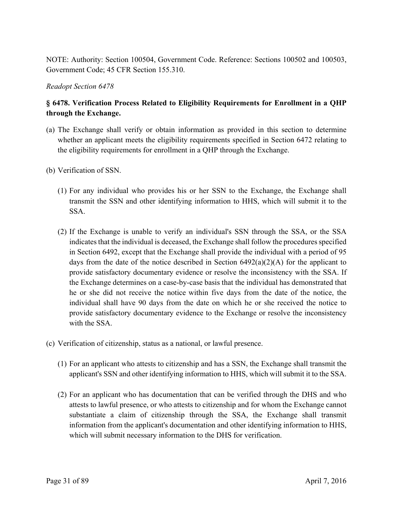NOTE: Authority: Section 100504, Government Code. Reference: Sections 100502 and 100503, Government Code; 45 CFR Section 155.310.

*Readopt Section 6478* 

# **§ 6478. Verification Process Related to Eligibility Requirements for Enrollment in a QHP through the Exchange.**

- (a) The Exchange shall verify or obtain information as provided in this section to determine whether an applicant meets the eligibility requirements specified in Section 6472 relating to the eligibility requirements for enrollment in a QHP through the Exchange.
- (b) Verification of SSN.
	- (1) For any individual who provides his or her SSN to the Exchange, the Exchange shall transmit the SSN and other identifying information to HHS, which will submit it to the SSA.
	- (2) If the Exchange is unable to verify an individual's SSN through the SSA, or the SSA indicates that the individual is deceased, the Exchange shall follow the procedures specified in Section 6492, except that the Exchange shall provide the individual with a period of 95 days from the date of the notice described in Section  $6492(a)(2)(A)$  for the applicant to provide satisfactory documentary evidence or resolve the inconsistency with the SSA. If the Exchange determines on a case-by-case basis that the individual has demonstrated that he or she did not receive the notice within five days from the date of the notice, the individual shall have 90 days from the date on which he or she received the notice to provide satisfactory documentary evidence to the Exchange or resolve the inconsistency with the SSA
- (c) Verification of citizenship, status as a national, or lawful presence.
	- (1) For an applicant who attests to citizenship and has a SSN, the Exchange shall transmit the applicant's SSN and other identifying information to HHS, which will submit it to the SSA.
	- (2) For an applicant who has documentation that can be verified through the DHS and who attests to lawful presence, or who attests to citizenship and for whom the Exchange cannot substantiate a claim of citizenship through the SSA, the Exchange shall transmit information from the applicant's documentation and other identifying information to HHS, which will submit necessary information to the DHS for verification.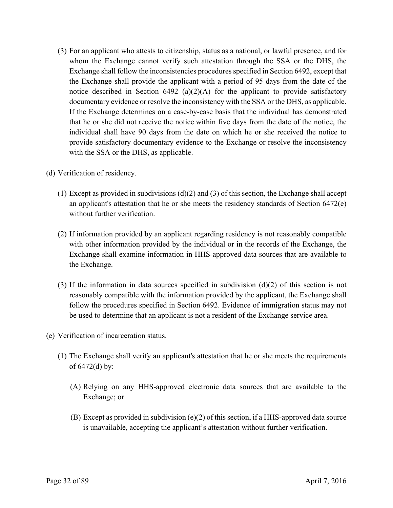- (3) For an applicant who attests to citizenship, status as a national, or lawful presence, and for whom the Exchange cannot verify such attestation through the SSA or the DHS, the Exchange shall follow the inconsistencies procedures specified in Section 6492, except that the Exchange shall provide the applicant with a period of 95 days from the date of the notice described in Section 6492 (a)(2)(A) for the applicant to provide satisfactory documentary evidence or resolve the inconsistency with the SSA or the DHS, as applicable. If the Exchange determines on a case-by-case basis that the individual has demonstrated that he or she did not receive the notice within five days from the date of the notice, the individual shall have 90 days from the date on which he or she received the notice to provide satisfactory documentary evidence to the Exchange or resolve the inconsistency with the SSA or the DHS, as applicable.
- (d) Verification of residency.
	- (1) Except as provided in subdivisions (d)(2) and (3) of this section, the Exchange shall accept an applicant's attestation that he or she meets the residency standards of Section 6472(e) without further verification.
	- (2) If information provided by an applicant regarding residency is not reasonably compatible with other information provided by the individual or in the records of the Exchange, the Exchange shall examine information in HHS-approved data sources that are available to the Exchange.
	- (3) If the information in data sources specified in subdivision (d)(2) of this section is not reasonably compatible with the information provided by the applicant, the Exchange shall follow the procedures specified in Section 6492. Evidence of immigration status may not be used to determine that an applicant is not a resident of the Exchange service area.
- (e) Verification of incarceration status.
	- (1) The Exchange shall verify an applicant's attestation that he or she meets the requirements of 6472(d) by:
		- (A) Relying on any HHS-approved electronic data sources that are available to the Exchange; or
		- (B) Except as provided in subdivision (e)(2) of this section, if a HHS-approved data source is unavailable, accepting the applicant's attestation without further verification.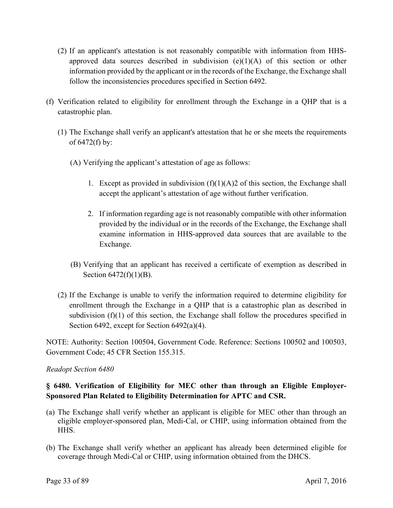- (2) If an applicant's attestation is not reasonably compatible with information from HHSapproved data sources described in subdivision  $(e)(1)(A)$  of this section or other information provided by the applicant or in the records of the Exchange, the Exchange shall follow the inconsistencies procedures specified in Section 6492.
- (f) Verification related to eligibility for enrollment through the Exchange in a QHP that is a catastrophic plan.
	- (1) The Exchange shall verify an applicant's attestation that he or she meets the requirements of 6472(f) by:
		- (A) Verifying the applicant's attestation of age as follows:
			- 1. Except as provided in subdivision  $(f)(1)(A)2$  of this section, the Exchange shall accept the applicant's attestation of age without further verification.
			- 2. If information regarding age is not reasonably compatible with other information provided by the individual or in the records of the Exchange, the Exchange shall examine information in HHS-approved data sources that are available to the Exchange.
		- (B) Verifying that an applicant has received a certificate of exemption as described in Section 6472(f)(1)(B).
	- (2) If the Exchange is unable to verify the information required to determine eligibility for enrollment through the Exchange in a QHP that is a catastrophic plan as described in subdivision  $(f)(1)$  of this section, the Exchange shall follow the procedures specified in Section 6492, except for Section 6492(a)(4).

NOTE: Authority: Section 100504, Government Code. Reference: Sections 100502 and 100503, Government Code; 45 CFR Section 155.315.

# *Readopt Section 6480*

# **§ 6480. Verification of Eligibility for MEC other than through an Eligible Employer-Sponsored Plan Related to Eligibility Determination for APTC and CSR.**

- (a) The Exchange shall verify whether an applicant is eligible for MEC other than through an eligible employer-sponsored plan, Medi-Cal, or CHIP, using information obtained from the HHS.
- (b) The Exchange shall verify whether an applicant has already been determined eligible for coverage through Medi-Cal or CHIP, using information obtained from the DHCS.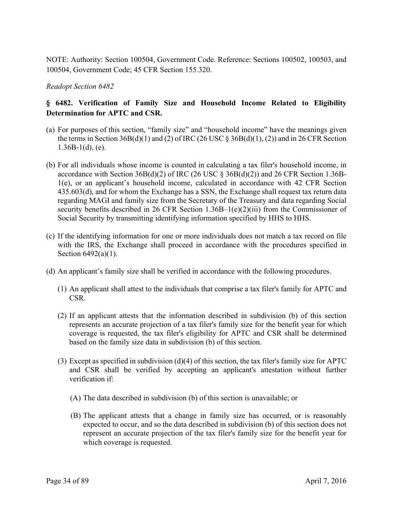NOTE: Authority: Section 100504, Government Code. Reference: Sections 100502, 100503, and 100504, Government Code; 45 CFR Section 155.320.

*Readopt Section 6482* 

# **Determination for APTC and CSR. § 6482. Verification of Family Size and Household Income Related to Eligibility**

- (a) For purposes of this section, "family size" and "household income" have the meanings given the terms in Section  $36B(d)(1)$  and (2) of IRC (26 USC  $\&$  36B(d)(1), (2)) and in 26 CFR Section  $1.36B-1(d)$ , (e).
- (b) For all individuals whose income is counted in calculating a tax filer's household income, in accordance with Section  $36B(d)(2)$  of IRC (26 USC §  $36B(d)(2)$ ) and 26 CFR Section 1.36B-1(e), or an applicant's household income, calculated in accordance with 42 CFR Section 435.603(d), and for whom the Exchange has a SSN, the Exchange shall request tax return data regarding MAGI and family size from the Secretary of the Treasury and data regarding Social security benefits described in 26 CFR Section 1.36B–1(e)(2)(iii) from the Commissioner of Social Security by transmitting identifying information specified by HHS to HHS.
- (c) If the identifying information for one or more individuals does not match a tax record on file with the IRS, the Exchange shall proceed in accordance with the procedures specified in Section 6492(a)(1).
- (d) An applicant's family size shall be verified in accordance with the following procedures.
	- (1) An applicant shall attest to the individuals that comprise a tax filer's family for APTC and CSR.
	- (2) If an applicant attests that the information described in subdivision (b) of this section represents an accurate projection of a tax filer's family size for the benefit year for which coverage is requested, the tax filer's eligibility for APTC and CSR shall be determined based on the family size data in subdivision (b) of this section.
	- (3) Except as specified in subdivision (d)(4) of this section, the tax filer's family size for APTC and CSR shall be verified by accepting an applicant's attestation without further verification if:
		- (A) The data described in subdivision (b) of this section is unavailable; or
		- (B) The applicant attests that a change in family size has occurred, or is reasonably expected to occur, and so the data described in subdivision (b) of this section does not represent an accurate projection of the tax filer's family size for the benefit year for which coverage is requested.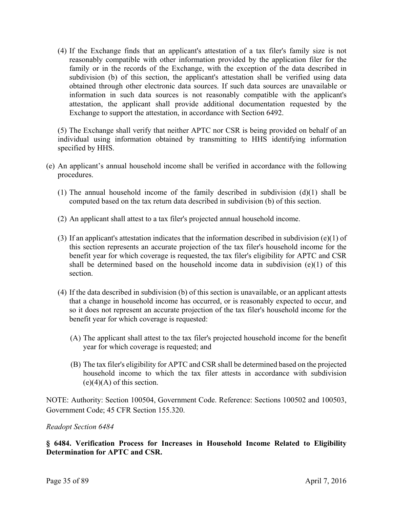(4) If the Exchange finds that an applicant's attestation of a tax filer's family size is not reasonably compatible with other information provided by the application filer for the family or in the records of the Exchange, with the exception of the data described in subdivision (b) of this section, the applicant's attestation shall be verified using data obtained through other electronic data sources. If such data sources are unavailable or information in such data sources is not reasonably compatible with the applicant's attestation, the applicant shall provide additional documentation requested by the Exchange to support the attestation, in accordance with Section 6492.

(5) The Exchange shall verify that neither APTC nor CSR is being provided on behalf of an individual using information obtained by transmitting to HHS identifying information specified by HHS.

- (e) An applicant's annual household income shall be verified in accordance with the following procedures.
	- (1) The annual household income of the family described in subdivision (d)(1) shall be computed based on the tax return data described in subdivision (b) of this section.
	- (2) An applicant shall attest to a tax filer's projected annual household income.
	- (3) If an applicant's attestation indicates that the information described in subdivision (e)(1) of this section represents an accurate projection of the tax filer's household income for the benefit year for which coverage is requested, the tax filer's eligibility for APTC and CSR shall be determined based on the household income data in subdivision (e)(1) of this section.
	- (4) If the data described in subdivision (b) of this section is unavailable, or an applicant attests that a change in household income has occurred, or is reasonably expected to occur, and so it does not represent an accurate projection of the tax filer's household income for the benefit year for which coverage is requested:
		- (A) The applicant shall attest to the tax filer's projected household income for the benefit year for which coverage is requested; and
		- (B) The tax filer's eligibility for APTC and CSR shall be determined based on the projected household income to which the tax filer attests in accordance with subdivision  $(e)(4)(A)$  of this section.

NOTE: Authority: Section 100504, Government Code. Reference: Sections 100502 and 100503, Government Code; 45 CFR Section 155.320.

#### *Readopt Section 6484*

**§ 6484. Verification Process for Increases in Household Income Related to Eligibility Determination for APTC and CSR.**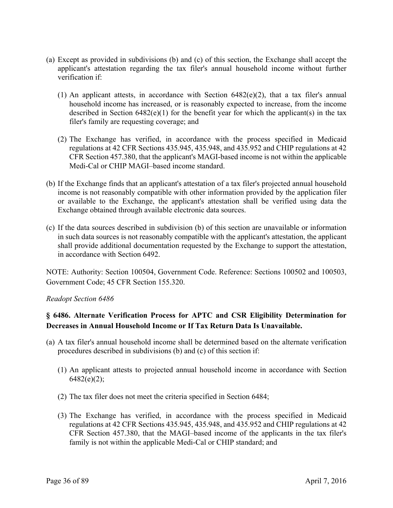- (a) Except as provided in subdivisions (b) and (c) of this section, the Exchange shall accept the applicant's attestation regarding the tax filer's annual household income without further verification if:
	- (1) An applicant attests, in accordance with Section 6482(e)(2), that a tax filer's annual household income has increased, or is reasonably expected to increase, from the income described in Section  $6482(e)(1)$  for the benefit year for which the applicant(s) in the tax filer's family are requesting coverage; and
	- (2) The Exchange has verified, in accordance with the process specified in Medicaid regulations at 42 CFR Sections 435.945, 435.948, and 435.952 and CHIP regulations at 42 CFR Section 457.380, that the applicant's MAGI-based income is not within the applicable Medi-Cal or CHIP MAGI–based income standard.
- (b) If the Exchange finds that an applicant's attestation of a tax filer's projected annual household income is not reasonably compatible with other information provided by the application filer or available to the Exchange, the applicant's attestation shall be verified using data the Exchange obtained through available electronic data sources.
- (c) If the data sources described in subdivision (b) of this section are unavailable or information in such data sources is not reasonably compatible with the applicant's attestation, the applicant shall provide additional documentation requested by the Exchange to support the attestation, in accordance with Section 6492.

NOTE: Authority: Section 100504, Government Code. Reference: Sections 100502 and 100503, Government Code; 45 CFR Section 155.320.

# *Readopt Section 6486*

# **§ 6486. Alternate Verification Process for APTC and CSR Eligibility Determination for Decreases in Annual Household Income or If Tax Return Data Is Unavailable.**

- (a) A tax filer's annual household income shall be determined based on the alternate verification procedures described in subdivisions (b) and (c) of this section if:
	- (1) An applicant attests to projected annual household income in accordance with Section  $6482(e)(2)$ ;
	- (2) The tax filer does not meet the criteria specified in Section 6484;
	- (3) The Exchange has verified, in accordance with the process specified in Medicaid regulations at 42 CFR Sections 435.945, 435.948, and 435.952 and CHIP regulations at 42 CFR Section 457.380, that the MAGI–based income of the applicants in the tax filer's family is not within the applicable Medi-Cal or CHIP standard; and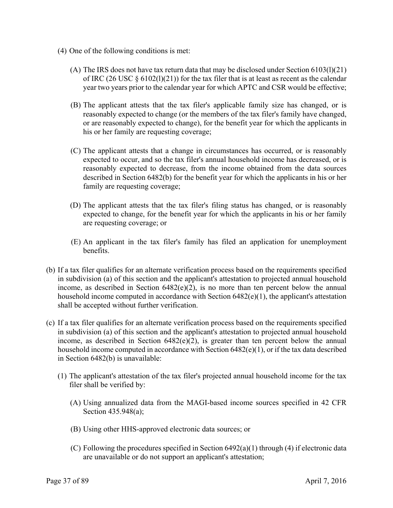- (4) One of the following conditions is met:
	- (A) The IRS does not have tax return data that may be disclosed under Section  $6103(1)(21)$ of IRC (26 USC  $\S$  6102(1)(21)) for the tax filer that is at least as recent as the calendar year two years prior to the calendar year for which APTC and CSR would be effective;
	- (B) The applicant attests that the tax filer's applicable family size has changed, or is reasonably expected to change (or the members of the tax filer's family have changed, or are reasonably expected to change), for the benefit year for which the applicants in his or her family are requesting coverage;
	- (C) The applicant attests that a change in circumstances has occurred, or is reasonably expected to occur, and so the tax filer's annual household income has decreased, or is reasonably expected to decrease, from the income obtained from the data sources described in Section 6482(b) for the benefit year for which the applicants in his or her family are requesting coverage;
	- (D) The applicant attests that the tax filer's filing status has changed, or is reasonably expected to change, for the benefit year for which the applicants in his or her family are requesting coverage; or
	- (E) An applicant in the tax filer's family has filed an application for unemployment benefits.
- (b) If a tax filer qualifies for an alternate verification process based on the requirements specified in subdivision (a) of this section and the applicant's attestation to projected annual household income, as described in Section 6482(e)(2), is no more than ten percent below the annual household income computed in accordance with Section 6482(e)(1), the applicant's attestation shall be accepted without further verification.
- (c) If a tax filer qualifies for an alternate verification process based on the requirements specified in subdivision (a) of this section and the applicant's attestation to projected annual household income, as described in Section 6482(e)(2), is greater than ten percent below the annual household income computed in accordance with Section 6482(e)(1), or if the tax data described in Section 6482(b) is unavailable:
	- (1) The applicant's attestation of the tax filer's projected annual household income for the tax filer shall be verified by:
		- (A) Using annualized data from the MAGI-based income sources specified in 42 CFR Section 435.948(a);
		- (B) Using other HHS-approved electronic data sources; or
		- (C) Following the procedures specified in Section 6492(a)(1) through (4) if electronic data are unavailable or do not support an applicant's attestation;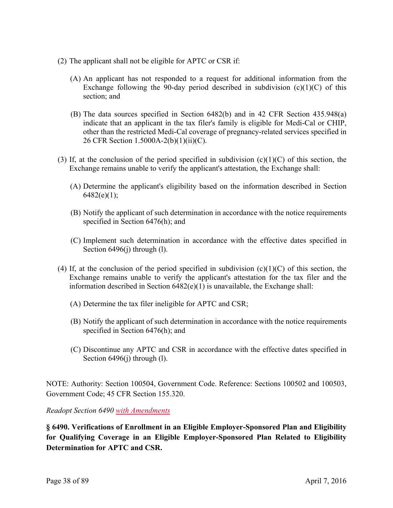- (2) The applicant shall not be eligible for APTC or CSR if:
	- (A) An applicant has not responded to a request for additional information from the Exchange following the 90-day period described in subdivision  $(c)(1)(C)$  of this section; and
	- (B) The data sources specified in Section 6482(b) and in 42 CFR Section 435.948(a) indicate that an applicant in the tax filer's family is eligible for Medi-Cal or CHIP, other than the restricted Medi-Cal coverage of pregnancy-related services specified in 26 CFR Section 1.5000A-2(b)(1)(ii)(C).
- (3) If, at the conclusion of the period specified in subdivision (c)(1)(C) of this section, the Exchange remains unable to verify the applicant's attestation, the Exchange shall:
	- (A) Determine the applicant's eligibility based on the information described in Section  $6482(e)(1);$
	- (B) Notify the applicant of such determination in accordance with the notice requirements specified in Section 6476(h); and
	- (C) Implement such determination in accordance with the effective dates specified in Section 6496(j) through (l).
- (4) If, at the conclusion of the period specified in subdivision  $(c)(1)(C)$  of this section, the Exchange remains unable to verify the applicant's attestation for the tax filer and the information described in Section  $6482(e)(1)$  is unavailable, the Exchange shall:
	- (A) Determine the tax filer ineligible for APTC and CSR;
	- (B) Notify the applicant of such determination in accordance with the notice requirements specified in Section 6476(h); and
	- (C) Discontinue any APTC and CSR in accordance with the effective dates specified in Section 6496(j) through (l).

NOTE: Authority: Section 100504, Government Code. Reference: Sections 100502 and 100503, Government Code; 45 CFR Section 155.320.

*Readopt Section 6490 with Amendments* 

 **Determination for APTC and CSR. § 6490. Verifications of Enrollment in an Eligible Employer-Sponsored Plan and Eligibility for Qualifying Coverage in an Eligible Employer-Sponsored Plan Related to Eligibility**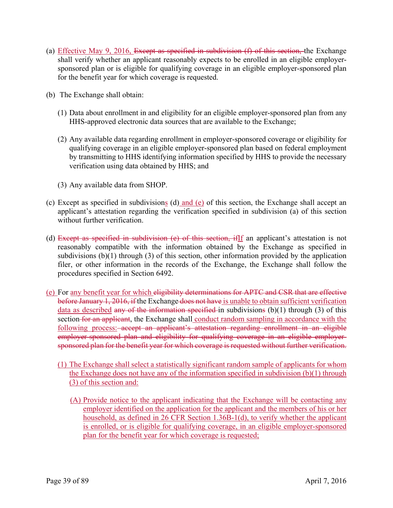- (a) Effective May 9, 2016, Except as specified in subdivision  $(f)$  of this section, the Exchange shall verify whether an applicant reasonably expects to be enrolled in an eligible employersponsored plan or is eligible for qualifying coverage in an eligible employer-sponsored plan for the benefit year for which coverage is requested.
- (b) The Exchange shall obtain:
	- (1) Data about enrollment in and eligibility for an eligible employer-sponsored plan from any HHS-approved electronic data sources that are available to the Exchange;
	- (2) Any available data regarding enrollment in employer-sponsored coverage or eligibility for qualifying coverage in an eligible employer-sponsored plan based on federal employment by transmitting to HHS identifying information specified by HHS to provide the necessary verification using data obtained by HHS; and
	- (3) Any available data from SHOP.
- (c) Except as specified in subdivisions (d) and (e) of this section, the Exchange shall accept an applicant's attestation regarding the verification specified in subdivision (a) of this section without further verification.
- (d) Except as specified in subdivision (e) of this section, ifIf an applicant's attestation is not reasonably compatible with the information obtained by the Exchange as specified in subdivisions (b)(1) through (3) of this section, other information provided by the application filer, or other information in the records of the Exchange, the Exchange shall follow the procedures specified in Section 6492.
- (e) For any benefit year for which eligibility determinations for APTC and CSR that are effective before January 1, 2016, if the Exchange does not have is unable to obtain sufficient verification data as described any of the information specified in subdivisions  $(b)(1)$  through  $(3)$  of this section for an applicant, the Exchange shall conduct random sampling in accordance with the following process: accept an applicant's attestation regarding enrollment in an eligible employer-sponsored plan and eligibility for qualifying coverage in an eligible employersponsored plan for the benefit year for which coverage is requested without further verification.
	- (1) The Exchange shall select a statistically significant random sample of applicants for whom the Exchange does not have any of the information specified in subdivision (b)(1) through (3) of this section and:
		- (A) Provide notice to the applicant indicating that the Exchange will be contacting any employer identified on the application for the applicant and the members of his or her household, as defined in 26 CFR Section 1.36B-1(d), to verify whether the applicant is enrolled, or is eligible for qualifying coverage, in an eligible employer-sponsored plan for the benefit year for which coverage is requested;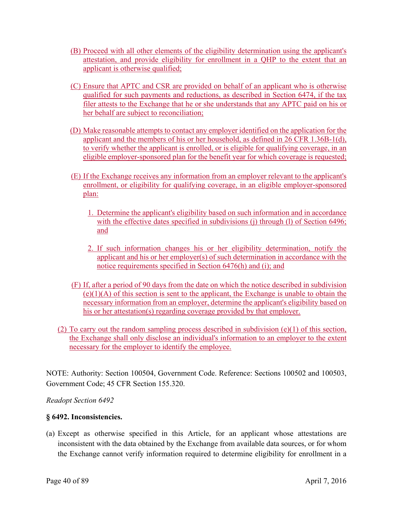- (B) Proceed with all other elements of the eligibility determination using the applicant's attestation, and provide eligibility for enrollment in a QHP to the extent that an applicant is otherwise qualified;
- (C) Ensure that APTC and CSR are provided on behalf of an applicant who is otherwise qualified for such payments and reductions, as described in Section 6474, if the tax filer attests to the Exchange that he or she understands that any APTC paid on his or her behalf are subject to reconciliation;
- (D) Make reasonable attempts to contact any employer identified on the application for the applicant and the members of his or her household, as defined in 26 CFR 1.36B-1(d), to verify whether the applicant is enrolled, or is eligible for qualifying coverage, in an eligible employer-sponsored plan for the benefit year for which coverage is requested;
- (E) If the Exchange receives any information from an employer relevant to the applicant's enrollment, or eligibility for qualifying coverage, in an eligible employer-sponsored plan:
	- 1. Determine the applicant's eligibility based on such information and in accordance with the effective dates specified in subdivisions (j) through (l) of Section 6496; and
	- 2. If such information changes his or her eligibility determination, notify the applicant and his or her employer(s) of such determination in accordance with the notice requirements specified in Section 6476(h) and (i); and
- (F) If, after a period of 90 days from the date on which the notice described in subdivision  $(e)(1)(A)$  of this section is sent to the applicant, the Exchange is unable to obtain the necessary information from an employer, determine the applicant's eligibility based on his or her attestation(s) regarding coverage provided by that employer.
- (2) To carry out the random sampling process described in subdivision  $(e)(1)$  of this section, the Exchange shall only disclose an individual's information to an employer to the extent necessary for the employer to identify the employee.

NOTE: Authority: Section 100504, Government Code. Reference: Sections 100502 and 100503, Government Code; 45 CFR Section 155.320.

*Readopt Section 6492* 

# **§ 6492. Inconsistencies.**

(a) Except as otherwise specified in this Article, for an applicant whose attestations are inconsistent with the data obtained by the Exchange from available data sources, or for whom the Exchange cannot verify information required to determine eligibility for enrollment in a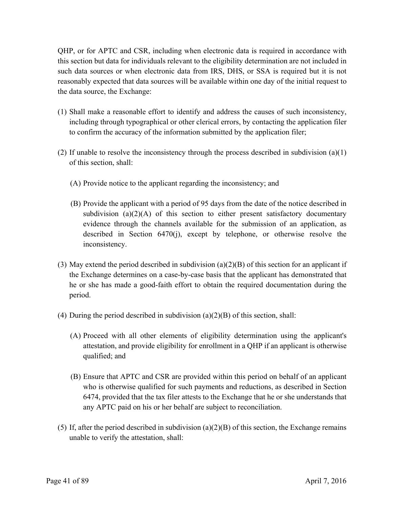QHP, or for APTC and CSR, including when electronic data is required in accordance with this section but data for individuals relevant to the eligibility determination are not included in such data sources or when electronic data from IRS, DHS, or SSA is required but it is not reasonably expected that data sources will be available within one day of the initial request to the data source, the Exchange:

- (1) Shall make a reasonable effort to identify and address the causes of such inconsistency, including through typographical or other clerical errors, by contacting the application filer to confirm the accuracy of the information submitted by the application filer;
- (2) If unable to resolve the inconsistency through the process described in subdivision (a)(1) of this section, shall:
	- (A) Provide notice to the applicant regarding the inconsistency; and
	- (B) Provide the applicant with a period of 95 days from the date of the notice described in subdivision (a) $(2)(A)$  of this section to either present satisfactory documentary evidence through the channels available for the submission of an application, as described in Section 6470(j), except by telephone, or otherwise resolve the inconsistency.
- (3) May extend the period described in subdivision (a)(2)(B) of this section for an applicant if the Exchange determines on a case-by-case basis that the applicant has demonstrated that he or she has made a good-faith effort to obtain the required documentation during the period.
- (4) During the period described in subdivision  $(a)(2)(B)$  of this section, shall:
	- (A) Proceed with all other elements of eligibility determination using the applicant's attestation, and provide eligibility for enrollment in a QHP if an applicant is otherwise qualified; and
	- (B) Ensure that APTC and CSR are provided within this period on behalf of an applicant who is otherwise qualified for such payments and reductions, as described in Section 6474, provided that the tax filer attests to the Exchange that he or she understands that any APTC paid on his or her behalf are subject to reconciliation.
- (5) If, after the period described in subdivision (a)(2)(B) of this section, the Exchange remains unable to verify the attestation, shall: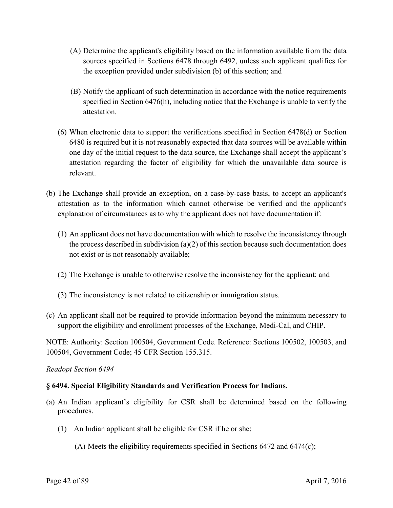- (A) Determine the applicant's eligibility based on the information available from the data sources specified in Sections 6478 through 6492, unless such applicant qualifies for the exception provided under subdivision (b) of this section; and
- (B) Notify the applicant of such determination in accordance with the notice requirements specified in Section 6476(h), including notice that the Exchange is unable to verify the attestation.
- (6) When electronic data to support the verifications specified in Section 6478(d) or Section 6480 is required but it is not reasonably expected that data sources will be available within one day of the initial request to the data source, the Exchange shall accept the applicant's attestation regarding the factor of eligibility for which the unavailable data source is relevant.
- (b) The Exchange shall provide an exception, on a case-by-case basis, to accept an applicant's attestation as to the information which cannot otherwise be verified and the applicant's explanation of circumstances as to why the applicant does not have documentation if:
	- (1) An applicant does not have documentation with which to resolve the inconsistency through the process described in subdivision (a)(2) of this section because such documentation does not exist or is not reasonably available;
	- (2) The Exchange is unable to otherwise resolve the inconsistency for the applicant; and
	- (3) The inconsistency is not related to citizenship or immigration status.
- (c) An applicant shall not be required to provide information beyond the minimum necessary to support the eligibility and enrollment processes of the Exchange, Medi-Cal, and CHIP.

NOTE: Authority: Section 100504, Government Code. Reference: Sections 100502, 100503, and 100504, Government Code; 45 CFR Section 155.315.

# *Readopt Section 6494*

# **§ 6494. Special Eligibility Standards and Verification Process for Indians.**

- (a) An Indian applicant's eligibility for CSR shall be determined based on the following procedures.
	- (1) An Indian applicant shall be eligible for CSR if he or she:
		- (A) Meets the eligibility requirements specified in Sections 6472 and 6474(c);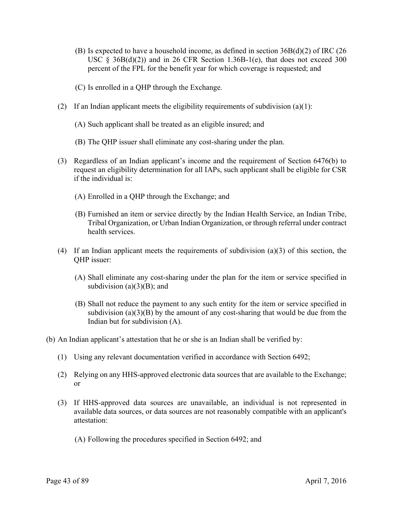- (B) Is expected to have a household income, as defined in section  $36B(d)(2)$  of IRC (26) USC  $\S$  36B(d)(2)) and in 26 CFR Section 1.36B-1(e), that does not exceed 300 percent of the FPL for the benefit year for which coverage is requested; and
- (C) Is enrolled in a QHP through the Exchange.
- (2) If an Indian applicant meets the eligibility requirements of subdivision (a)(1):
	- (A) Such applicant shall be treated as an eligible insured; and
	- (B) The QHP issuer shall eliminate any cost-sharing under the plan.
- (3) Regardless of an Indian applicant's income and the requirement of Section 6476(b) to request an eligibility determination for all IAPs, such applicant shall be eligible for CSR if the individual is:
	- (A) Enrolled in a QHP through the Exchange; and
	- (B) Furnished an item or service directly by the Indian Health Service, an Indian Tribe, Tribal Organization, or Urban Indian Organization, or through referral under contract health services.
- (4) If an Indian applicant meets the requirements of subdivision (a)(3) of this section, the QHP issuer:
	- (A) Shall eliminate any cost-sharing under the plan for the item or service specified in subdivision  $(a)(3)(B)$ ; and
	- (B) Shall not reduce the payment to any such entity for the item or service specified in subdivision (a) $(3)(B)$  by the amount of any cost-sharing that would be due from the Indian but for subdivision (A).
- (b) An Indian applicant's attestation that he or she is an Indian shall be verified by:
	- $(1)$  Using any relevant documentation verified in accordance with Section 6492;
	- (2) Relying on any HHS-approved electronic data sources that are available to the Exchange; or
	- (3) If HHS-approved data sources are unavailable, an individual is not represented in available data sources, or data sources are not reasonably compatible with an applicant's attestation:
		- (A) Following the procedures specified in Section 6492; and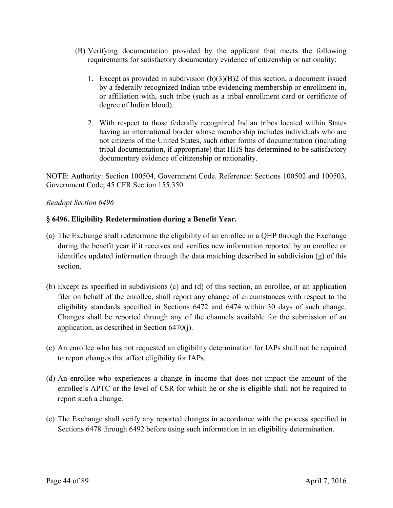- (B) Verifying documentation provided by the applicant that meets the following requirements for satisfactory documentary evidence of citizenship or nationality:
	- 1. Except as provided in subdivision  $(b)(3)(B)2$  of this section, a document issued by a federally recognized Indian tribe evidencing membership or enrollment in, or affiliation with, such tribe (such as a tribal enrollment card or certificate of degree of Indian blood).
	- 2. With respect to those federally recognized Indian tribes located within States having an international border whose membership includes individuals who are not citizens of the United States, such other forms of documentation (including tribal documentation, if appropriate) that HHS has determined to be satisfactory documentary evidence of citizenship or nationality.

NOTE: Authority: Section 100504, Government Code. Reference: Sections 100502 and 100503, Government Code; 45 CFR Section 155.350.

### *Readopt Section 6496*

# **§ 6496. Eligibility Redetermination during a Benefit Year.**

- (a) The Exchange shall redetermine the eligibility of an enrollee in a QHP through the Exchange during the benefit year if it receives and verifies new information reported by an enrollee or identifies updated information through the data matching described in subdivision (g) of this section.
- (b) Except as specified in subdivisions (c) and (d) of this section, an enrollee, or an application filer on behalf of the enrollee, shall report any change of circumstances with respect to the eligibility standards specified in Sections 6472 and 6474 within 30 days of such change. Changes shall be reported through any of the channels available for the submission of an application, as described in Section 6470(j).
- (c) An enrollee who has not requested an eligibility determination for IAPs shall not be required to report changes that affect eligibility for IAPs.
- (d) An enrollee who experiences a change in income that does not impact the amount of the enrollee's APTC or the level of CSR for which he or she is eligible shall not be required to report such a change.
- (e) The Exchange shall verify any reported changes in accordance with the process specified in Sections 6478 through 6492 before using such information in an eligibility determination.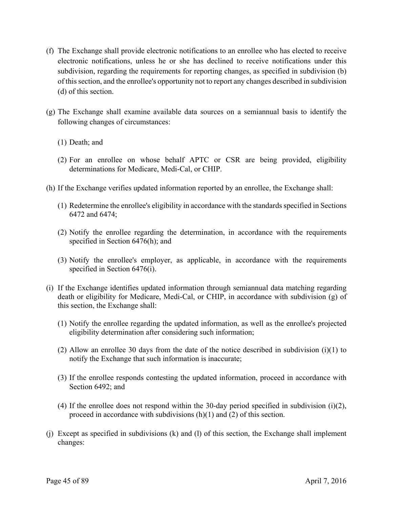- (f) The Exchange shall provide electronic notifications to an enrollee who has elected to receive electronic notifications, unless he or she has declined to receive notifications under this subdivision, regarding the requirements for reporting changes, as specified in subdivision (b) of this section, and the enrollee's opportunity not to report any changes described in subdivision (d) of this section.
- (g) The Exchange shall examine available data sources on a semiannual basis to identify the following changes of circumstances:
	- (1) Death; and
	- (2) For an enrollee on whose behalf APTC or CSR are being provided, eligibility determinations for Medicare, Medi-Cal, or CHIP.
- (h) If the Exchange verifies updated information reported by an enrollee, the Exchange shall:
	- (1) Redetermine the enrollee's eligibility in accordance with the standards specified in Sections 6472 and 6474;
	- (2) Notify the enrollee regarding the determination, in accordance with the requirements specified in Section 6476(h); and
	- (3) Notify the enrollee's employer, as applicable, in accordance with the requirements specified in Section 6476(i).
- (i) If the Exchange identifies updated information through semiannual data matching regarding death or eligibility for Medicare, Medi-Cal, or CHIP, in accordance with subdivision (g) of this section, the Exchange shall:
	- (1) Notify the enrollee regarding the updated information, as well as the enrollee's projected eligibility determination after considering such information;
	- (2) Allow an enrollee 30 days from the date of the notice described in subdivision (i)(1) to notify the Exchange that such information is inaccurate;
	- (3) If the enrollee responds contesting the updated information, proceed in accordance with Section 6492; and
	- (4) If the enrollee does not respond within the 30-day period specified in subdivision (i)(2), proceed in accordance with subdivisions (h)(1) and (2) of this section.
- (j) Except as specified in subdivisions (k) and (l) of this section, the Exchange shall implement changes: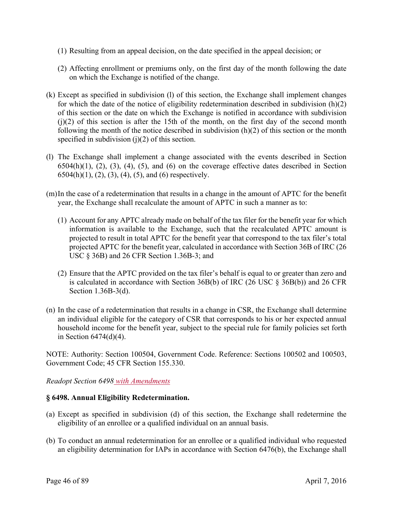- (1) Resulting from an appeal decision, on the date specified in the appeal decision; or
- (2) Affecting enrollment or premiums only, on the first day of the month following the date on which the Exchange is notified of the change.
- (k) Except as specified in subdivision (l) of this section, the Exchange shall implement changes for which the date of the notice of eligibility redetermination described in subdivision (h)(2) of this section or the date on which the Exchange is notified in accordance with subdivision  $(i)(2)$  of this section is after the 15th of the month, on the first day of the second month following the month of the notice described in subdivision (h)(2) of this section or the month specified in subdivision  $(j)(2)$  of this section.
- (l) The Exchange shall implement a change associated with the events described in Section  $6504(h)(1)$ ,  $(2)$ ,  $(3)$ ,  $(4)$ ,  $(5)$ , and  $(6)$  on the coverage effective dates described in Section  $6504(h)(1)$ ,  $(2)$ ,  $(3)$ ,  $(4)$ ,  $(5)$ , and  $(6)$  respectively.
- (m)In the case of a redetermination that results in a change in the amount of APTC for the benefit year, the Exchange shall recalculate the amount of APTC in such a manner as to:
	- (1) Account for any APTC already made on behalf of the tax filer for the benefit year for which information is available to the Exchange, such that the recalculated APTC amount is projected to result in total APTC for the benefit year that correspond to the tax filer's total projected APTC for the benefit year, calculated in accordance with Section 36B of IRC (26 USC § 36B) and 26 CFR Section 1.36B-3; and
	- (2) Ensure that the APTC provided on the tax filer's behalf is equal to or greater than zero and is calculated in accordance with Section 36B(b) of IRC (26 USC § 36B(b)) and 26 CFR Section 1.36B-3(d).
- (n) In the case of a redetermination that results in a change in CSR, the Exchange shall determine an individual eligible for the category of CSR that corresponds to his or her expected annual household income for the benefit year, subject to the special rule for family policies set forth in Section  $6474(d)(4)$ .

NOTE: Authority: Section 100504, Government Code. Reference: Sections 100502 and 100503, Government Code; 45 CFR Section 155.330.

*Readopt Section 6498 with Amendments* 

# **§ 6498. Annual Eligibility Redetermination.**

- (a) Except as specified in subdivision (d) of this section, the Exchange shall redetermine the eligibility of an enrollee or a qualified individual on an annual basis.
- (b) To conduct an annual redetermination for an enrollee or a qualified individual who requested an eligibility determination for IAPs in accordance with Section 6476(b), the Exchange shall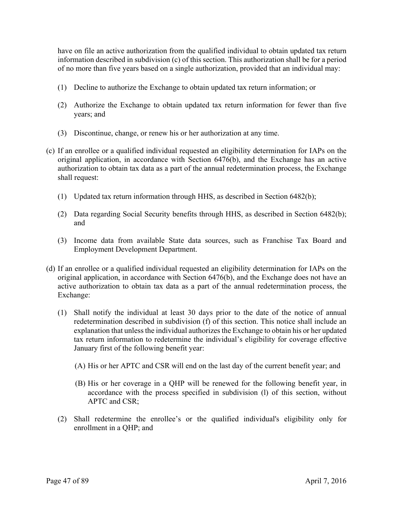have on file an active authorization from the qualified individual to obtain updated tax return information described in subdivision (c) of this section. This authorization shall be for a period of no more than five years based on a single authorization, provided that an individual may:

- (1) Decline to authorize the Exchange to obtain updated tax return information; or
- (2) Authorize the Exchange to obtain updated tax return information for fewer than five years; and
- (3) Discontinue, change, or renew his or her authorization at any time.
- (c) If an enrollee or a qualified individual requested an eligibility determination for IAPs on the original application, in accordance with Section 6476(b), and the Exchange has an active authorization to obtain tax data as a part of the annual redetermination process, the Exchange shall request:
	- (1) Updated tax return information through HHS, as described in Section  $6482(b)$ ;
	- (2) Data regarding Social Security benefits through HHS, as described in Section 6482(b); and
	- (3) Income data from available State data sources, such as Franchise Tax Board and Employment Development Department.
- (d) If an enrollee or a qualified individual requested an eligibility determination for IAPs on the original application, in accordance with Section 6476(b), and the Exchange does not have an active authorization to obtain tax data as a part of the annual redetermination process, the Exchange:
	- (1) Shall notify the individual at least 30 days prior to the date of the notice of annual redetermination described in subdivision (f) of this section. This notice shall include an explanation that unless the individual authorizes the Exchange to obtain his or her updated tax return information to redetermine the individual's eligibility for coverage effective January first of the following benefit year:
		- (A) His or her APTC and CSR will end on the last day of the current benefit year; and
		- (B) His or her coverage in a QHP will be renewed for the following benefit year, in accordance with the process specified in subdivision (l) of this section, without APTC and CSR;
	- (2) Shall redetermine the enrollee's or the qualified individual's eligibility only for enrollment in a QHP; and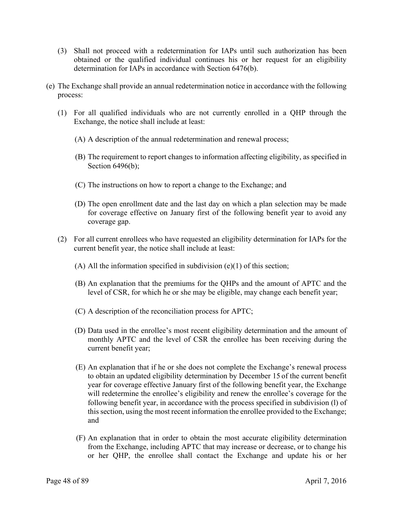- (3) Shall not proceed with a redetermination for IAPs until such authorization has been obtained or the qualified individual continues his or her request for an eligibility determination for IAPs in accordance with Section 6476(b).
- (e) The Exchange shall provide an annual redetermination notice in accordance with the following process:
	- (1) For all qualified individuals who are not currently enrolled in a QHP through the Exchange, the notice shall include at least:
		- (A) A description of the annual redetermination and renewal process;
		- (B) The requirement to report changes to information affecting eligibility, as specified in Section 6496(b);
		- (C) The instructions on how to report a change to the Exchange; and
		- (D) The open enrollment date and the last day on which a plan selection may be made for coverage effective on January first of the following benefit year to avoid any coverage gap.
	- (2) For all current enrollees who have requested an eligibility determination for IAPs for the current benefit year, the notice shall include at least:
		- (A) All the information specified in subdivision  $(e)(1)$  of this section;
		- (B) An explanation that the premiums for the QHPs and the amount of APTC and the level of CSR, for which he or she may be eligible, may change each benefit year;
		- (C) A description of the reconciliation process for APTC;
		- (D) Data used in the enrollee's most recent eligibility determination and the amount of monthly APTC and the level of CSR the enrollee has been receiving during the current benefit year;
		- (E) An explanation that if he or she does not complete the Exchange's renewal process to obtain an updated eligibility determination by December 15 of the current benefit year for coverage effective January first of the following benefit year, the Exchange will redetermine the enrollee's eligibility and renew the enrollee's coverage for the following benefit year, in accordance with the process specified in subdivision (l) of this section, using the most recent information the enrollee provided to the Exchange; and
		- (F) An explanation that in order to obtain the most accurate eligibility determination from the Exchange, including APTC that may increase or decrease, or to change his or her QHP, the enrollee shall contact the Exchange and update his or her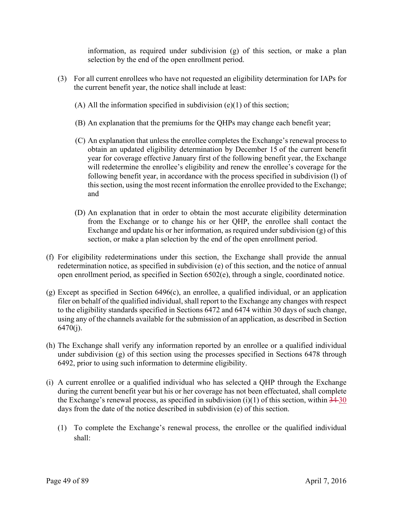information, as required under subdivision (g) of this section, or make a plan selection by the end of the open enrollment period.

- (3) For all current enrollees who have not requested an eligibility determination for IAPs for the current benefit year, the notice shall include at least:
	- (A) All the information specified in subdivision  $(e)(1)$  of this section;
	- (B) An explanation that the premiums for the QHPs may change each benefit year;
	- (C) An explanation that unless the enrollee completes the Exchange's renewal process to obtain an updated eligibility determination by December 15 of the current benefit year for coverage effective January first of the following benefit year, the Exchange will redetermine the enrollee's eligibility and renew the enrollee's coverage for the following benefit year, in accordance with the process specified in subdivision (l) of this section, using the most recent information the enrollee provided to the Exchange; and
	- (D) An explanation that in order to obtain the most accurate eligibility determination from the Exchange or to change his or her QHP, the enrollee shall contact the Exchange and update his or her information, as required under subdivision (g) of this section, or make a plan selection by the end of the open enrollment period.
- (f) For eligibility redeterminations under this section, the Exchange shall provide the annual redetermination notice, as specified in subdivision (e) of this section, and the notice of annual open enrollment period, as specified in Section 6502(e), through a single, coordinated notice.
- (g) Except as specified in Section 6496(c), an enrollee, a qualified individual, or an application filer on behalf of the qualified individual, shall report to the Exchange any changes with respect to the eligibility standards specified in Sections 6472 and 6474 within 30 days of such change, using any of the channels available for the submission of an application, as described in Section  $6470(i)$ .
- (h) The Exchange shall verify any information reported by an enrollee or a qualified individual under subdivision (g) of this section using the processes specified in Sections 6478 through 6492, prior to using such information to determine eligibility.
- days from the date of the notice described in subdivision (e) of this section. (i) A current enrollee or a qualified individual who has selected a QHP through the Exchange during the current benefit year but his or her coverage has not been effectuated, shall complete the Exchange's renewal process, as specified in subdivision  $(i)(1)$  of this section, within  $34-30$ 
	- $\alpha$  To complete the Exchange's renewal process, the enrollee or the qualified individual shall: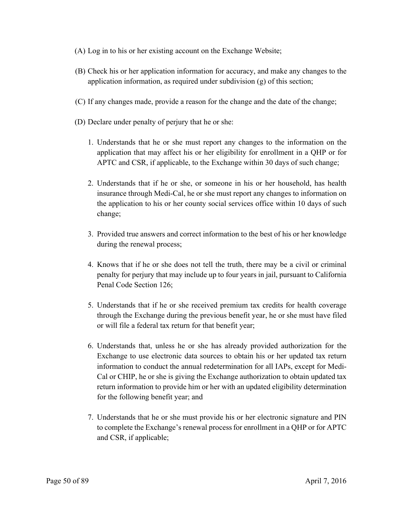- (A) Log in to his or her existing account on the Exchange Website;
- (B) Check his or her application information for accuracy, and make any changes to the application information, as required under subdivision (g) of this section;
- (C) If any changes made, provide a reason for the change and the date of the change;
- (D) Declare under penalty of perjury that he or she:
	- 1. Understands that he or she must report any changes to the information on the application that may affect his or her eligibility for enrollment in a QHP or for APTC and CSR, if applicable, to the Exchange within 30 days of such change;
	- 2. Understands that if he or she, or someone in his or her household, has health insurance through Medi-Cal, he or she must report any changes to information on the application to his or her county social services office within 10 days of such change;
	- 3. Provided true answers and correct information to the best of his or her knowledge during the renewal process;
	- 4. Knows that if he or she does not tell the truth, there may be a civil or criminal penalty for perjury that may include up to four years in jail, pursuant to California Penal Code Section 126;
	- 5. Understands that if he or she received premium tax credits for health coverage through the Exchange during the previous benefit year, he or she must have filed or will file a federal tax return for that benefit year;
	- 6. Understands that, unless he or she has already provided authorization for the Exchange to use electronic data sources to obtain his or her updated tax return information to conduct the annual redetermination for all IAPs, except for Medi-Cal or CHIP, he or she is giving the Exchange authorization to obtain updated tax return information to provide him or her with an updated eligibility determination for the following benefit year; and
	- 7. Understands that he or she must provide his or her electronic signature and PIN to complete the Exchange's renewal process for enrollment in a QHP or for APTC and CSR, if applicable;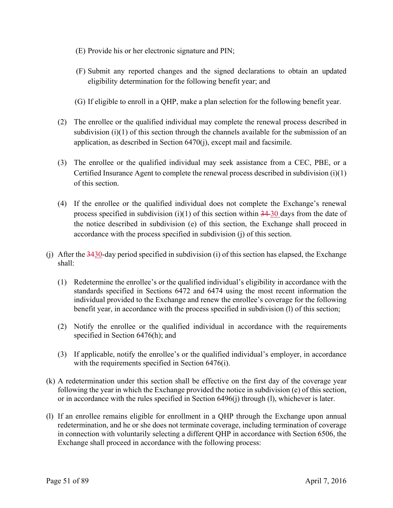- (E) Provide his or her electronic signature and PIN;
- (F) Submit any reported changes and the signed declarations to obtain an updated eligibility determination for the following benefit year; and
- (G) If eligible to enroll in a QHP, make a plan selection for the following benefit year.
- (2) The enrollee or the qualified individual may complete the renewal process described in subdivision (i)(1) of this section through the channels available for the submission of an application, as described in Section 6470(j), except mail and facsimile.
- (3) The enrollee or the qualified individual may seek assistance from a CEC, PBE, or a Certified Insurance Agent to complete the renewal process described in subdivision (i)(1) of this section.
- (4) If the enrollee or the qualified individual does not complete the Exchange's renewal process specified in subdivision (i)(1) of this section within  $34-30$  days from the date of the notice described in subdivision (e) of this section, the Exchange shall proceed in accordance with the process specified in subdivision (j) of this section.
- (j) After the  $\frac{3430}{ }$ -day period specified in subdivision (i) of this section has elapsed, the Exchange shall:
	- (1) Redetermine the enrollee's or the qualified individual's eligibility in accordance with the standards specified in Sections 6472 and 6474 using the most recent information the individual provided to the Exchange and renew the enrollee's coverage for the following benefit year, in accordance with the process specified in subdivision (l) of this section;
	- (2) Notify the enrollee or the qualified individual in accordance with the requirements specified in Section 6476(h); and
	- (3) If applicable, notify the enrollee's or the qualified individual's employer, in accordance with the requirements specified in Section 6476(i).
- (k) A redetermination under this section shall be effective on the first day of the coverage year following the year in which the Exchange provided the notice in subdivision (e) of this section, or in accordance with the rules specified in Section 6496(j) through (l), whichever is later.
- (l) If an enrollee remains eligible for enrollment in a QHP through the Exchange upon annual redetermination, and he or she does not terminate coverage, including termination of coverage in connection with voluntarily selecting a different QHP in accordance with Section 6506, the Exchange shall proceed in accordance with the following process: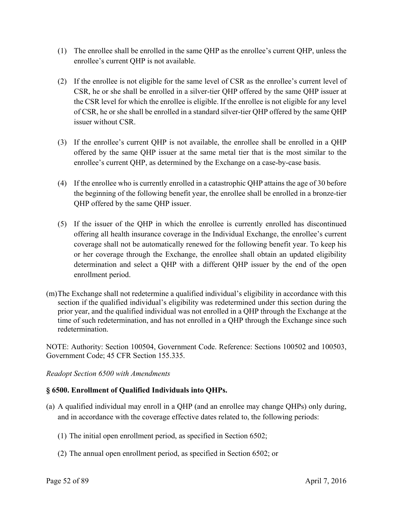- (1) The enrollee shall be enrolled in the same QHP as the enrollee's current QHP, unless the enrollee's current QHP is not available.
- (2) If the enrollee is not eligible for the same level of CSR as the enrollee's current level of CSR, he or she shall be enrolled in a silver-tier QHP offered by the same QHP issuer at the CSR level for which the enrollee is eligible. If the enrollee is not eligible for any level of CSR, he or she shall be enrolled in a standard silver-tier QHP offered by the same QHP issuer without CSR.
- (3) If the enrollee's current QHP is not available, the enrollee shall be enrolled in a QHP offered by the same QHP issuer at the same metal tier that is the most similar to the enrollee's current QHP, as determined by the Exchange on a case-by-case basis.
- (4) If the enrollee who is currently enrolled in a catastrophic QHP attains the age of 30 before the beginning of the following benefit year, the enrollee shall be enrolled in a bronze-tier QHP offered by the same QHP issuer.
- (5) If the issuer of the QHP in which the enrollee is currently enrolled has discontinued offering all health insurance coverage in the Individual Exchange, the enrollee's current coverage shall not be automatically renewed for the following benefit year. To keep his or her coverage through the Exchange, the enrollee shall obtain an updated eligibility determination and select a QHP with a different QHP issuer by the end of the open enrollment period.
- (m)The Exchange shall not redetermine a qualified individual's eligibility in accordance with this section if the qualified individual's eligibility was redetermined under this section during the prior year, and the qualified individual was not enrolled in a QHP through the Exchange at the time of such redetermination, and has not enrolled in a QHP through the Exchange since such redetermination.

NOTE: Authority: Section 100504, Government Code. Reference: Sections 100502 and 100503, Government Code; 45 CFR Section 155.335.

# *Readopt Section 6500 with Amendments*

# **§ 6500. Enrollment of Qualified Individuals into QHPs.**

- (a) A qualified individual may enroll in a QHP (and an enrollee may change QHPs) only during, and in accordance with the coverage effective dates related to, the following periods:
	- (1) The initial open enrollment period, as specified in Section 6502;
	- (2) The annual open enrollment period, as specified in Section 6502; or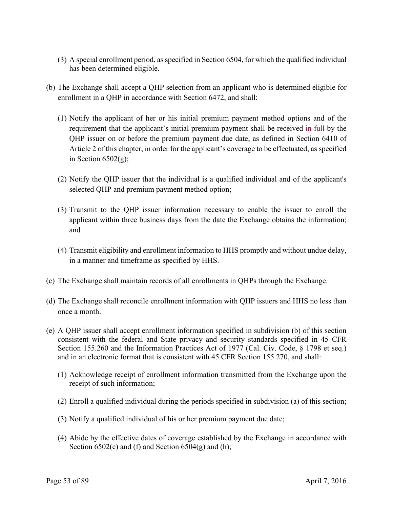- (3) A special enrollment period, as specified in Section 6504, for which the qualified individual has been determined eligible.
- (b) The Exchange shall accept a QHP selection from an applicant who is determined eligible for enrollment in a QHP in accordance with Section 6472, and shall:
	- (1) Notify the applicant of her or his initial premium payment method options and of the requirement that the applicant's initial premium payment shall be received in full by the QHP issuer on or before the premium payment due date, as defined in Section 6410 of Article 2 of this chapter, in order for the applicant's coverage to be effectuated, as specified in Section  $6502(g)$ ;
	- (2) Notify the QHP issuer that the individual is a qualified individual and of the applicant's selected QHP and premium payment method option;
	- (3) Transmit to the QHP issuer information necessary to enable the issuer to enroll the applicant within three business days from the date the Exchange obtains the information; and
	- (4) Transmit eligibility and enrollment information to HHS promptly and without undue delay, in a manner and timeframe as specified by HHS.
- (c) The Exchange shall maintain records of all enrollments in QHPs through the Exchange.
- (d) The Exchange shall reconcile enrollment information with QHP issuers and HHS no less than once a month.
- (e) A QHP issuer shall accept enrollment information specified in subdivision (b) of this section consistent with the federal and State privacy and security standards specified in 45 CFR Section 155.260 and the Information Practices Act of 1977 (Cal. Civ. Code, § 1798 et seq.) and in an electronic format that is consistent with 45 CFR Section 155.270, and shall:
	- (1) Acknowledge receipt of enrollment information transmitted from the Exchange upon the receipt of such information;
	- (2) Enroll a qualified individual during the periods specified in subdivision (a) of this section;
	- (3) Notify a qualified individual of his or her premium payment due date;
	- (4) Abide by the effective dates of coverage established by the Exchange in accordance with Section  $6502(c)$  and (f) and Section  $6504(g)$  and (h);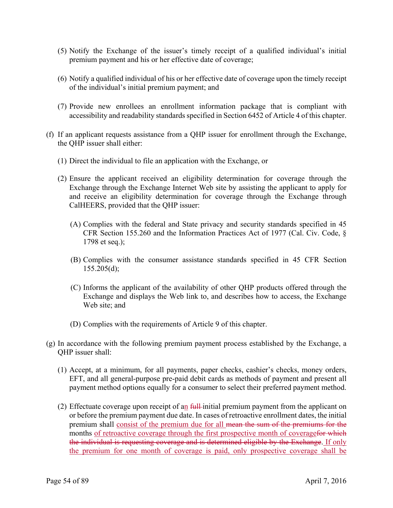- (5) Notify the Exchange of the issuer's timely receipt of a qualified individual's initial premium payment and his or her effective date of coverage;
- (6) Notify a qualified individual of his or her effective date of coverage upon the timely receipt of the individual's initial premium payment; and
- (7) Provide new enrollees an enrollment information package that is compliant with accessibility and readability standards specified in Section 6452 of Article 4 of this chapter.
- (f) If an applicant requests assistance from a QHP issuer for enrollment through the Exchange, the QHP issuer shall either:
	- (1) Direct the individual to file an application with the Exchange, or
	- (2) Ensure the applicant received an eligibility determination for coverage through the Exchange through the Exchange Internet Web site by assisting the applicant to apply for and receive an eligibility determination for coverage through the Exchange through CalHEERS, provided that the QHP issuer:
		- (A) Complies with the federal and State privacy and security standards specified in 45 CFR Section 155.260 and the Information Practices Act of 1977 (Cal. Civ. Code, § 1798 et seq.);
		- (B) Complies with the consumer assistance standards specified in 45 CFR Section  $155.205(d)$ ;
		- (C) Informs the applicant of the availability of other QHP products offered through the Exchange and displays the Web link to, and describes how to access, the Exchange Web site; and
		- (D) Complies with the requirements of Article 9 of this chapter.
- (g) In accordance with the following premium payment process established by the Exchange, a QHP issuer shall:
	- (1) Accept, at a minimum, for all payments, paper checks, cashier's checks, money orders, EFT, and all general-purpose pre-paid debit cards as methods of payment and present all payment method options equally for a consumer to select their preferred payment method.
	- (2) Effectuate coverage upon receipt of an  $f$ <sup>{ $\mu$ }</sup> initial premium payment from the applicant on or before the premium payment due date. In cases of retroactive enrollment dates, the initial premium shall consist of the premium due for all mean the sum of the premiums for the months of retroactive coverage through the first prospective month of coveragefor which the individual is requesting coverage and is determined eligible by the Exchange. If only the premium for one month of coverage is paid, only prospective coverage shall be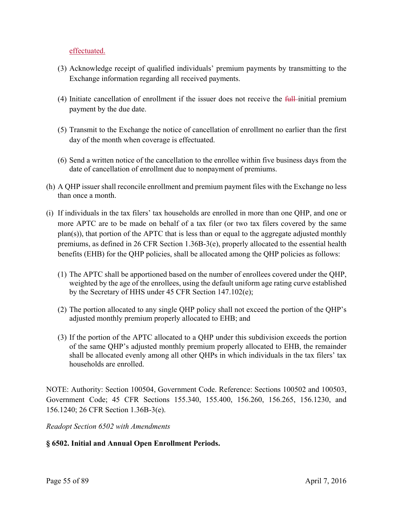effectuated.

- (3) Acknowledge receipt of qualified individuals' premium payments by transmitting to the Exchange information regarding all received payments.
- (4) Initiate cancellation of enrollment if the issuer does not receive the  $\frac{f}{f}$ -initial premium payment by the due date.
- (5) Transmit to the Exchange the notice of cancellation of enrollment no earlier than the first day of the month when coverage is effectuated.
- (6) Send a written notice of the cancellation to the enrollee within five business days from the date of cancellation of enrollment due to nonpayment of premiums.
- (h) A QHP issuer shall reconcile enrollment and premium payment files with the Exchange no less than once a month.
- (i) If individuals in the tax filers' tax households are enrolled in more than one QHP, and one or more APTC are to be made on behalf of a tax filer (or two tax filers covered by the same plan(s)), that portion of the APTC that is less than or equal to the aggregate adjusted monthly premiums, as defined in 26 CFR Section 1.36B-3(e), properly allocated to the essential health benefits (EHB) for the QHP policies, shall be allocated among the QHP policies as follows:
	- (1) The APTC shall be apportioned based on the number of enrollees covered under the QHP, weighted by the age of the enrollees, using the default uniform age rating curve established by the Secretary of HHS under 45 CFR Section 147.102(e);
	- (2) The portion allocated to any single QHP policy shall not exceed the portion of the QHP's adjusted monthly premium properly allocated to EHB; and
	- (3) If the portion of the APTC allocated to a QHP under this subdivision exceeds the portion of the same QHP's adjusted monthly premium properly allocated to EHB, the remainder shall be allocated evenly among all other QHPs in which individuals in the tax filers' tax households are enrolled.

NOTE: Authority: Section 100504, Government Code. Reference: Sections 100502 and 100503, Government Code; 45 CFR Sections 155.340, 155.400, 156.260, 156.265, 156.1230, and 156.1240; 26 CFR Section 1.36B-3(e).

*Readopt Section 6502 with Amendments* 

# **§ 6502. Initial and Annual Open Enrollment Periods.**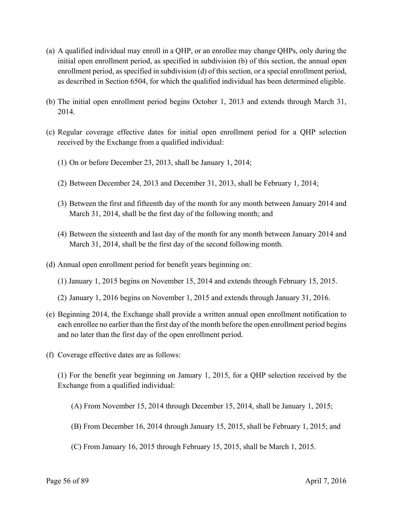- (a) A qualified individual may enroll in a QHP, or an enrollee may change QHPs, only during the initial open enrollment period, as specified in subdivision (b) of this section, the annual open enrollment period, as specified in subdivision (d) of this section, or a special enrollment period, as described in Section 6504, for which the qualified individual has been determined eligible.
- (b) The initial open enrollment period begins October 1, 2013 and extends through March 31, 2014.
- (c) Regular coverage effective dates for initial open enrollment period for a QHP selection received by the Exchange from a qualified individual:
	- (1) On or before December 23, 2013, shall be January 1, 2014;
	- (2) Between December 24, 2013 and December 31, 2013, shall be February 1, 2014;
	- (3) Between the first and fifteenth day of the month for any month between January 2014 and March 31, 2014, shall be the first day of the following month; and
	- (4) Between the sixteenth and last day of the month for any month between January 2014 and March 31, 2014, shall be the first day of the second following month.
- (d) Annual open enrollment period for benefit years beginning on:
	- (1) January 1, 2015 begins on November 15, 2014 and extends through February 15, 2015.
	- (2) January 1, 2016 begins on November 1, 2015 and extends through January 31, 2016.
- (e) Beginning 2014, the Exchange shall provide a written annual open enrollment notification to each enrollee no earlier than the first day of the month before the open enrollment period begins and no later than the first day of the open enrollment period.
- (f) Coverage effective dates are as follows:

(1) For the benefit year beginning on January 1, 2015, for a QHP selection received by the Exchange from a qualified individual:

- (A) From November 15, 2014 through December 15, 2014, shall be January 1, 2015;
- (B) From December 16, 2014 through January 15, 2015, shall be February 1, 2015; and
- (C) From January 16, 2015 through February 15, 2015, shall be March 1, 2015.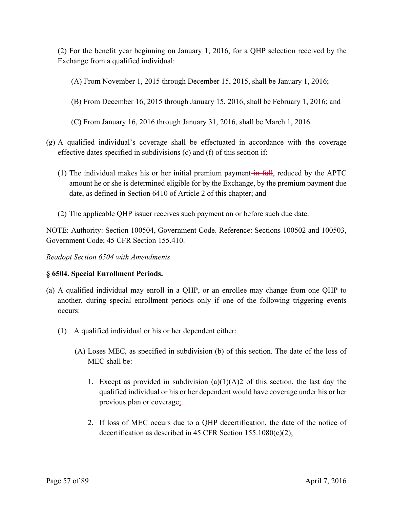(2) For the benefit year beginning on January 1, 2016, for a QHP selection received by the Exchange from a qualified individual:

(A) From November 1, 2015 through December 15, 2015, shall be January 1, 2016;

- (B) From December 16, 2015 through January 15, 2016, shall be February 1, 2016; and
- (C) From January 16, 2016 through January 31, 2016, shall be March 1, 2016.
- (g) A qualified individual's coverage shall be effectuated in accordance with the coverage effective dates specified in subdivisions (c) and (f) of this section if:
	- (1) The individual makes his or her initial premium payment—in full, reduced by the APTC amount he or she is determined eligible for by the Exchange, by the premium payment due date, as defined in Section 6410 of Article 2 of this chapter; and
	- (2) The applicable QHP issuer receives such payment on or before such due date.

NOTE: Authority: Section 100504, Government Code. Reference: Sections 100502 and 100503, Government Code; 45 CFR Section 155.410.

*Readopt Section 6504 with Amendments* 

# **§ 6504. Special Enrollment Periods.**

- (a) A qualified individual may enroll in a QHP, or an enrollee may change from one QHP to another, during special enrollment periods only if one of the following triggering events occurs:
	- (1) A qualified individual or his or her dependent either:
		- (A) Loses MEC, as specified in subdivision (b) of this section. The date of the loss of MEC shall be:
			- 1. Except as provided in subdivision  $(a)(1)(A)2$  of this section, the last day the qualified individual or his or her dependent would have coverage under his or her previous plan or coverage;.
			- 2. If loss of MEC occurs due to a QHP decertification, the date of the notice of decertification as described in 45 CFR Section 155.1080(e)(2);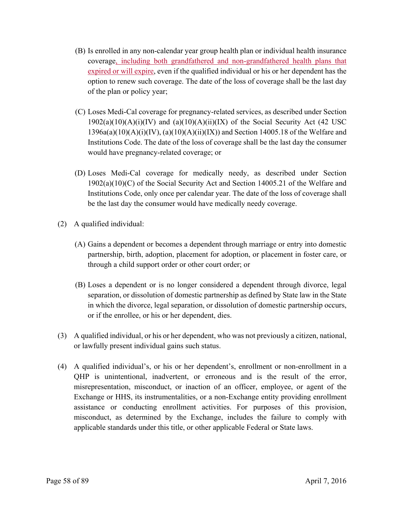- (B) Is enrolled in any non-calendar year group health plan or individual health insurance coverage, including both grandfathered and non-grandfathered health plans that expired or will expire, even if the qualified individual or his or her dependent has the option to renew such coverage. The date of the loss of coverage shall be the last day of the plan or policy year;
- (C) Loses Medi-Cal coverage for pregnancy-related services, as described under Section  $1902(a)(10)(A)(i)(IV)$  and  $(a)(10)(A)(ii)(IX)$  of the Social Security Act (42 USC)  $1396a(a)(10)(A)(i)(IV), (a)(10)(A)(ii)(IX))$  and Section 14005.18 of the Welfare and Institutions Code. The date of the loss of coverage shall be the last day the consumer would have pregnancy-related coverage; or
- (D) Loses Medi-Cal coverage for medically needy, as described under Section 1902(a)(10)(C) of the Social Security Act and Section 14005.21 of the Welfare and Institutions Code, only once per calendar year. The date of the loss of coverage shall be the last day the consumer would have medically needy coverage.
- (2) A qualified individual:
	- (A) Gains a dependent or becomes a dependent through marriage or entry into domestic partnership, birth, adoption, placement for adoption, or placement in foster care, or through a child support order or other court order; or
	- (B) Loses a dependent or is no longer considered a dependent through divorce, legal separation, or dissolution of domestic partnership as defined by State law in the State in which the divorce, legal separation, or dissolution of domestic partnership occurs, or if the enrollee, or his or her dependent, dies.
- (3) A qualified individual, or his or her dependent, who was not previously a citizen, national, or lawfully present individual gains such status.
- (4) A qualified individual's, or his or her dependent's, enrollment or non-enrollment in a QHP is unintentional, inadvertent, or erroneous and is the result of the error, misrepresentation, misconduct, or inaction of an officer, employee, or agent of the Exchange or HHS, its instrumentalities, or a non-Exchange entity providing enrollment assistance or conducting enrollment activities. For purposes of this provision, misconduct, as determined by the Exchange, includes the failure to comply with applicable standards under this title, or other applicable Federal or State laws.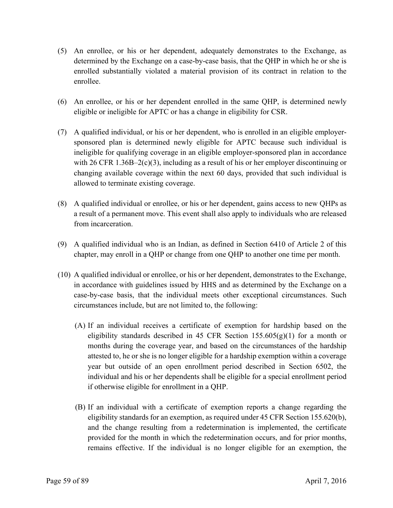- (5) An enrollee, or his or her dependent, adequately demonstrates to the Exchange, as determined by the Exchange on a case-by-case basis, that the QHP in which he or she is enrolled substantially violated a material provision of its contract in relation to the enrollee.
- (6) An enrollee, or his or her dependent enrolled in the same QHP, is determined newly eligible or ineligible for APTC or has a change in eligibility for CSR.
- (7) A qualified individual, or his or her dependent, who is enrolled in an eligible employersponsored plan is determined newly eligible for APTC because such individual is ineligible for qualifying coverage in an eligible employer-sponsored plan in accordance with 26 CFR 1.36B–2(c)(3), including as a result of his or her employer discontinuing or changing available coverage within the next 60 days, provided that such individual is allowed to terminate existing coverage.
- (8) A qualified individual or enrollee, or his or her dependent, gains access to new QHPs as a result of a permanent move. This event shall also apply to individuals who are released from incarceration.
- (9) A qualified individual who is an Indian, as defined in Section 6410 of Article 2 of this chapter, may enroll in a QHP or change from one QHP to another one time per month.
- (10) A qualified individual or enrollee, or his or her dependent, demonstrates to the Exchange, in accordance with guidelines issued by HHS and as determined by the Exchange on a case-by-case basis, that the individual meets other exceptional circumstances. Such circumstances include, but are not limited to, the following:
	- (A) If an individual receives a certificate of exemption for hardship based on the eligibility standards described in 45 CFR Section  $155.605(g)(1)$  for a month or months during the coverage year, and based on the circumstances of the hardship attested to, he or she is no longer eligible for a hardship exemption within a coverage year but outside of an open enrollment period described in Section 6502, the individual and his or her dependents shall be eligible for a special enrollment period if otherwise eligible for enrollment in a QHP.
	- (B) If an individual with a certificate of exemption reports a change regarding the eligibility standards for an exemption, as required under 45 CFR Section 155.620(b), and the change resulting from a redetermination is implemented, the certificate provided for the month in which the redetermination occurs, and for prior months, remains effective. If the individual is no longer eligible for an exemption, the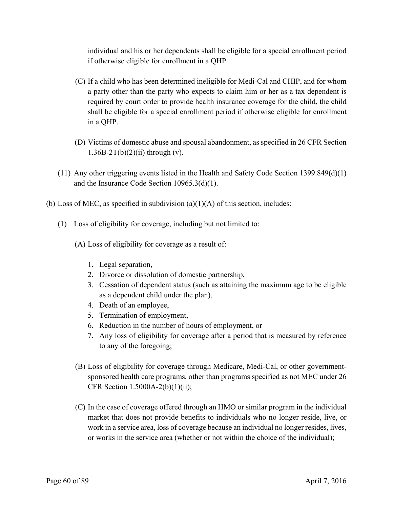individual and his or her dependents shall be eligible for a special enrollment period if otherwise eligible for enrollment in a QHP.

- (C) If a child who has been determined ineligible for Medi-Cal and CHIP, and for whom a party other than the party who expects to claim him or her as a tax dependent is required by court order to provide health insurance coverage for the child, the child shall be eligible for a special enrollment period if otherwise eligible for enrollment in a QHP.
- (D) Victims of domestic abuse and spousal abandonment, as specified in 26 CFR Section  $1.36B-2T(b)(2)(ii)$  through (v).
- (11) Any other triggering events listed in the Health and Safety Code Section 1399.849(d)(1) and the Insurance Code Section 10965.3(d)(1).
- (b) Loss of MEC, as specified in subdivision  $(a)(1)(A)$  of this section, includes:
	- (1) Loss of eligibility for coverage, including but not limited to:
		- (A) Loss of eligibility for coverage as a result of:
			- 1. Legal separation,
			- 2. Divorce or dissolution of domestic partnership,
			- 3. Cessation of dependent status (such as attaining the maximum age to be eligible as a dependent child under the plan),
			- 4. Death of an employee,
			- 5. Termination of employment,
			- 6. Reduction in the number of hours of employment, or
			- 7. Any loss of eligibility for coverage after a period that is measured by reference to any of the foregoing;
		- (B) Loss of eligibility for coverage through Medicare, Medi-Cal, or other governmentsponsored health care programs, other than programs specified as not MEC under 26 CFR Section 1.5000A-2(b)(1)(ii);
		- (C) In the case of coverage offered through an HMO or similar program in the individual market that does not provide benefits to individuals who no longer reside, live, or work in a service area, loss of coverage because an individual no longer resides, lives, or works in the service area (whether or not within the choice of the individual);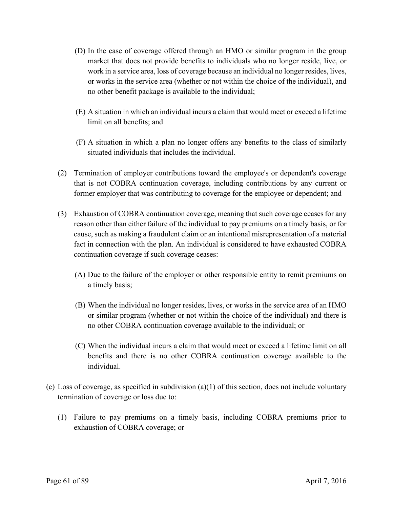- (D) In the case of coverage offered through an HMO or similar program in the group market that does not provide benefits to individuals who no longer reside, live, or work in a service area, loss of coverage because an individual no longer resides, lives, or works in the service area (whether or not within the choice of the individual), and no other benefit package is available to the individual;
- (E) A situation in which an individual incurs a claim that would meet or exceed a lifetime limit on all benefits; and
- (F) A situation in which a plan no longer offers any benefits to the class of similarly situated individuals that includes the individual.
- (2) Termination of employer contributions toward the employee's or dependent's coverage that is not COBRA continuation coverage, including contributions by any current or former employer that was contributing to coverage for the employee or dependent; and
- (3) Exhaustion of COBRA continuation coverage, meaning that such coverage ceases for any reason other than either failure of the individual to pay premiums on a timely basis, or for cause, such as making a fraudulent claim or an intentional misrepresentation of a material fact in connection with the plan. An individual is considered to have exhausted COBRA continuation coverage if such coverage ceases:
	- (A) Due to the failure of the employer or other responsible entity to remit premiums on a timely basis;
	- (B) When the individual no longer resides, lives, or works in the service area of an HMO or similar program (whether or not within the choice of the individual) and there is no other COBRA continuation coverage available to the individual; or
	- (C) When the individual incurs a claim that would meet or exceed a lifetime limit on all benefits and there is no other COBRA continuation coverage available to the individual.
- (c) Loss of coverage, as specified in subdivision (a)(1) of this section, does not include voluntary termination of coverage or loss due to:
	- (1) Failure to pay premiums on a timely basis, including COBRA premiums prior to exhaustion of COBRA coverage; or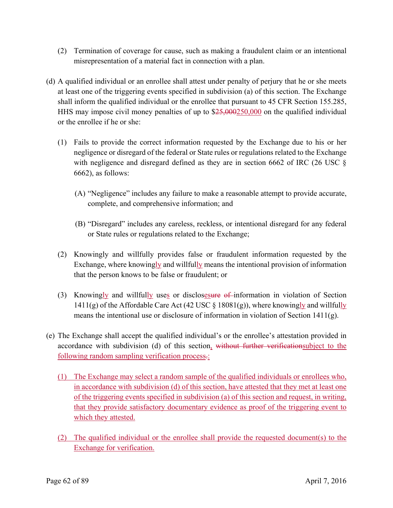- (2) Termination of coverage for cause, such as making a fraudulent claim or an intentional misrepresentation of a material fact in connection with a plan.
- (d) A qualified individual or an enrollee shall attest under penalty of perjury that he or she meets at least one of the triggering events specified in subdivision (a) of this section. The Exchange shall inform the qualified individual or the enrollee that pursuant to 45 CFR Section 155.285, HHS may impose civil money penalties of up to \$25,000250,000 on the qualified individual or the enrollee if he or she:
	- (1) Fails to provide the correct information requested by the Exchange due to his or her negligence or disregard of the federal or State rules or regulations related to the Exchange with negligence and disregard defined as they are in section 6662 of IRC (26 USC  $\S$ 6662), as follows:
		- (A) "Negligence" includes any failure to make a reasonable attempt to provide accurate, complete, and comprehensive information; and
		- (B) "Disregard" includes any careless, reckless, or intentional disregard for any federal or State rules or regulations related to the Exchange;
	- (2) Knowingly and willfully provides false or fraudulent information requested by the Exchange, where knowingly and willfully means the intentional provision of information that the person knows to be false or fraudulent; or
	- (3) Knowingly and willfully uses or disclosesure of information in violation of Section 1411(g) of the Affordable Care Act (42 USC  $\S$  18081(g)), where knowingly and willfully means the intentional use or disclosure of information in violation of Section 1411(g).
- (e) The Exchange shall accept the qualified individual's or the enrollee's attestation provided in accordance with subdivision (d) of this section, without further verificationsubject to the following random sampling verification process-:
	- (1) The Exchange may select a random sample of the qualified individuals or enrollees who, in accordance with subdivision (d) of this section, have attested that they met at least one of the triggering events specified in subdivision (a) of this section and request, in writing, that they provide satisfactory documentary evidence as proof of the triggering event to which they attested.
	- (2) The qualified individual or the enrollee shall provide the requested document(s) to the Exchange for verification.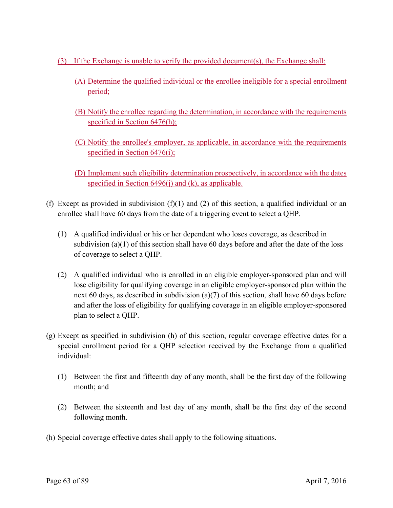- (3) If the Exchange is unable to verify the provided document(s), the Exchange shall:
	- (A) Determine the qualified individual or the enrollee ineligible for a special enrollment period;
	- (B) Notify the enrollee regarding the determination, in accordance with the requirements specified in Section 6476(h);
	- (C) Notify the enrollee's employer, as applicable, in accordance with the requirements specified in Section 6476(i);
	- (D) Implement such eligibility determination prospectively, in accordance with the dates specified in Section 6496(j) and (k), as applicable.
- (f) Except as provided in subdivision  $(f)(1)$  and  $(2)$  of this section, a qualified individual or an enrollee shall have 60 days from the date of a triggering event to select a QHP.
	- (1) A qualified individual or his or her dependent who loses coverage, as described in subdivision (a)(1) of this section shall have 60 days before and after the date of the loss of coverage to select a QHP.
	- (2) A qualified individual who is enrolled in an eligible employer-sponsored plan and will lose eligibility for qualifying coverage in an eligible employer-sponsored plan within the next 60 days, as described in subdivision (a)(7) of this section, shall have 60 days before and after the loss of eligibility for qualifying coverage in an eligible employer-sponsored plan to select a QHP.
- (g) Except as specified in subdivision (h) of this section, regular coverage effective dates for a special enrollment period for a QHP selection received by the Exchange from a qualified individual:
	- (1) Between the first and fifteenth day of any month, shall be the first day of the following month; and
	- (2) Between the sixteenth and last day of any month, shall be the first day of the second following month.
- (h) Special coverage effective dates shall apply to the following situations.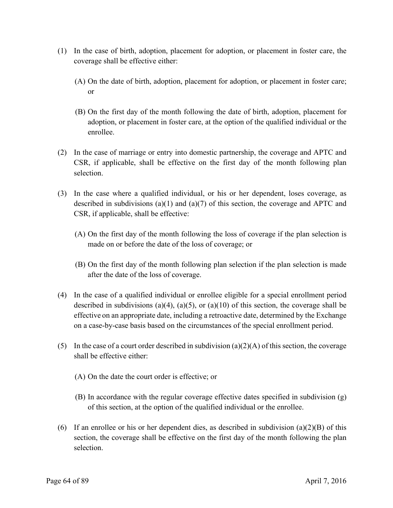- (1) In the case of birth, adoption, placement for adoption, or placement in foster care, the coverage shall be effective either:
	- (A) On the date of birth, adoption, placement for adoption, or placement in foster care; or
	- (B) On the first day of the month following the date of birth, adoption, placement for adoption, or placement in foster care, at the option of the qualified individual or the enrollee.
- (2) In the case of marriage or entry into domestic partnership, the coverage and APTC and CSR, if applicable, shall be effective on the first day of the month following plan selection.
- (3) In the case where a qualified individual, or his or her dependent, loses coverage, as described in subdivisions (a)(1) and (a)(7) of this section, the coverage and APTC and CSR, if applicable, shall be effective:
	- (A) On the first day of the month following the loss of coverage if the plan selection is made on or before the date of the loss of coverage; or
	- (B) On the first day of the month following plan selection if the plan selection is made after the date of the loss of coverage.
- (4) In the case of a qualified individual or enrollee eligible for a special enrollment period described in subdivisions (a)(4), (a)(5), or (a)(10) of this section, the coverage shall be effective on an appropriate date, including a retroactive date, determined by the Exchange on a case-by-case basis based on the circumstances of the special enrollment period.
- (5) In the case of a court order described in subdivision (a)(2)(A) of this section, the coverage shall be effective either:
	- (A) On the date the court order is effective; or
	- (B) In accordance with the regular coverage effective dates specified in subdivision (g) of this section, at the option of the qualified individual or the enrollee.
- (6) If an enrollee or his or her dependent dies, as described in subdivision (a)(2)(B) of this section, the coverage shall be effective on the first day of the month following the plan selection.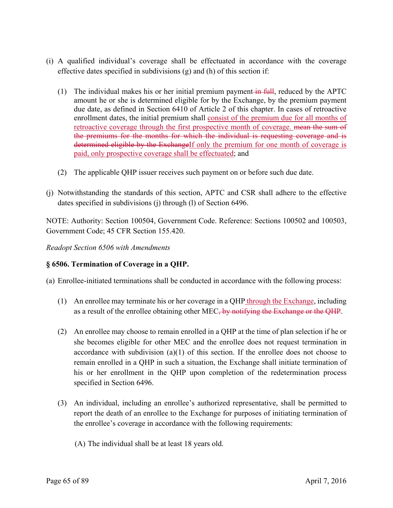- (i) A qualified individual's coverage shall be effectuated in accordance with the coverage effective dates specified in subdivisions  $(g)$  and  $(h)$  of this section if:
	- (1) The individual makes his or her initial premium payment in full, reduced by the APTC amount he or she is determined eligible for by the Exchange, by the premium payment due date, as defined in Section 6410 of Article 2 of this chapter. In cases of retroactive enrollment dates, the initial premium shall consist of the premium due for all months of retroactive coverage through the first prospective month of coverage. mean the sum of the premiums for the months for which the individual is requesting coverage and is determined eligible by the ExchangeIf only the premium for one month of coverage is paid, only prospective coverage shall be effectuated; and
	- (2) The applicable QHP issuer receives such payment on or before such due date.
- (j) Notwithstanding the standards of this section, APTC and CSR shall adhere to the effective dates specified in subdivisions (j) through (l) of Section 6496.

NOTE: Authority: Section 100504, Government Code. Reference: Sections 100502 and 100503, Government Code; 45 CFR Section 155.420.

*Readopt Section 6506 with Amendments* 

# **§ 6506. Termination of Coverage in a QHP.**

(a) Enrollee-initiated terminations shall be conducted in accordance with the following process:

- (1) An enrollee may terminate his or her coverage in a QHP through the Exchange, including as a result of the enrollee obtaining other MEC, by notifying the Exchange or the QHP.
- (2) An enrollee may choose to remain enrolled in a QHP at the time of plan selection if he or she becomes eligible for other MEC and the enrollee does not request termination in accordance with subdivision (a)(1) of this section. If the enrollee does not choose to remain enrolled in a QHP in such a situation, the Exchange shall initiate termination of his or her enrollment in the QHP upon completion of the redetermination process specified in Section 6496.
- (3) An individual, including an enrollee's authorized representative, shall be permitted to report the death of an enrollee to the Exchange for purposes of initiating termination of the enrollee's coverage in accordance with the following requirements:
	- (A) The individual shall be at least 18 years old.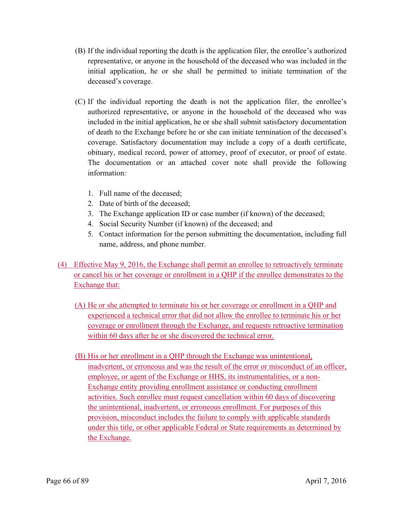- (B) If the individual reporting the death is the application filer, the enrollee's authorized representative, or anyone in the household of the deceased who was included in the initial application, he or she shall be permitted to initiate termination of the deceased's coverage.
- (C) If the individual reporting the death is not the application filer, the enrollee's authorized representative, or anyone in the household of the deceased who was included in the initial application, he or she shall submit satisfactory documentation of death to the Exchange before he or she can initiate termination of the deceased's coverage. Satisfactory documentation may include a copy of a death certificate, obituary, medical record, power of attorney, proof of executor, or proof of estate. The documentation or an attached cover note shall provide the following information:
	- 1. Full name of the deceased;
	- 2. Date of birth of the deceased;
	- 3. The Exchange application ID or case number (if known) of the deceased;
	- 4. Social Security Number (if known) of the deceased; and
	- 5. Contact information for the person submitting the documentation, including full name, address, and phone number.
- (4) Effective May 9, 2016, the Exchange shall permit an enrollee to retroactively terminate or cancel his or her coverage or enrollment in a QHP if the enrollee demonstrates to the Exchange that:
	- (A) He or she attempted to terminate his or her coverage or enrollment in a QHP and experienced a technical error that did not allow the enrollee to terminate his or her coverage or enrollment through the Exchange, and requests retroactive termination within 60 days after he or she discovered the technical error.
	- (B) His or her enrollment in a QHP through the Exchange was unintentional, inadvertent, or erroneous and was the result of the error or misconduct of an officer, employee, or agent of the Exchange or HHS, its instrumentalities, or a non-Exchange entity providing enrollment assistance or conducting enrollment activities. Such enrollee must request cancellation within 60 days of discovering the unintentional, inadvertent, or erroneous enrollment. For purposes of this provision, misconduct includes the failure to comply with applicable standards under this title, or other applicable Federal or State requirements as determined by the Exchange.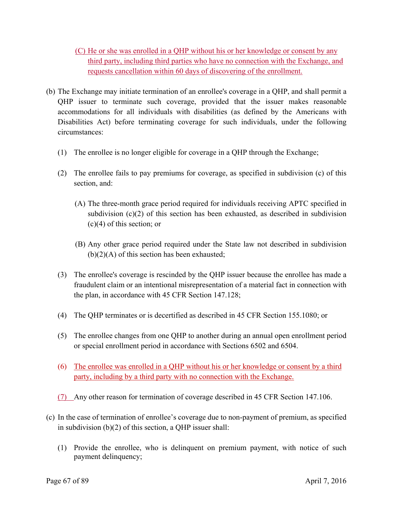(C) He or she was enrolled in a QHP without his or her knowledge or consent by any third party, including third parties who have no connection with the Exchange, and requests cancellation within 60 days of discovering of the enrollment.

- (b) The Exchange may initiate termination of an enrollee's coverage in a QHP, and shall permit a QHP issuer to terminate such coverage, provided that the issuer makes reasonable accommodations for all individuals with disabilities (as defined by the Americans with Disabilities Act) before terminating coverage for such individuals, under the following circumstances:
	- (1) The enrollee is no longer eligible for coverage in a OHP through the Exchange;
	- (2) The enrollee fails to pay premiums for coverage, as specified in subdivision (c) of this section, and:
		- (A) The three-month grace period required for individuals receiving APTC specified in subdivision  $(c)(2)$  of this section has been exhausted, as described in subdivision (c)(4) of this section; or
		- (B) Any other grace period required under the State law not described in subdivision  $(b)(2)(A)$  of this section has been exhausted;
	- (3) The enrollee's coverage is rescinded by the QHP issuer because the enrollee has made a fraudulent claim or an intentional misrepresentation of a material fact in connection with the plan, in accordance with 45 CFR Section 147.128;
	- (4) The QHP terminates or is decertified as described in 45 CFR Section 155.1080; or
	- (5) The enrollee changes from one QHP to another during an annual open enrollment period or special enrollment period in accordance with Sections 6502 and 6504.
	- (6) The enrollee was enrolled in a QHP without his or her knowledge or consent by a third party, including by a third party with no connection with the Exchange.
	- (7) Any other reason for termination of coverage described in 45 CFR Section 147.106.
- (c) In the case of termination of enrollee's coverage due to non-payment of premium, as specified in subdivision (b)(2) of this section, a QHP issuer shall:
	- (1) Provide the enrollee, who is delinquent on premium payment, with notice of such payment delinquency;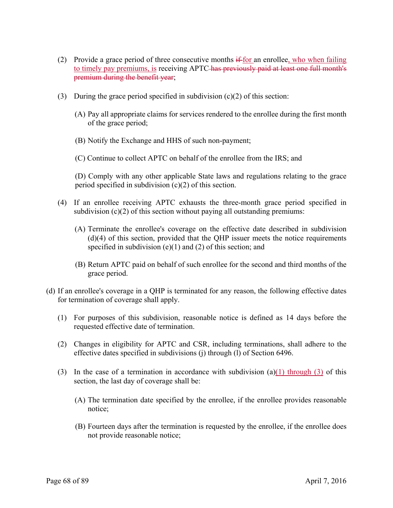- (2) Provide a grace period of three consecutive months  $\text{if for an envelope, who when failing}$ to timely pay premiums, is receiving APTC has previously paid at least one full month's premium during the benefit year;
- (3) During the grace period specified in subdivision  $(c)(2)$  of this section:
	- (A) Pay all appropriate claims for services rendered to the enrollee during the first month of the grace period;
	- (B) Notify the Exchange and HHS of such non-payment;

(C) Continue to collect APTC on behalf of the enrollee from the IRS; and

(D) Comply with any other applicable State laws and regulations relating to the grace period specified in subdivision  $(c)(2)$  of this section.

- (4) If an enrollee receiving APTC exhausts the three-month grace period specified in subdivision  $(c)(2)$  of this section without paying all outstanding premiums:
	- (A) Terminate the enrollee's coverage on the effective date described in subdivision (d)(4) of this section, provided that the QHP issuer meets the notice requirements specified in subdivision  $(e)(1)$  and  $(2)$  of this section; and
	- (B) Return APTC paid on behalf of such enrollee for the second and third months of the grace period.
- (d) If an enrollee's coverage in a QHP is terminated for any reason, the following effective dates for termination of coverage shall apply.
	- (1) For purposes of this subdivision, reasonable notice is defined as 14 days before the requested effective date of termination.
	- (2) Changes in eligibility for APTC and CSR, including terminations, shall adhere to the effective dates specified in subdivisions (j) through (l) of Section 6496.
	- (3) In the case of a termination in accordance with subdivision (a)(1) through (3) of this section, the last day of coverage shall be:
		- notice; (A) The termination date specified by the enrollee, if the enrollee provides reasonable
- not provide reasonable notice; (B) Fourteen days after the termination is requested by the enrollee, if the enrollee does not provide reasonable notice;<br>Page 68 of 89 April 7, 2016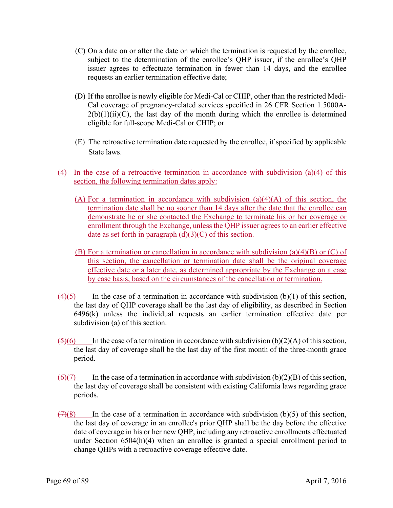- (C) On a date on or after the date on which the termination is requested by the enrollee, subject to the determination of the enrollee's QHP issuer, if the enrollee's QHP issuer agrees to effectuate termination in fewer than 14 days, and the enrollee requests an earlier termination effective date;
- (D) If the enrollee is newly eligible for Medi-Cal or CHIP, other than the restricted Medi-Cal coverage of pregnancy-related services specified in 26 CFR Section 1.5000A- $2(b)(1)(ii)(C)$ , the last day of the month during which the enrollee is determined eligible for full-scope Medi-Cal or CHIP; or
- (E) The retroactive termination date requested by the enrollee, if specified by applicable State laws.
- (4) In the case of a retroactive termination in accordance with subdivision (a)(4) of this section, the following termination dates apply:
	- (A) For a termination in accordance with subdivision  $(a)(4)(A)$  of this section, the termination date shall be no sooner than 14 days after the date that the enrollee can demonstrate he or she contacted the Exchange to terminate his or her coverage or enrollment through the Exchange, unless the QHP issuer agrees to an earlier effective date as set forth in paragraph  $(d)(3)(C)$  of this section.
	- (B) For a termination or cancellation in accordance with subdivision (a)(4)(B) or (C) of this section, the cancellation or termination date shall be the original coverage effective date or a later date, as determined appropriate by the Exchange on a case by case basis, based on the circumstances of the cancellation or termination.
- $\left(4\right)\left(5\right)$  In the case of a termination in accordance with subdivision (b)(1) of this section, the last day of QHP coverage shall be the last day of eligibility, as described in Section 6496(k) unless the individual requests an earlier termination effective date per subdivision (a) of this section.
- $\overline{(5)}$ (6) In the case of a termination in accordance with subdivision (b)(2)(A) of this section, the last day of coverage shall be the last day of the first month of the three-month grace period.
- $\overline{(6)(7)}$  In the case of a termination in accordance with subdivision (b)(2)(B) of this section, the last day of coverage shall be consistent with existing California laws regarding grace periods.
- $(7)(8)$  In the case of a termination in accordance with subdivision (b)(5) of this section, the last day of coverage in an enrollee's prior QHP shall be the day before the effective date of coverage in his or her new QHP, including any retroactive enrollments effectuated under Section 6504(h)(4) when an enrollee is granted a special enrollment period to change QHPs with a retroactive coverage effective date.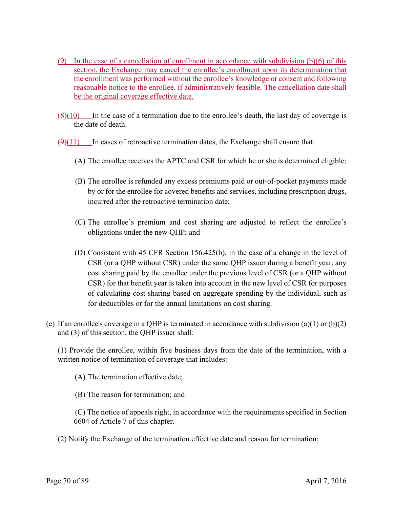- (9) In the case of a cancellation of enrollment in accordance with subdivision  $(b)(6)$  of this section, the Exchange may cancel the enrollee's enrollment upon its determination that the enrollment was performed without the enrollee's knowledge or consent and following reasonable notice to the enrollee, if administratively feasible. The cancellation date shall be the original coverage effective date.
- $\left(\frac{8}{10}\right)$  In the case of a termination due to the enrollee's death, the last day of coverage is the date of death.
- $(9)(11)$  In cases of retroactive termination dates, the Exchange shall ensure that:
	- (A) The enrollee receives the APTC and CSR for which he or she is determined eligible;
	- (B) The enrollee is refunded any excess premiums paid or out-of-pocket payments made by or for the enrollee for covered benefits and services, including prescription drugs, incurred after the retroactive termination date;
	- (C) The enrollee's premium and cost sharing are adjusted to reflect the enrollee's obligations under the new QHP; and
	- (D) Consistent with 45 CFR Section 156.425(b), in the case of a change in the level of CSR (or a QHP without CSR) under the same QHP issuer during a benefit year, any cost sharing paid by the enrollee under the previous level of CSR (or a QHP without CSR) for that benefit year is taken into account in the new level of CSR for purposes of calculating cost sharing based on aggregate spending by the individual, such as for deductibles or for the annual limitations on cost sharing.
- (e) If an enrollee's coverage in a QHP is terminated in accordance with subdivision (a)(1) or (b)(2) and (3) of this section, the QHP issuer shall:

(1) Provide the enrollee, within five business days from the date of the termination, with a written notice of termination of coverage that includes:

- (A) The termination effective date;
- (B) The reason for termination; and
- (C) The notice of appeals right, in accordance with the requirements specified in Section 6604 of Article 7 of this chapter.
- (2) Notify the Exchange of the termination effective date and reason for termination;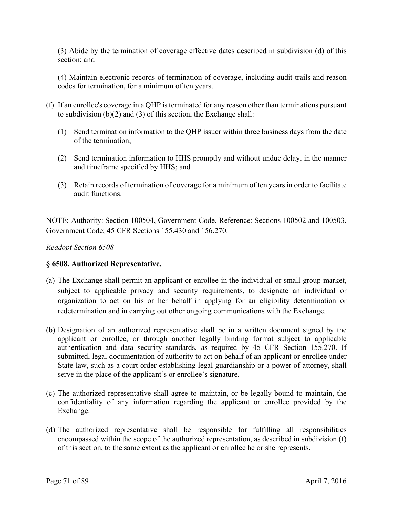(3) Abide by the termination of coverage effective dates described in subdivision (d) of this section; and

(4) Maintain electronic records of termination of coverage, including audit trails and reason codes for termination, for a minimum of ten years.

- (f) If an enrollee's coverage in a QHP is terminated for any reason other than terminations pursuant to subdivision (b)(2) and (3) of this section, the Exchange shall:
	- (1) Send termination information to the QHP issuer within three business days from the date of the termination;
	- (2) Send termination information to HHS promptly and without undue delay, in the manner and timeframe specified by HHS; and
	- (3) Retain records of termination of coverage for a minimum of ten years in order to facilitate audit functions.

NOTE: Authority: Section 100504, Government Code. Reference: Sections 100502 and 100503, Government Code; 45 CFR Sections 155.430 and 156.270.

### *Readopt Section 6508*

# **§ 6508. Authorized Representative.**

- (a) The Exchange shall permit an applicant or enrollee in the individual or small group market, subject to applicable privacy and security requirements, to designate an individual or organization to act on his or her behalf in applying for an eligibility determination or redetermination and in carrying out other ongoing communications with the Exchange.
- (b) Designation of an authorized representative shall be in a written document signed by the applicant or enrollee, or through another legally binding format subject to applicable authentication and data security standards, as required by 45 CFR Section 155.270. If submitted, legal documentation of authority to act on behalf of an applicant or enrollee under State law, such as a court order establishing legal guardianship or a power of attorney, shall serve in the place of the applicant's or enrollee's signature.
- (c) The authorized representative shall agree to maintain, or be legally bound to maintain, the confidentiality of any information regarding the applicant or enrollee provided by the Exchange.
- (d) The authorized representative shall be responsible for fulfilling all responsibilities encompassed within the scope of the authorized representation, as described in subdivision (f) of this section, to the same extent as the applicant or enrollee he or she represents.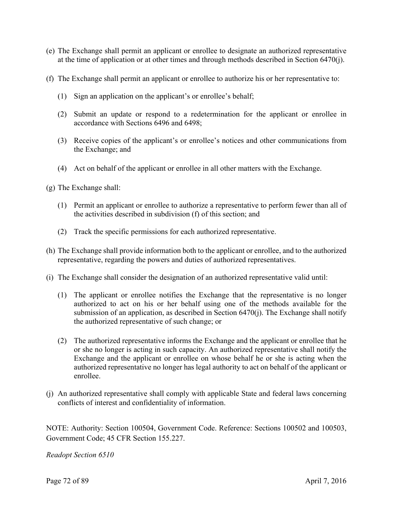- (e) The Exchange shall permit an applicant or enrollee to designate an authorized representative at the time of application or at other times and through methods described in Section 6470(j).
- (f) The Exchange shall permit an applicant or enrollee to authorize his or her representative to:
	- (1) Sign an application on the applicant's or enrollee's behalf;
	- (2) Submit an update or respond to a redetermination for the applicant or enrollee in accordance with Sections 6496 and 6498;
	- (3) Receive copies of the applicant's or enrollee's notices and other communications from the Exchange; and
	- (4) Act on behalf of the applicant or enrollee in all other matters with the Exchange.
- (g) The Exchange shall:
	- (1) Permit an applicant or enrollee to authorize a representative to perform fewer than all of the activities described in subdivision (f) of this section; and
	- (2) Track the specific permissions for each authorized representative.
- (h) The Exchange shall provide information both to the applicant or enrollee, and to the authorized representative, regarding the powers and duties of authorized representatives.
- (i) The Exchange shall consider the designation of an authorized representative valid until:
	- (1) The applicant or enrollee notifies the Exchange that the representative is no longer authorized to act on his or her behalf using one of the methods available for the submission of an application, as described in Section 6470(j). The Exchange shall notify the authorized representative of such change; or
	- (2) The authorized representative informs the Exchange and the applicant or enrollee that he or she no longer is acting in such capacity. An authorized representative shall notify the Exchange and the applicant or enrollee on whose behalf he or she is acting when the authorized representative no longer has legal authority to act on behalf of the applicant or enrollee.
- (j) An authorized representative shall comply with applicable State and federal laws concerning conflicts of interest and confidentiality of information.

NOTE: Authority: Section 100504, Government Code. Reference: Sections 100502 and 100503, Government Code; 45 CFR Section 155.227.

*Readopt Section 6510*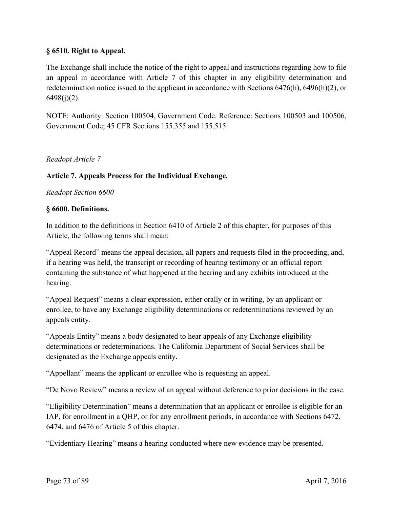## **§ 6510. Right to Appeal.**

The Exchange shall include the notice of the right to appeal and instructions regarding how to file an appeal in accordance with Article 7 of this chapter in any eligibility determination and redetermination notice issued to the applicant in accordance with Sections 6476(h), 6496(h)(2), or  $6498(j)(2)$ .

NOTE: Authority: Section 100504, Government Code. Reference: Sections 100503 and 100506, Government Code; 45 CFR Sections 155.355 and 155.515.

## *Readopt Article 7*

#### **Article 7. Appeals Process for the Individual Exchange.**

*Readopt Section 6600* 

#### **§ 6600. Definitions.**

In addition to the definitions in Section 6410 of Article 2 of this chapter, for purposes of this Article, the following terms shall mean:

"Appeal Record" means the appeal decision, all papers and requests filed in the proceeding, and, if a hearing was held, the transcript or recording of hearing testimony or an official report containing the substance of what happened at the hearing and any exhibits introduced at the hearing.

"Appeal Request" means a clear expression, either orally or in writing, by an applicant or enrollee, to have any Exchange eligibility determinations or redeterminations reviewed by an appeals entity.

"Appeals Entity" means a body designated to hear appeals of any Exchange eligibility determinations or redeterminations. The California Department of Social Services shall be designated as the Exchange appeals entity.

"Appellant" means the applicant or enrollee who is requesting an appeal.

"De Novo Review" means a review of an appeal without deference to prior decisions in the case.

"Eligibility Determination" means a determination that an applicant or enrollee is eligible for an IAP, for enrollment in a QHP, or for any enrollment periods, in accordance with Sections 6472, 6474, and 6476 of Article 5 of this chapter.

"Evidentiary Hearing" means a hearing conducted where new evidence may be presented.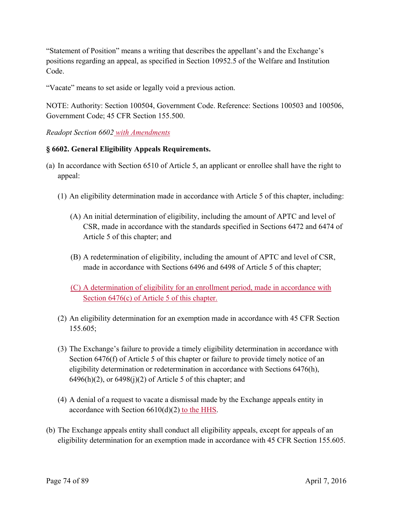"Statement of Position" means a writing that describes the appellant's and the Exchange's positions regarding an appeal, as specified in Section 10952.5 of the Welfare and Institution Code.

"Vacate" means to set aside or legally void a previous action.

NOTE: Authority: Section 100504, Government Code. Reference: Sections 100503 and 100506, Government Code; 45 CFR Section 155.500.

## *Readopt Section 6602 with Amendments*

#### **§ 6602. General Eligibility Appeals Requirements.**

- (a) In accordance with Section 6510 of Article 5, an applicant or enrollee shall have the right to appeal:
	- (1) An eligibility determination made in accordance with Article 5 of this chapter, including:
		- (A) An initial determination of eligibility, including the amount of APTC and level of CSR, made in accordance with the standards specified in Sections 6472 and 6474 of Article 5 of this chapter; and
		- (B) A redetermination of eligibility, including the amount of APTC and level of CSR, made in accordance with Sections 6496 and 6498 of Article 5 of this chapter;
		- (C) A determination of eligibility for an enrollment period, made in accordance with Section 6476(c) of Article 5 of this chapter.
	- (2) An eligibility determination for an exemption made in accordance with 45 CFR Section 155.605;
	- (3) The Exchange's failure to provide a timely eligibility determination in accordance with Section 6476(f) of Article 5 of this chapter or failure to provide timely notice of an eligibility determination or redetermination in accordance with Sections 6476(h),  $6496(h)(2)$ , or  $6498(i)(2)$  of Article 5 of this chapter; and
	- (4) A denial of a request to vacate a dismissal made by the Exchange appeals entity in accordance with Section 6610(d)(2) to the HHS.
- (b) The Exchange appeals entity shall conduct all eligibility appeals, except for appeals of an eligibility determination for an exemption made in accordance with 45 CFR Section 155.605.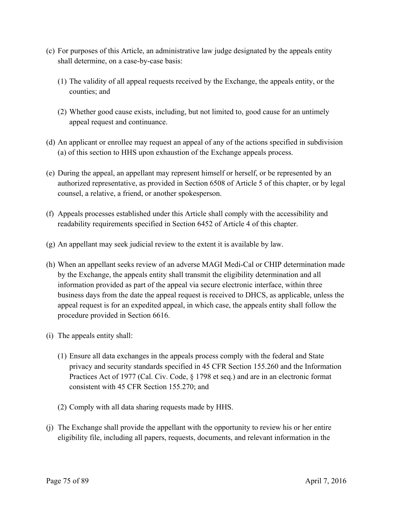- (c) For purposes of this Article, an administrative law judge designated by the appeals entity shall determine, on a case-by-case basis:
	- (1) The validity of all appeal requests received by the Exchange, the appeals entity, or the counties; and
	- (2) Whether good cause exists, including, but not limited to, good cause for an untimely appeal request and continuance.
- (d) An applicant or enrollee may request an appeal of any of the actions specified in subdivision (a) of this section to HHS upon exhaustion of the Exchange appeals process.
- (e) During the appeal, an appellant may represent himself or herself, or be represented by an authorized representative, as provided in Section 6508 of Article 5 of this chapter, or by legal counsel, a relative, a friend, or another spokesperson.
- (f) Appeals processes established under this Article shall comply with the accessibility and readability requirements specified in Section 6452 of Article 4 of this chapter.
- (g) An appellant may seek judicial review to the extent it is available by law.
- (h) When an appellant seeks review of an adverse MAGI Medi-Cal or CHIP determination made by the Exchange, the appeals entity shall transmit the eligibility determination and all information provided as part of the appeal via secure electronic interface, within three business days from the date the appeal request is received to DHCS, as applicable, unless the appeal request is for an expedited appeal, in which case, the appeals entity shall follow the procedure provided in Section 6616.
- (i) The appeals entity shall:
	- (1) Ensure all data exchanges in the appeals process comply with the federal and State privacy and security standards specified in 45 CFR Section 155.260 and the Information Practices Act of 1977 (Cal. Civ. Code, § 1798 et seq.) and are in an electronic format consistent with 45 CFR Section 155.270; and
	- (2) Comply with all data sharing requests made by HHS.
- (j) The Exchange shall provide the appellant with the opportunity to review his or her entire eligibility file, including all papers, requests, documents, and relevant information in the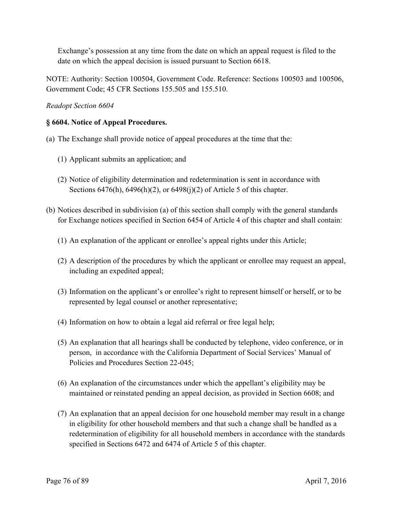Exchange's possession at any time from the date on which an appeal request is filed to the date on which the appeal decision is issued pursuant to Section 6618.

NOTE: Authority: Section 100504, Government Code. Reference: Sections 100503 and 100506, Government Code; 45 CFR Sections 155.505 and 155.510.

*Readopt Section 6604* 

## **§ 6604. Notice of Appeal Procedures.**

- (a) The Exchange shall provide notice of appeal procedures at the time that the:
	- (1) Applicant submits an application; and
	- (2) Notice of eligibility determination and redetermination is sent in accordance with Sections 6476(h), 6496(h)(2), or 6498(j)(2) of Article 5 of this chapter.
- (b) Notices described in subdivision (a) of this section shall comply with the general standards for Exchange notices specified in Section 6454 of Article 4 of this chapter and shall contain:
	- (1) An explanation of the applicant or enrollee's appeal rights under this Article;
	- (2) A description of the procedures by which the applicant or enrollee may request an appeal, including an expedited appeal;
	- (3) Information on the applicant's or enrollee's right to represent himself or herself, or to be represented by legal counsel or another representative;
	- (4) Information on how to obtain a legal aid referral or free legal help;
	- (5) An explanation that all hearings shall be conducted by telephone, video conference, or in person, in accordance with the California Department of Social Services' Manual of Policies and Procedures Section 22-045;
	- (6) An explanation of the circumstances under which the appellant's eligibility may be maintained or reinstated pending an appeal decision, as provided in Section 6608; and
	- (7) An explanation that an appeal decision for one household member may result in a change in eligibility for other household members and that such a change shall be handled as a redetermination of eligibility for all household members in accordance with the standards specified in Sections 6472 and 6474 of Article 5 of this chapter.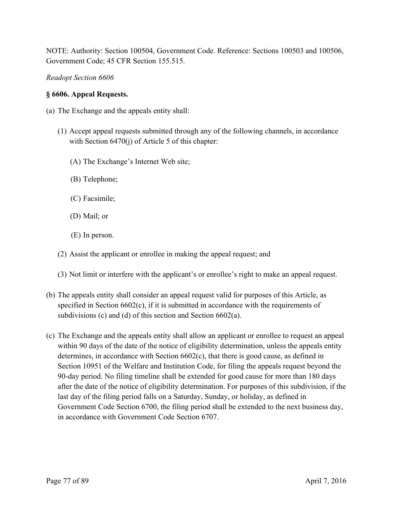NOTE: Authority: Section 100504, Government Code. Reference: Sections 100503 and 100506, Government Code; 45 CFR Section 155.515.

*Readopt Section 6606* 

## **§ 6606. Appeal Requests.**

- (a) The Exchange and the appeals entity shall:
	- (1) Accept appeal requests submitted through any of the following channels, in accordance with Section 6470(j) of Article 5 of this chapter:
		- (A) The Exchange's Internet Web site;
		- (B) Telephone;
		- (C) Facsimile;
		- (D) Mail; or
		- (E) In person.
	- (2) Assist the applicant or enrollee in making the appeal request; and
	- (3) Not limit or interfere with the applicant's or enrollee's right to make an appeal request.
- (b) The appeals entity shall consider an appeal request valid for purposes of this Article, as specified in Section 6602(c), if it is submitted in accordance with the requirements of subdivisions (c) and (d) of this section and Section 6602(a).
- (c) The Exchange and the appeals entity shall allow an applicant or enrollee to request an appeal within 90 days of the date of the notice of eligibility determination, unless the appeals entity determines, in accordance with Section 6602(c), that there is good cause, as defined in Section 10951 of the Welfare and Institution Code, for filing the appeals request beyond the 90-day period. No filing timeline shall be extended for good cause for more than 180 days after the date of the notice of eligibility determination. For purposes of this subdivision, if the last day of the filing period falls on a Saturday, Sunday, or holiday, as defined in Government Code Section 6700, the filing period shall be extended to the next business day, in accordance with Government Code Section 6707.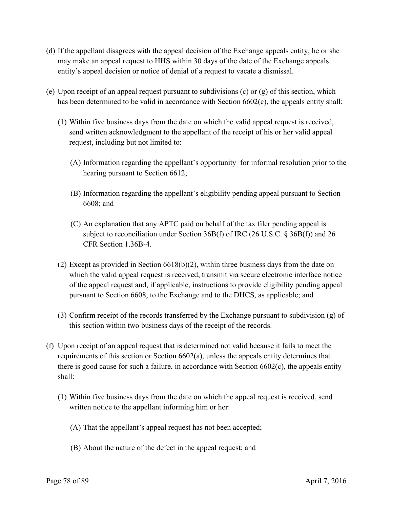- (d) If the appellant disagrees with the appeal decision of the Exchange appeals entity, he or she may make an appeal request to HHS within 30 days of the date of the Exchange appeals entity's appeal decision or notice of denial of a request to vacate a dismissal.
- (e) Upon receipt of an appeal request pursuant to subdivisions (c) or (g) of this section, which has been determined to be valid in accordance with Section 6602(c), the appeals entity shall:
	- (1) Within five business days from the date on which the valid appeal request is received, send written acknowledgment to the appellant of the receipt of his or her valid appeal request, including but not limited to:
		- (A) Information regarding the appellant's opportunity for informal resolution prior to the hearing pursuant to Section 6612;
		- (B) Information regarding the appellant's eligibility pending appeal pursuant to Section 6608; and
		- (C) An explanation that any APTC paid on behalf of the tax filer pending appeal is subject to reconciliation under Section 36B(f) of IRC (26 U.S.C. § 36B(f)) and 26 CFR Section 1.36B-4.
	- (2) Except as provided in Section 6618(b)(2), within three business days from the date on which the valid appeal request is received, transmit via secure electronic interface notice of the appeal request and, if applicable, instructions to provide eligibility pending appeal pursuant to Section 6608, to the Exchange and to the DHCS, as applicable; and
	- (3) Confirm receipt of the records transferred by the Exchange pursuant to subdivision (g) of this section within two business days of the receipt of the records.
- (f) Upon receipt of an appeal request that is determined not valid because it fails to meet the requirements of this section or Section 6602(a), unless the appeals entity determines that there is good cause for such a failure, in accordance with Section 6602(c), the appeals entity shall:
	- (1) Within five business days from the date on which the appeal request is received, send written notice to the appellant informing him or her:
		- (A) That the appellant's appeal request has not been accepted;
		- (B) About the nature of the defect in the appeal request; and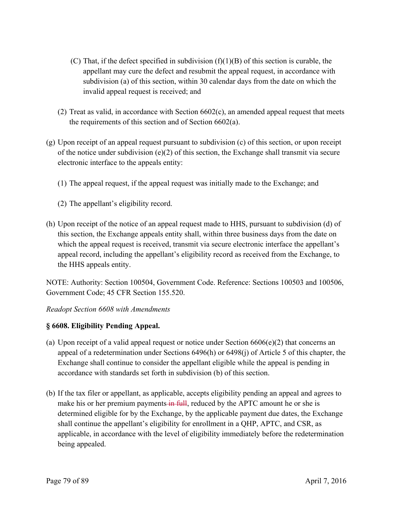- (C) That, if the defect specified in subdivision  $(f)(1)(B)$  of this section is curable, the appellant may cure the defect and resubmit the appeal request, in accordance with subdivision (a) of this section, within 30 calendar days from the date on which the invalid appeal request is received; and
- (2) Treat as valid, in accordance with Section 6602(c), an amended appeal request that meets the requirements of this section and of Section 6602(a).
- (g) Upon receipt of an appeal request pursuant to subdivision (c) of this section, or upon receipt of the notice under subdivision  $(e)(2)$  of this section, the Exchange shall transmit via secure electronic interface to the appeals entity:
	- (1) The appeal request, if the appeal request was initially made to the Exchange; and
	- (2) The appellant's eligibility record.
- (h) Upon receipt of the notice of an appeal request made to HHS, pursuant to subdivision (d) of this section, the Exchange appeals entity shall, within three business days from the date on which the appeal request is received, transmit via secure electronic interface the appellant's appeal record, including the appellant's eligibility record as received from the Exchange, to the HHS appeals entity.

NOTE: Authority: Section 100504, Government Code. Reference: Sections 100503 and 100506, Government Code; 45 CFR Section 155.520.

*Readopt Section 6608 with Amendments* 

## **§ 6608. Eligibility Pending Appeal.**

- (a) Upon receipt of a valid appeal request or notice under Section  $6606(e)(2)$  that concerns an appeal of a redetermination under Sections 6496(h) or 6498(j) of Article 5 of this chapter, the Exchange shall continue to consider the appellant eligible while the appeal is pending in accordance with standards set forth in subdivision (b) of this section.
- (b) If the tax filer or appellant, as applicable, accepts eligibility pending an appeal and agrees to make his or her premium payments in full, reduced by the APTC amount he or she is determined eligible for by the Exchange, by the applicable payment due dates, the Exchange shall continue the appellant's eligibility for enrollment in a QHP, APTC, and CSR, as applicable, in accordance with the level of eligibility immediately before the redetermination being appealed.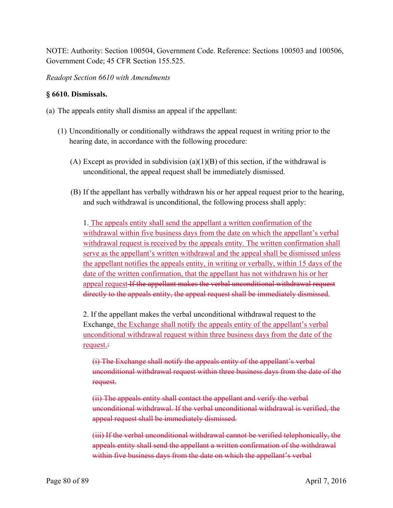NOTE: Authority: Section 100504, Government Code. Reference: Sections 100503 and 100506, Government Code; 45 CFR Section 155.525.

*Readopt Section 6610 with Amendments* 

#### **§ 6610. Dismissals.**

- (a) The appeals entity shall dismiss an appeal if the appellant:
	- (1) Unconditionally or conditionally withdraws the appeal request in writing prior to the hearing date, in accordance with the following procedure:
		- (A) Except as provided in subdivision (a)(1)(B) of this section, if the withdrawal is unconditional, the appeal request shall be immediately dismissed.
		- (B) If the appellant has verbally withdrawn his or her appeal request prior to the hearing, and such withdrawal is unconditional, the following process shall apply:

1. The appeals entity shall send the appellant a written confirmation of the withdrawal within five business days from the date on which the appellant's verbal withdrawal request is received by the appeals entity. The written confirmation shall serve as the appellant's written withdrawal and the appeal shall be dismissed unless the appellant notifies the appeals entity, in writing or verbally, within 15 days of the date of the written confirmation, that the appellant has not withdrawn his or her appeal request If the appellant makes the verbal unconditional withdrawal request directly to the appeals entity, the appeal request shall be immediately dismissed.

2. If the appellant makes the verbal unconditional withdrawal request to the Exchange, the Exchange shall notify the appeals entity of the appellant's verbal unconditional withdrawal request within three business days from the date of the request.:

(i) The Exchange shall notify the appeals entity of the appellant's verbal unconditional withdrawal request within three business days from the date of the request.

(ii) The appeals entity shall contact the appellant and verify the verbal unconditional withdrawal. If the verbal unconditional withdrawal is verified, the appeal request shall be immediately dismissed.

(iii) If the verbal unconditional withdrawal cannot be verified telephonically, the appeals entity shall send the appellant a written confirmation of the withdrawal within five business days from the date on which the appellant's verbal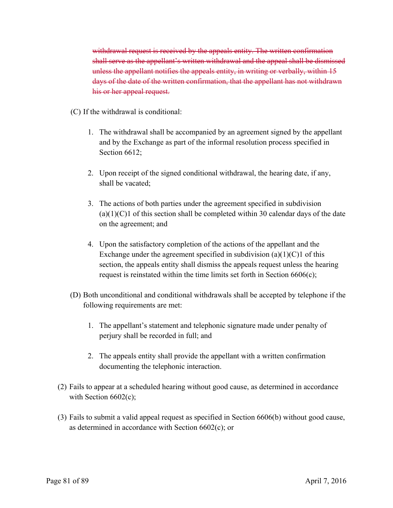withdrawal request is received by the appeals entity. The written confirmation shall serve as the appellant's written withdrawal and the appeal shall be dismissed unless the appellant notifies the appeals entity, in writing or verbally, within 15 days of the date of the written confirmation, that the appellant has not withdrawn his or her appeal request.

- (C) If the withdrawal is conditional:
	- 1. The withdrawal shall be accompanied by an agreement signed by the appellant and by the Exchange as part of the informal resolution process specified in Section 6612:
	- 2. Upon receipt of the signed conditional withdrawal, the hearing date, if any, shall be vacated;
	- 3. The actions of both parties under the agreement specified in subdivision  $(a)(1)(C)1$  of this section shall be completed within 30 calendar days of the date on the agreement; and
	- 4. Upon the satisfactory completion of the actions of the appellant and the Exchange under the agreement specified in subdivision  $(a)(1)(C)1$  of this section, the appeals entity shall dismiss the appeals request unless the hearing request is reinstated within the time limits set forth in Section 6606(c);
- (D) Both unconditional and conditional withdrawals shall be accepted by telephone if the following requirements are met:
	- 1. The appellant's statement and telephonic signature made under penalty of perjury shall be recorded in full; and
	- 2. The appeals entity shall provide the appellant with a written confirmation documenting the telephonic interaction.
- (2) Fails to appear at a scheduled hearing without good cause, as determined in accordance with Section  $6602(c)$ ;
- (3) Fails to submit a valid appeal request as specified in Section 6606(b) without good cause, as determined in accordance with Section 6602(c); or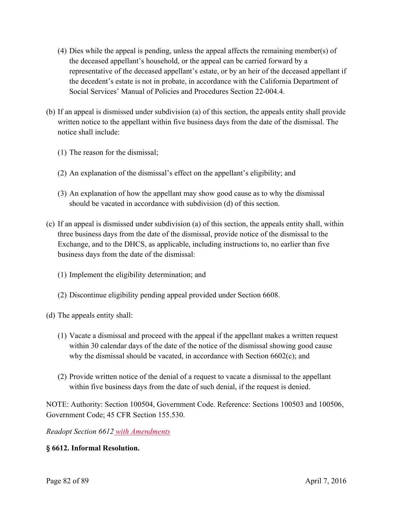- (4) Dies while the appeal is pending, unless the appeal affects the remaining member(s) of the deceased appellant's household, or the appeal can be carried forward by a representative of the deceased appellant's estate, or by an heir of the deceased appellant if the decedent's estate is not in probate, in accordance with the California Department of Social Services' Manual of Policies and Procedures Section 22-004.4.
- (b) If an appeal is dismissed under subdivision (a) of this section, the appeals entity shall provide written notice to the appellant within five business days from the date of the dismissal. The notice shall include:
	- (1) The reason for the dismissal;
	- (2) An explanation of the dismissal's effect on the appellant's eligibility; and
	- (3) An explanation of how the appellant may show good cause as to why the dismissal should be vacated in accordance with subdivision (d) of this section.
- (c) If an appeal is dismissed under subdivision (a) of this section, the appeals entity shall, within three business days from the date of the dismissal, provide notice of the dismissal to the Exchange, and to the DHCS, as applicable, including instructions to, no earlier than five business days from the date of the dismissal:
	- (1) Implement the eligibility determination; and
	- (2) Discontinue eligibility pending appeal provided under Section 6608.

(d) The appeals entity shall:

- (1) Vacate a dismissal and proceed with the appeal if the appellant makes a written request within 30 calendar days of the date of the notice of the dismissal showing good cause why the dismissal should be vacated, in accordance with Section 6602(c); and
- (2) Provide written notice of the denial of a request to vacate a dismissal to the appellant within five business days from the date of such denial, if the request is denied.

NOTE: Authority: Section 100504, Government Code. Reference: Sections 100503 and 100506, Government Code; 45 CFR Section 155.530.

*Readopt Section 6612 with Amendments* 

## **§ 6612. Informal Resolution.**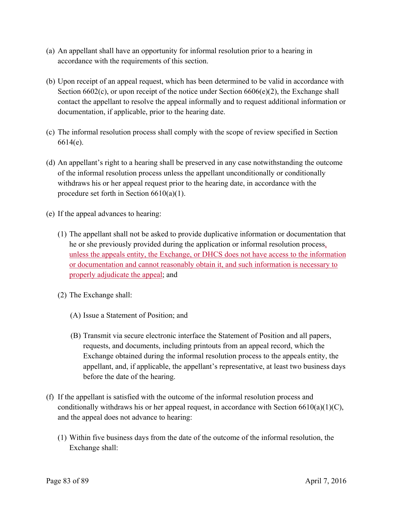- (a) An appellant shall have an opportunity for informal resolution prior to a hearing in accordance with the requirements of this section.
- (b) Upon receipt of an appeal request, which has been determined to be valid in accordance with Section 6602(c), or upon receipt of the notice under Section 6606(e)(2), the Exchange shall contact the appellant to resolve the appeal informally and to request additional information or documentation, if applicable, prior to the hearing date.
- (c) The informal resolution process shall comply with the scope of review specified in Section 6614(e).
- (d) An appellant's right to a hearing shall be preserved in any case notwithstanding the outcome of the informal resolution process unless the appellant unconditionally or conditionally withdraws his or her appeal request prior to the hearing date, in accordance with the procedure set forth in Section 6610(a)(1).
- (e) If the appeal advances to hearing:
	- (1) The appellant shall not be asked to provide duplicative information or documentation that he or she previously provided during the application or informal resolution process, unless the appeals entity, the Exchange, or DHCS does not have access to the information or documentation and cannot reasonably obtain it, and such information is necessary to properly adjudicate the appeal; and
	- (2) The Exchange shall:
		- (A) Issue a Statement of Position; and
		- (B) Transmit via secure electronic interface the Statement of Position and all papers, requests, and documents, including printouts from an appeal record, which the Exchange obtained during the informal resolution process to the appeals entity, the appellant, and, if applicable, the appellant's representative, at least two business days before the date of the hearing.
- (f) If the appellant is satisfied with the outcome of the informal resolution process and conditionally withdraws his or her appeal request, in accordance with Section  $6610(a)(1)(C)$ , and the appeal does not advance to hearing:
	- (1) Within five business days from the date of the outcome of the informal resolution, the Exchange shall: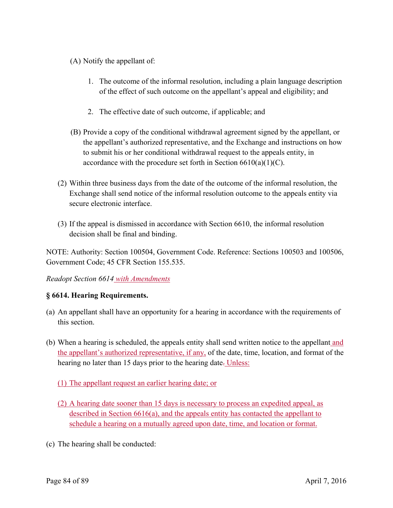- (A) Notify the appellant of:
	- 1. The outcome of the informal resolution, including a plain language description of the effect of such outcome on the appellant's appeal and eligibility; and
	- 2. The effective date of such outcome, if applicable; and
- (B) Provide a copy of the conditional withdrawal agreement signed by the appellant, or the appellant's authorized representative, and the Exchange and instructions on how to submit his or her conditional withdrawal request to the appeals entity, in accordance with the procedure set forth in Section  $6610(a)(1)(C)$ .
- (2) Within three business days from the date of the outcome of the informal resolution, the Exchange shall send notice of the informal resolution outcome to the appeals entity via secure electronic interface.
- (3) If the appeal is dismissed in accordance with Section 6610, the informal resolution decision shall be final and binding.

NOTE: Authority: Section 100504, Government Code. Reference: Sections 100503 and 100506, Government Code; 45 CFR Section 155.535.

## *Readopt Section 6614 with Amendments*

## **§ 6614. Hearing Requirements.**

- (a) An appellant shall have an opportunity for a hearing in accordance with the requirements of this section.
- (b) When a hearing is scheduled, the appeals entity shall send written notice to the appellant and the appellant's authorized representative, if any, of the date, time, location, and format of the hearing no later than 15 days prior to the hearing date. Unless:
	- (1) The appellant request an earlier hearing date; or
	- (2) A hearing date sooner than 15 days is necessary to process an expedited appeal, as described in Section 6616(a), and the appeals entity has contacted the appellant to schedule a hearing on a mutually agreed upon date, time, and location or format.
- (c) The hearing shall be conducted: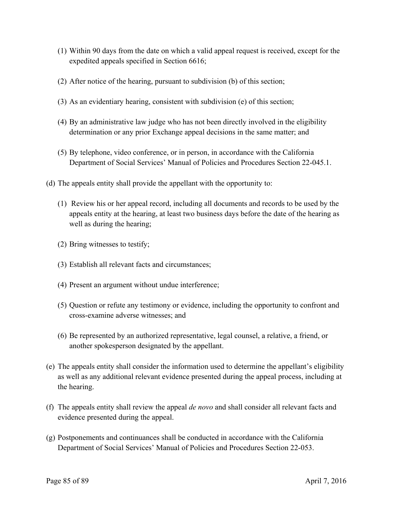- (1) Within 90 days from the date on which a valid appeal request is received, except for the expedited appeals specified in Section 6616;
- (2) After notice of the hearing, pursuant to subdivision (b) of this section;
- (3) As an evidentiary hearing, consistent with subdivision (e) of this section;
- (4) By an administrative law judge who has not been directly involved in the eligibility determination or any prior Exchange appeal decisions in the same matter; and
- (5) By telephone, video conference, or in person, in accordance with the California Department of Social Services' Manual of Policies and Procedures Section 22-045.1.
- (d) The appeals entity shall provide the appellant with the opportunity to:
	- (1) Review his or her appeal record, including all documents and records to be used by the appeals entity at the hearing, at least two business days before the date of the hearing as well as during the hearing;
	- (2) Bring witnesses to testify;
	- (3) Establish all relevant facts and circumstances;
	- (4) Present an argument without undue interference;
	- (5) Question or refute any testimony or evidence, including the opportunity to confront and cross-examine adverse witnesses; and
	- (6) Be represented by an authorized representative, legal counsel, a relative, a friend, or another spokesperson designated by the appellant.
- (e) The appeals entity shall consider the information used to determine the appellant's eligibility as well as any additional relevant evidence presented during the appeal process, including at the hearing.
- (f) The appeals entity shall review the appeal *de novo* and shall consider all relevant facts and evidence presented during the appeal.
- (g) Postponements and continuances shall be conducted in accordance with the California Department of Social Services' Manual of Policies and Procedures Section 22-053.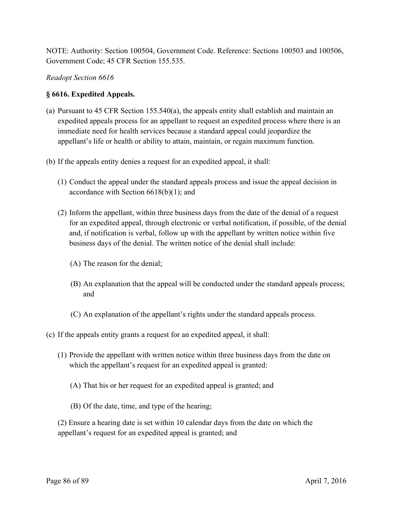NOTE: Authority: Section 100504, Government Code. Reference: Sections 100503 and 100506, Government Code; 45 CFR Section 155.535.

#### *Readopt Section 6616*

#### **§ 6616. Expedited Appeals.**

- (a) Pursuant to 45 CFR Section 155.540(a), the appeals entity shall establish and maintain an expedited appeals process for an appellant to request an expedited process where there is an immediate need for health services because a standard appeal could jeopardize the appellant's life or health or ability to attain, maintain, or regain maximum function.
- (b) If the appeals entity denies a request for an expedited appeal, it shall:
	- (1) Conduct the appeal under the standard appeals process and issue the appeal decision in accordance with Section 6618(b)(1); and
	- (2) Inform the appellant, within three business days from the date of the denial of a request for an expedited appeal, through electronic or verbal notification, if possible, of the denial and, if notification is verbal, follow up with the appellant by written notice within five business days of the denial. The written notice of the denial shall include:
		- (A) The reason for the denial;
		- (B) An explanation that the appeal will be conducted under the standard appeals process; and
		- (C) An explanation of the appellant's rights under the standard appeals process.
- (c) If the appeals entity grants a request for an expedited appeal, it shall:
	- (1) Provide the appellant with written notice within three business days from the date on which the appellant's request for an expedited appeal is granted:
		- (A) That his or her request for an expedited appeal is granted; and
		- (B) Of the date, time, and type of the hearing;

(2) Ensure a hearing date is set within 10 calendar days from the date on which the appellant's request for an expedited appeal is granted; and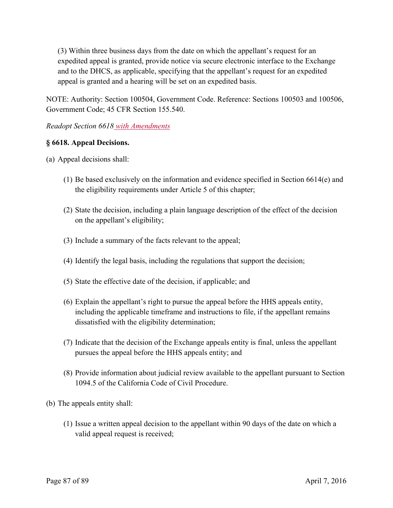(3) Within three business days from the date on which the appellant's request for an expedited appeal is granted, provide notice via secure electronic interface to the Exchange and to the DHCS, as applicable, specifying that the appellant's request for an expedited appeal is granted and a hearing will be set on an expedited basis.

NOTE: Authority: Section 100504, Government Code. Reference: Sections 100503 and 100506, Government Code; 45 CFR Section 155.540.

## *Readopt Section 6618 with Amendments*

#### **§ 6618. Appeal Decisions.**

(a) Appeal decisions shall:

- (1) Be based exclusively on the information and evidence specified in Section 6614(e) and the eligibility requirements under Article 5 of this chapter;
- (2) State the decision, including a plain language description of the effect of the decision on the appellant's eligibility;
- (3) Include a summary of the facts relevant to the appeal;
- (4) Identify the legal basis, including the regulations that support the decision;
- (5) State the effective date of the decision, if applicable; and
- (6) Explain the appellant's right to pursue the appeal before the HHS appeals entity, including the applicable timeframe and instructions to file, if the appellant remains dissatisfied with the eligibility determination;
- (7) Indicate that the decision of the Exchange appeals entity is final, unless the appellant pursues the appeal before the HHS appeals entity; and
- (8) Provide information about judicial review available to the appellant pursuant to Section 1094.5 of the California Code of Civil Procedure.
- (b) The appeals entity shall:
	- (1) Issue a written appeal decision to the appellant within 90 days of the date on which a valid appeal request is received;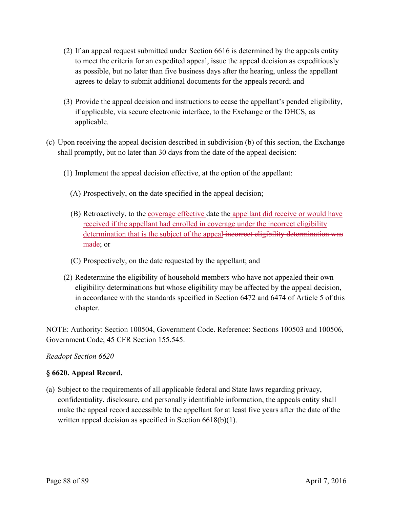- (2) If an appeal request submitted under Section 6616 is determined by the appeals entity to meet the criteria for an expedited appeal, issue the appeal decision as expeditiously as possible, but no later than five business days after the hearing, unless the appellant agrees to delay to submit additional documents for the appeals record; and
- (3) Provide the appeal decision and instructions to cease the appellant's pended eligibility, if applicable, via secure electronic interface, to the Exchange or the DHCS, as applicable.
- (c) Upon receiving the appeal decision described in subdivision (b) of this section, the Exchange shall promptly, but no later than 30 days from the date of the appeal decision:
	- (1) Implement the appeal decision effective, at the option of the appellant:
		- (A) Prospectively, on the date specified in the appeal decision;
		- (B) Retroactively, to the coverage effective date the appellant did receive or would have received if the appellant had enrolled in coverage under the incorrect eligibility determination that is the subject of the appeal incorrect eligibility determination was made; or
		- (C) Prospectively, on the date requested by the appellant; and
	- (2) Redetermine the eligibility of household members who have not appealed their own eligibility determinations but whose eligibility may be affected by the appeal decision, in accordance with the standards specified in Section 6472 and 6474 of Article 5 of this chapter.

NOTE: Authority: Section 100504, Government Code. Reference: Sections 100503 and 100506, Government Code; 45 CFR Section 155.545.

## *Readopt Section 6620*

## **§ 6620. Appeal Record.**

(a) Subject to the requirements of all applicable federal and State laws regarding privacy, confidentiality, disclosure, and personally identifiable information, the appeals entity shall make the appeal record accessible to the appellant for at least five years after the date of the written appeal decision as specified in Section 6618(b)(1).